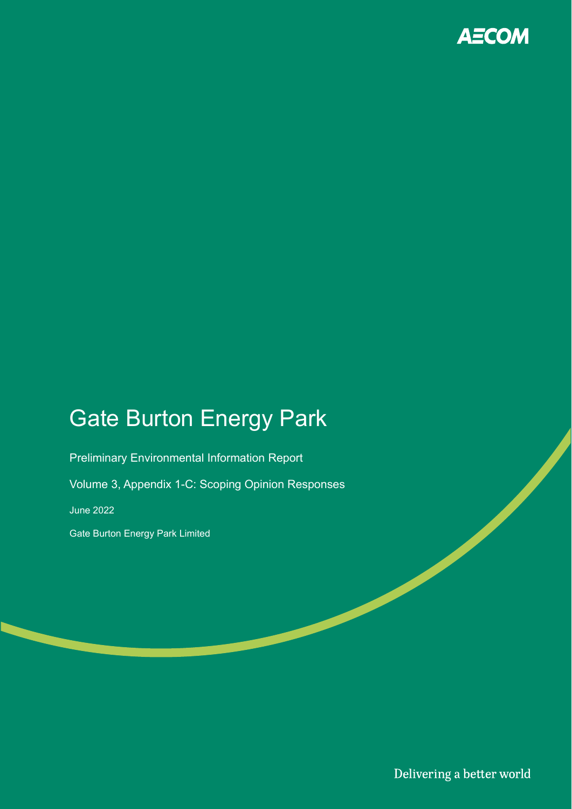

## Gate Burton Energy Park

Preliminary Environmental Information Report

Volume 3, Appendix 1-C: Scoping Opinion Responses

June 2022

Gate Burton Energy Park Limited

Delivering a better world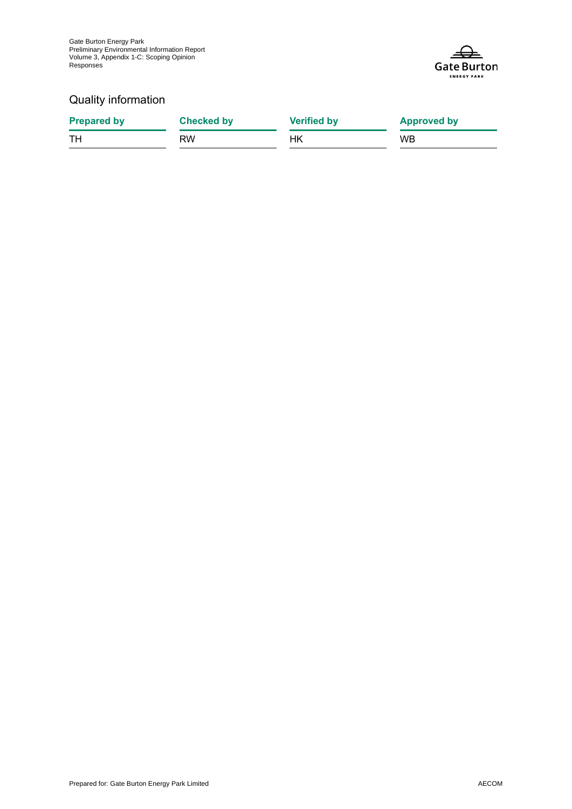

### Quality information

| <b>Prepared by</b> | <b>Checked by</b> | <b>Verified by</b> | <b>Approved by</b> |
|--------------------|-------------------|--------------------|--------------------|
| . TH               | RW                | НK                 | <b>WB</b>          |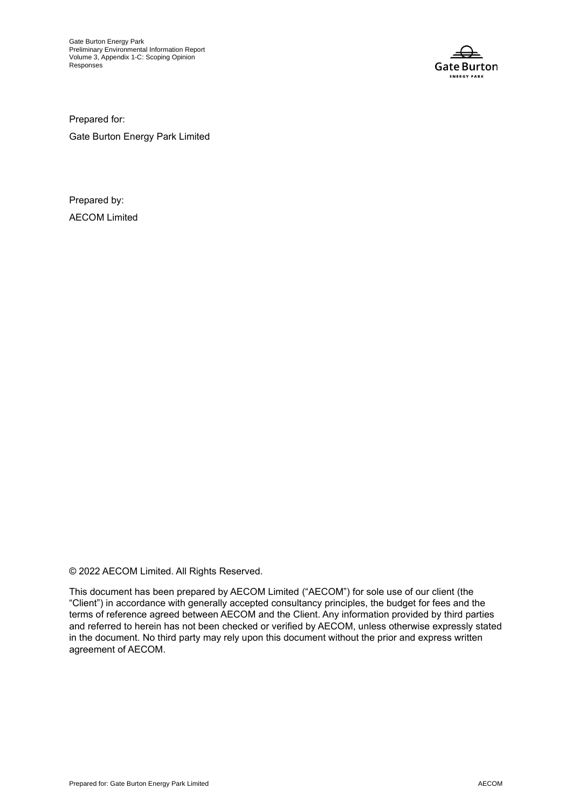

Prepared for:

Gate Burton Energy Park Limited

Prepared by: AECOM Limited

© 2022 AECOM Limited. All Rights Reserved.

This document has been prepared by AECOM Limited ("AECOM") for sole use of our client (the "Client") in accordance with generally accepted consultancy principles, the budget for fees and the terms of reference agreed between AECOM and the Client. Any information provided by third parties and referred to herein has not been checked or verified by AECOM, unless otherwise expressly stated in the document. No third party may rely upon this document without the prior and express written agreement of AECOM.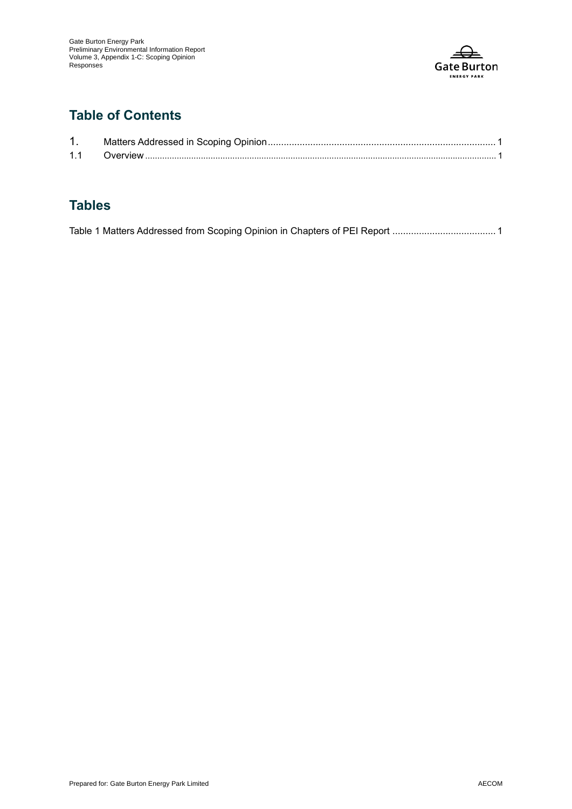

## **Table of Contents**

| 11 |  |
|----|--|

## **Tables**

|  | Table 1 Matters Addressed from Scoping Opinion in Chapters of PEI Report 1 |  |
|--|----------------------------------------------------------------------------|--|
|  |                                                                            |  |
|  |                                                                            |  |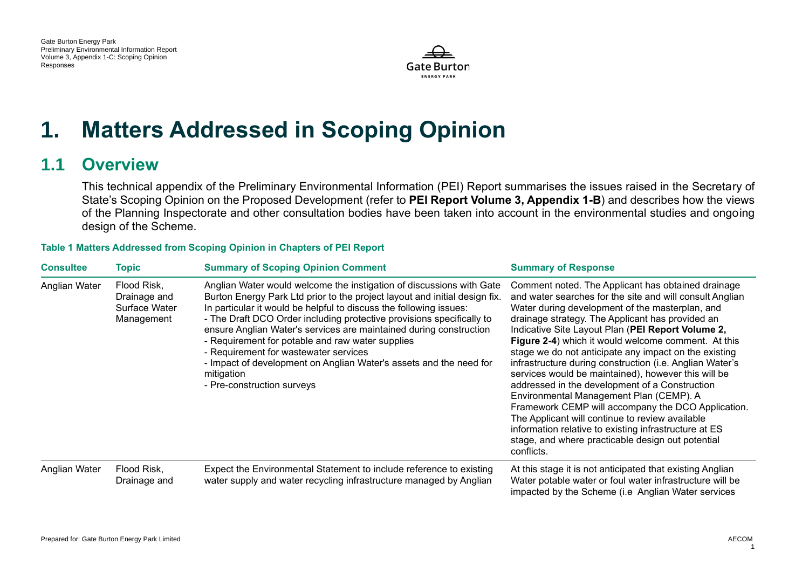

# **1. Matters Addressed in Scoping Opinion**

## **1.1 Overview**

This technical appendix of the Preliminary Environmental Information (PEI) Report summarises the issues raised in the Secretary of State's Scoping Opinion on the Proposed Development (refer to **PEI Report Volume 3, Appendix 1-B**) and describes how the views of the Planning Inspectorate and other consultation bodies have been taken into account in the environmental studies and ongoing design of the Scheme.

### **Table 1 Matters Addressed from Scoping Opinion in Chapters of PEI Report**

| <b>Consultee</b> | Topic                                                      | <b>Summary of Scoping Opinion Comment</b>                                                                                                                                                                                                                                                                                                                                                                                                                                                                                                                                              | <b>Summary of Response</b>                                                                                                                                                                                                                                                                                                                                                                                                                                                                                                                                                                                                                                                                                                                                                                                                                      |
|------------------|------------------------------------------------------------|----------------------------------------------------------------------------------------------------------------------------------------------------------------------------------------------------------------------------------------------------------------------------------------------------------------------------------------------------------------------------------------------------------------------------------------------------------------------------------------------------------------------------------------------------------------------------------------|-------------------------------------------------------------------------------------------------------------------------------------------------------------------------------------------------------------------------------------------------------------------------------------------------------------------------------------------------------------------------------------------------------------------------------------------------------------------------------------------------------------------------------------------------------------------------------------------------------------------------------------------------------------------------------------------------------------------------------------------------------------------------------------------------------------------------------------------------|
| Anglian Water    | Flood Risk,<br>Drainage and<br>Surface Water<br>Management | Anglian Water would welcome the instigation of discussions with Gate<br>Burton Energy Park Ltd prior to the project layout and initial design fix.<br>In particular it would be helpful to discuss the following issues:<br>- The Draft DCO Order including protective provisions specifically to<br>ensure Anglian Water's services are maintained during construction<br>- Requirement for potable and raw water supplies<br>- Requirement for wastewater services<br>- Impact of development on Anglian Water's assets and the need for<br>mitigation<br>- Pre-construction surveys | Comment noted. The Applicant has obtained drainage<br>and water searches for the site and will consult Anglian<br>Water during development of the masterplan, and<br>drainage strategy. The Applicant has provided an<br>Indicative Site Layout Plan (PEI Report Volume 2,<br>Figure 2-4) which it would welcome comment. At this<br>stage we do not anticipate any impact on the existing<br>infrastructure during construction (i.e. Anglian Water's<br>services would be maintained), however this will be<br>addressed in the development of a Construction<br>Environmental Management Plan (CEMP). A<br>Framework CEMP will accompany the DCO Application.<br>The Applicant will continue to review available<br>information relative to existing infrastructure at ES<br>stage, and where practicable design out potential<br>conflicts. |
| Anglian Water    | Flood Risk,<br>Drainage and                                | Expect the Environmental Statement to include reference to existing<br>water supply and water recycling infrastructure managed by Anglian                                                                                                                                                                                                                                                                                                                                                                                                                                              | At this stage it is not anticipated that existing Anglian<br>Water potable water or foul water infrastructure will be<br>impacted by the Scheme (i.e Anglian Water services                                                                                                                                                                                                                                                                                                                                                                                                                                                                                                                                                                                                                                                                     |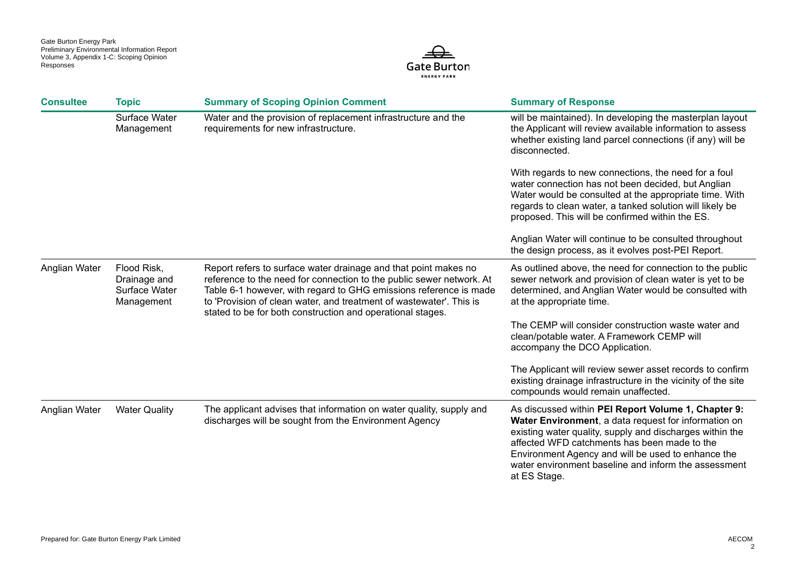

| <b>Consultee</b> | <b>Topic</b>                                               | <b>Summary of Scoping Opinion Comment</b>                                                                                                                                                                                                                                                                                                         | <b>Summary of Response</b>                                                                                                                                                                                                                                                                                                                            |
|------------------|------------------------------------------------------------|---------------------------------------------------------------------------------------------------------------------------------------------------------------------------------------------------------------------------------------------------------------------------------------------------------------------------------------------------|-------------------------------------------------------------------------------------------------------------------------------------------------------------------------------------------------------------------------------------------------------------------------------------------------------------------------------------------------------|
|                  | Surface Water<br>Management                                | Water and the provision of replacement infrastructure and the<br>requirements for new infrastructure.                                                                                                                                                                                                                                             | will be maintained). In developing the masterplan layout<br>the Applicant will review available information to assess<br>whether existing land parcel connections (if any) will be<br>disconnected.                                                                                                                                                   |
|                  |                                                            |                                                                                                                                                                                                                                                                                                                                                   | With regards to new connections, the need for a foul<br>water connection has not been decided, but Anglian<br>Water would be consulted at the appropriate time. With<br>regards to clean water, a tanked solution will likely be<br>proposed. This will be confirmed within the ES.                                                                   |
|                  |                                                            |                                                                                                                                                                                                                                                                                                                                                   | Anglian Water will continue to be consulted throughout<br>the design process, as it evolves post-PEI Report.                                                                                                                                                                                                                                          |
| Anglian Water    | Flood Risk,<br>Drainage and<br>Surface Water<br>Management | Report refers to surface water drainage and that point makes no<br>reference to the need for connection to the public sewer network. At<br>Table 6-1 however, with regard to GHG emissions reference is made<br>to 'Provision of clean water, and treatment of wastewater'. This is<br>stated to be for both construction and operational stages. | As outlined above, the need for connection to the public<br>sewer network and provision of clean water is yet to be<br>determined, and Anglian Water would be consulted with<br>at the appropriate time.                                                                                                                                              |
|                  |                                                            |                                                                                                                                                                                                                                                                                                                                                   | The CEMP will consider construction waste water and<br>clean/potable water. A Framework CEMP will<br>accompany the DCO Application.                                                                                                                                                                                                                   |
|                  |                                                            |                                                                                                                                                                                                                                                                                                                                                   | The Applicant will review sewer asset records to confirm<br>existing drainage infrastructure in the vicinity of the site<br>compounds would remain unaffected.                                                                                                                                                                                        |
| Anglian Water    | <b>Water Quality</b>                                       | The applicant advises that information on water quality, supply and<br>discharges will be sought from the Environment Agency                                                                                                                                                                                                                      | As discussed within PEI Report Volume 1, Chapter 9:<br>Water Environment, a data request for information on<br>existing water quality, supply and discharges within the<br>affected WFD catchments has been made to the<br>Environment Agency and will be used to enhance the<br>water environment baseline and inform the assessment<br>at ES Stage. |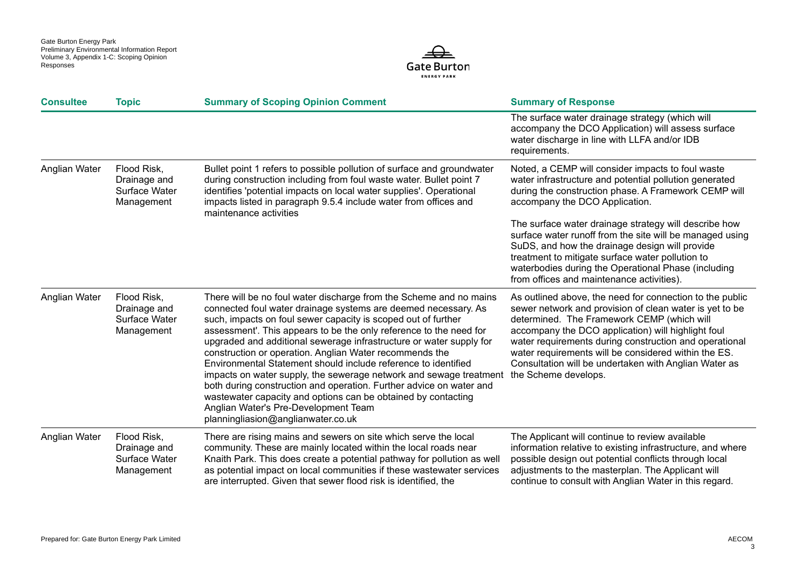

| <b>Consultee</b> | <b>Topic</b>                                               | <b>Summary of Scoping Opinion Comment</b>                                                                                                                                                                                                                                                                                                                                                                                                                                                                                                                                                                                                                                                                                                                                   | <b>Summary of Response</b>                                                                                                                                                                                                                                                                                                                                                                                                 |
|------------------|------------------------------------------------------------|-----------------------------------------------------------------------------------------------------------------------------------------------------------------------------------------------------------------------------------------------------------------------------------------------------------------------------------------------------------------------------------------------------------------------------------------------------------------------------------------------------------------------------------------------------------------------------------------------------------------------------------------------------------------------------------------------------------------------------------------------------------------------------|----------------------------------------------------------------------------------------------------------------------------------------------------------------------------------------------------------------------------------------------------------------------------------------------------------------------------------------------------------------------------------------------------------------------------|
|                  |                                                            |                                                                                                                                                                                                                                                                                                                                                                                                                                                                                                                                                                                                                                                                                                                                                                             | The surface water drainage strategy (which will<br>accompany the DCO Application) will assess surface<br>water discharge in line with LLFA and/or IDB<br>requirements.                                                                                                                                                                                                                                                     |
| Anglian Water    | Flood Risk,<br>Drainage and<br>Surface Water<br>Management | Bullet point 1 refers to possible pollution of surface and groundwater<br>during construction including from foul waste water. Bullet point 7<br>identifies 'potential impacts on local water supplies'. Operational<br>impacts listed in paragraph 9.5.4 include water from offices and<br>maintenance activities                                                                                                                                                                                                                                                                                                                                                                                                                                                          | Noted, a CEMP will consider impacts to foul waste<br>water infrastructure and potential pollution generated<br>during the construction phase. A Framework CEMP will<br>accompany the DCO Application.                                                                                                                                                                                                                      |
|                  |                                                            |                                                                                                                                                                                                                                                                                                                                                                                                                                                                                                                                                                                                                                                                                                                                                                             | The surface water drainage strategy will describe how<br>surface water runoff from the site will be managed using<br>SuDS, and how the drainage design will provide<br>treatment to mitigate surface water pollution to<br>waterbodies during the Operational Phase (including<br>from offices and maintenance activities).                                                                                                |
| Anglian Water    | Flood Risk,<br>Drainage and<br>Surface Water<br>Management | There will be no foul water discharge from the Scheme and no mains<br>connected foul water drainage systems are deemed necessary. As<br>such, impacts on foul sewer capacity is scoped out of further<br>assessment'. This appears to be the only reference to the need for<br>upgraded and additional sewerage infrastructure or water supply for<br>construction or operation. Anglian Water recommends the<br>Environmental Statement should include reference to identified<br>impacts on water supply, the sewerage network and sewage treatment<br>both during construction and operation. Further advice on water and<br>wastewater capacity and options can be obtained by contacting<br>Anglian Water's Pre-Development Team<br>planningliasion@anglianwater.co.uk | As outlined above, the need for connection to the public<br>sewer network and provision of clean water is yet to be<br>determined. The Framework CEMP (which will<br>accompany the DCO application) will highlight foul<br>water requirements during construction and operational<br>water requirements will be considered within the ES.<br>Consultation will be undertaken with Anglian Water as<br>the Scheme develops. |
| Anglian Water    | Flood Risk,<br>Drainage and<br>Surface Water<br>Management | There are rising mains and sewers on site which serve the local<br>community. These are mainly located within the local roads near<br>Knaith Park. This does create a potential pathway for pollution as well<br>as potential impact on local communities if these wastewater services<br>are interrupted. Given that sewer flood risk is identified, the                                                                                                                                                                                                                                                                                                                                                                                                                   | The Applicant will continue to review available<br>information relative to existing infrastructure, and where<br>possible design out potential conflicts through local<br>adjustments to the masterplan. The Applicant will<br>continue to consult with Anglian Water in this regard.                                                                                                                                      |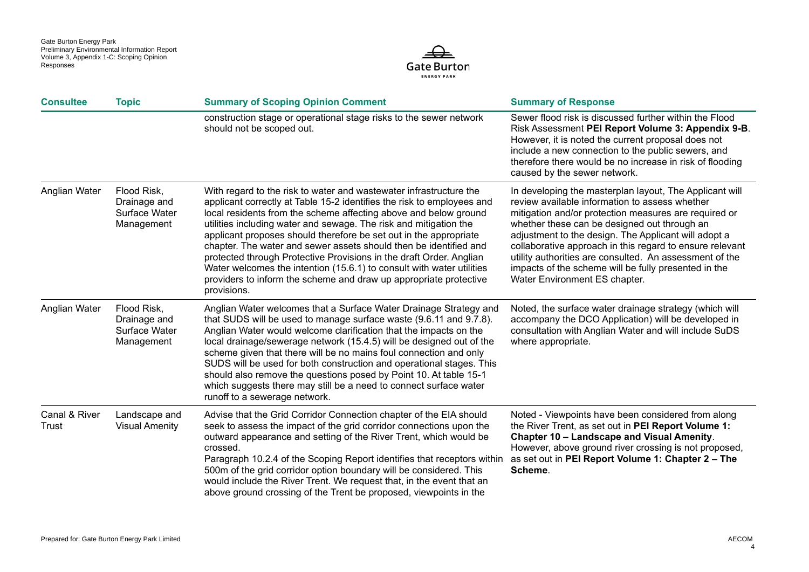

| <b>Consultee</b>       | <b>Topic</b>                                               | <b>Summary of Scoping Opinion Comment</b>                                                                                                                                                                                                                                                                                                                                                                                                                                                                                                                                                                                                                           | <b>Summary of Response</b>                                                                                                                                                                                                                                                                                                                                                                                                                                                                 |
|------------------------|------------------------------------------------------------|---------------------------------------------------------------------------------------------------------------------------------------------------------------------------------------------------------------------------------------------------------------------------------------------------------------------------------------------------------------------------------------------------------------------------------------------------------------------------------------------------------------------------------------------------------------------------------------------------------------------------------------------------------------------|--------------------------------------------------------------------------------------------------------------------------------------------------------------------------------------------------------------------------------------------------------------------------------------------------------------------------------------------------------------------------------------------------------------------------------------------------------------------------------------------|
|                        |                                                            | construction stage or operational stage risks to the sewer network<br>should not be scoped out.                                                                                                                                                                                                                                                                                                                                                                                                                                                                                                                                                                     | Sewer flood risk is discussed further within the Flood<br>Risk Assessment PEI Report Volume 3: Appendix 9-B.<br>However, it is noted the current proposal does not<br>include a new connection to the public sewers, and<br>therefore there would be no increase in risk of flooding<br>caused by the sewer network.                                                                                                                                                                       |
| Anglian Water          | Flood Risk,<br>Drainage and<br>Surface Water<br>Management | With regard to the risk to water and wastewater infrastructure the<br>applicant correctly at Table 15-2 identifies the risk to employees and<br>local residents from the scheme affecting above and below ground<br>utilities including water and sewage. The risk and mitigation the<br>applicant proposes should therefore be set out in the appropriate<br>chapter. The water and sewer assets should then be identified and<br>protected through Protective Provisions in the draft Order. Anglian<br>Water welcomes the intention (15.6.1) to consult with water utilities<br>providers to inform the scheme and draw up appropriate protective<br>provisions. | In developing the masterplan layout, The Applicant will<br>review available information to assess whether<br>mitigation and/or protection measures are required or<br>whether these can be designed out through an<br>adjustment to the design. The Applicant will adopt a<br>collaborative approach in this regard to ensure relevant<br>utility authorities are consulted. An assessment of the<br>impacts of the scheme will be fully presented in the<br>Water Environment ES chapter. |
| Anglian Water          | Flood Risk,<br>Drainage and<br>Surface Water<br>Management | Anglian Water welcomes that a Surface Water Drainage Strategy and<br>that SUDS will be used to manage surface waste (9.6.11 and 9.7.8).<br>Anglian Water would welcome clarification that the impacts on the<br>local drainage/sewerage network (15.4.5) will be designed out of the<br>scheme given that there will be no mains foul connection and only<br>SUDS will be used for both construction and operational stages. This<br>should also remove the questions posed by Point 10. At table 15-1<br>which suggests there may still be a need to connect surface water<br>runoff to a sewerage network.                                                        | Noted, the surface water drainage strategy (which will<br>accompany the DCO Application) will be developed in<br>consultation with Anglian Water and will include SuDS<br>where appropriate.                                                                                                                                                                                                                                                                                               |
| Canal & River<br>Trust | Landscape and<br><b>Visual Amenity</b>                     | Advise that the Grid Corridor Connection chapter of the EIA should<br>seek to assess the impact of the grid corridor connections upon the<br>outward appearance and setting of the River Trent, which would be<br>crossed.<br>Paragraph 10.2.4 of the Scoping Report identifies that receptors within<br>500m of the grid corridor option boundary will be considered. This<br>would include the River Trent. We request that, in the event that an<br>above ground crossing of the Trent be proposed, viewpoints in the                                                                                                                                            | Noted - Viewpoints have been considered from along<br>the River Trent, as set out in PEI Report Volume 1:<br>Chapter 10 - Landscape and Visual Amenity.<br>However, above ground river crossing is not proposed,<br>as set out in PEI Report Volume 1: Chapter 2 - The<br>Scheme.                                                                                                                                                                                                          |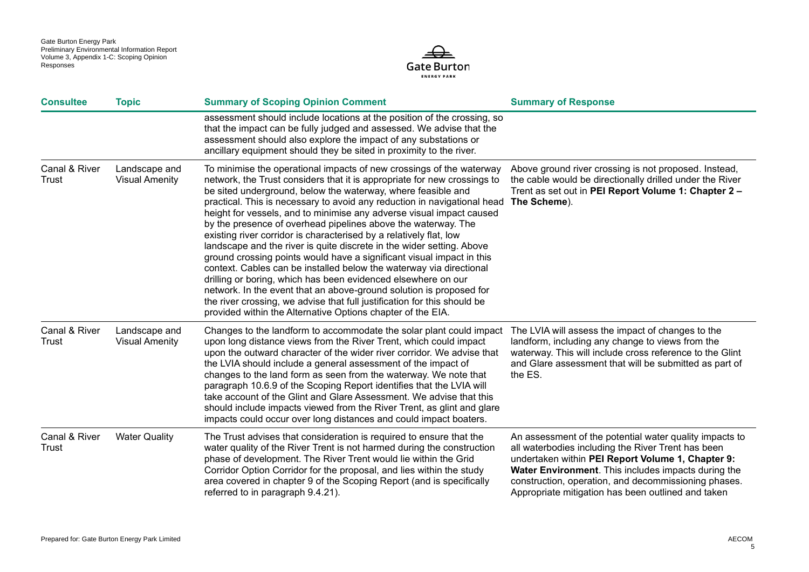

| <b>Consultee</b>              | <b>Topic</b>                           | <b>Summary of Scoping Opinion Comment</b>                                                                                                                                                                                                                                                                                                                                                                                                                                                                                                                                                                                                                                                                                                                                                                                                                                                                                                                                                                               | <b>Summary of Response</b>                                                                                                                                                                                                                                                                                                              |
|-------------------------------|----------------------------------------|-------------------------------------------------------------------------------------------------------------------------------------------------------------------------------------------------------------------------------------------------------------------------------------------------------------------------------------------------------------------------------------------------------------------------------------------------------------------------------------------------------------------------------------------------------------------------------------------------------------------------------------------------------------------------------------------------------------------------------------------------------------------------------------------------------------------------------------------------------------------------------------------------------------------------------------------------------------------------------------------------------------------------|-----------------------------------------------------------------------------------------------------------------------------------------------------------------------------------------------------------------------------------------------------------------------------------------------------------------------------------------|
|                               |                                        | assessment should include locations at the position of the crossing, so<br>that the impact can be fully judged and assessed. We advise that the<br>assessment should also explore the impact of any substations or<br>ancillary equipment should they be sited in proximity to the river.                                                                                                                                                                                                                                                                                                                                                                                                                                                                                                                                                                                                                                                                                                                               |                                                                                                                                                                                                                                                                                                                                         |
| Canal & River<br><b>Trust</b> | Landscape and<br><b>Visual Amenity</b> | To minimise the operational impacts of new crossings of the waterway<br>network, the Trust considers that it is appropriate for new crossings to<br>be sited underground, below the waterway, where feasible and<br>practical. This is necessary to avoid any reduction in navigational head<br>height for vessels, and to minimise any adverse visual impact caused<br>by the presence of overhead pipelines above the waterway. The<br>existing river corridor is characterised by a relatively flat, low<br>landscape and the river is quite discrete in the wider setting. Above<br>ground crossing points would have a significant visual impact in this<br>context. Cables can be installed below the waterway via directional<br>drilling or boring, which has been evidenced elsewhere on our<br>network. In the event that an above-ground solution is proposed for<br>the river crossing, we advise that full justification for this should be<br>provided within the Alternative Options chapter of the EIA. | Above ground river crossing is not proposed. Instead,<br>the cable would be directionally drilled under the River<br>Trent as set out in PEI Report Volume 1: Chapter 2 -<br>The Scheme).                                                                                                                                               |
| Canal & River<br><b>Trust</b> | Landscape and<br><b>Visual Amenity</b> | Changes to the landform to accommodate the solar plant could impact<br>upon long distance views from the River Trent, which could impact<br>upon the outward character of the wider river corridor. We advise that<br>the LVIA should include a general assessment of the impact of<br>changes to the land form as seen from the waterway. We note that<br>paragraph 10.6.9 of the Scoping Report identifies that the LVIA will<br>take account of the Glint and Glare Assessment. We advise that this<br>should include impacts viewed from the River Trent, as glint and glare<br>impacts could occur over long distances and could impact boaters.                                                                                                                                                                                                                                                                                                                                                                   | The LVIA will assess the impact of changes to the<br>landform, including any change to views from the<br>waterway. This will include cross reference to the Glint<br>and Glare assessment that will be submitted as part of<br>the ES.                                                                                                  |
| Canal & River<br>Trust        | <b>Water Quality</b>                   | The Trust advises that consideration is required to ensure that the<br>water quality of the River Trent is not harmed during the construction<br>phase of development. The River Trent would lie within the Grid<br>Corridor Option Corridor for the proposal, and lies within the study<br>area covered in chapter 9 of the Scoping Report (and is specifically<br>referred to in paragraph 9.4.21).                                                                                                                                                                                                                                                                                                                                                                                                                                                                                                                                                                                                                   | An assessment of the potential water quality impacts to<br>all waterbodies including the River Trent has been<br>undertaken within PEI Report Volume 1, Chapter 9:<br>Water Environment. This includes impacts during the<br>construction, operation, and decommissioning phases.<br>Appropriate mitigation has been outlined and taken |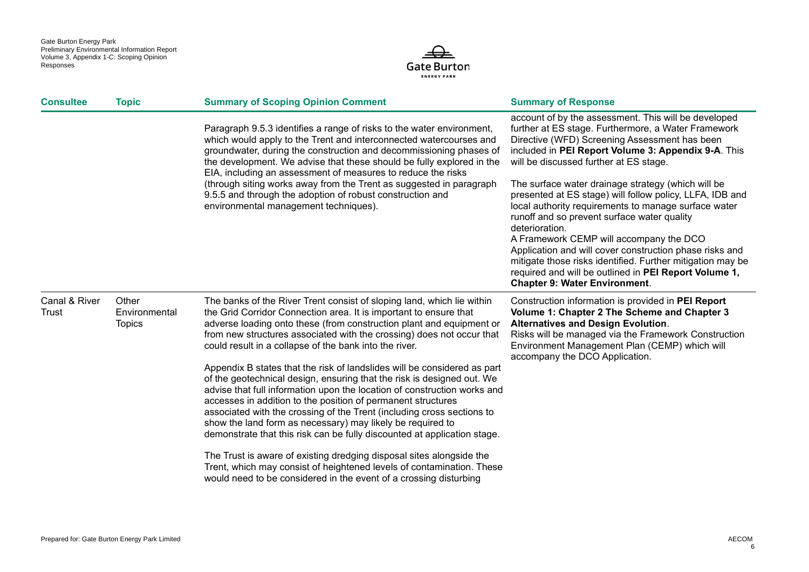

| <b>Consultee</b>       | <b>Topic</b>                            | <b>Summary of Scoping Opinion Comment</b>                                                                                                                                                                                                                                                                                                                                                                                                                                                                          | <b>Summary of Response</b>                                                                                                                                                                                                                                                                                                                                                                                                                                                                                   |
|------------------------|-----------------------------------------|--------------------------------------------------------------------------------------------------------------------------------------------------------------------------------------------------------------------------------------------------------------------------------------------------------------------------------------------------------------------------------------------------------------------------------------------------------------------------------------------------------------------|--------------------------------------------------------------------------------------------------------------------------------------------------------------------------------------------------------------------------------------------------------------------------------------------------------------------------------------------------------------------------------------------------------------------------------------------------------------------------------------------------------------|
|                        |                                         | Paragraph 9.5.3 identifies a range of risks to the water environment,<br>which would apply to the Trent and interconnected watercourses and<br>groundwater, during the construction and decommissioning phases of<br>the development. We advise that these should be fully explored in the<br>EIA, including an assessment of measures to reduce the risks                                                                                                                                                         | account of by the assessment. This will be developed<br>further at ES stage. Furthermore, a Water Framework<br>Directive (WFD) Screening Assessment has been<br>included in PEI Report Volume 3: Appendix 9-A. This<br>will be discussed further at ES stage.                                                                                                                                                                                                                                                |
|                        |                                         | (through siting works away from the Trent as suggested in paragraph<br>9.5.5 and through the adoption of robust construction and<br>environmental management techniques).                                                                                                                                                                                                                                                                                                                                          | The surface water drainage strategy (which will be<br>presented at ES stage) will follow policy, LLFA, IDB and<br>local authority requirements to manage surface water<br>runoff and so prevent surface water quality<br>deterioration.<br>A Framework CEMP will accompany the DCO<br>Application and will cover construction phase risks and<br>mitigate those risks identified. Further mitigation may be<br>required and will be outlined in PEI Report Volume 1,<br><b>Chapter 9: Water Environment.</b> |
| Canal & River<br>Trust | Other<br>Environmental<br><b>Topics</b> | The banks of the River Trent consist of sloping land, which lie within<br>the Grid Corridor Connection area. It is important to ensure that<br>adverse loading onto these (from construction plant and equipment or<br>from new structures associated with the crossing) does not occur that<br>could result in a collapse of the bank into the river.                                                                                                                                                             | Construction information is provided in PEI Report<br>Volume 1: Chapter 2 The Scheme and Chapter 3<br><b>Alternatives and Design Evolution.</b><br>Risks will be managed via the Framework Construction<br>Environment Management Plan (CEMP) which will<br>accompany the DCO Application.                                                                                                                                                                                                                   |
|                        |                                         | Appendix B states that the risk of landslides will be considered as part<br>of the geotechnical design, ensuring that the risk is designed out. We<br>advise that full information upon the location of construction works and<br>accesses in addition to the position of permanent structures<br>associated with the crossing of the Trent (including cross sections to<br>show the land form as necessary) may likely be required to<br>demonstrate that this risk can be fully discounted at application stage. |                                                                                                                                                                                                                                                                                                                                                                                                                                                                                                              |
|                        |                                         | The Trust is aware of existing dredging disposal sites alongside the<br>Trent, which may consist of heightened levels of contamination. These<br>would need to be considered in the event of a crossing disturbing                                                                                                                                                                                                                                                                                                 |                                                                                                                                                                                                                                                                                                                                                                                                                                                                                                              |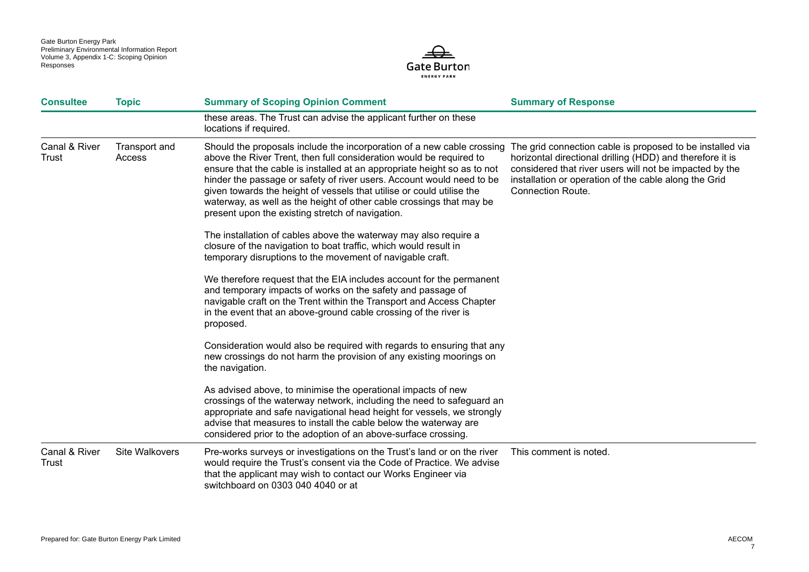

| <b>Consultee</b>              | <b>Topic</b>            | <b>Summary of Scoping Opinion Comment</b>                                                                                                                                                                                                                                                                                                                                                                                                                                                               | <b>Summary of Response</b>                                                                                                                                                                                                                                             |
|-------------------------------|-------------------------|---------------------------------------------------------------------------------------------------------------------------------------------------------------------------------------------------------------------------------------------------------------------------------------------------------------------------------------------------------------------------------------------------------------------------------------------------------------------------------------------------------|------------------------------------------------------------------------------------------------------------------------------------------------------------------------------------------------------------------------------------------------------------------------|
|                               |                         | these areas. The Trust can advise the applicant further on these<br>locations if required.                                                                                                                                                                                                                                                                                                                                                                                                              |                                                                                                                                                                                                                                                                        |
| Canal & River<br><b>Trust</b> | Transport and<br>Access | Should the proposals include the incorporation of a new cable crossing<br>above the River Trent, then full consideration would be required to<br>ensure that the cable is installed at an appropriate height so as to not<br>hinder the passage or safety of river users. Account would need to be<br>given towards the height of vessels that utilise or could utilise the<br>waterway, as well as the height of other cable crossings that may be<br>present upon the existing stretch of navigation. | The grid connection cable is proposed to be installed via<br>horizontal directional drilling (HDD) and therefore it is<br>considered that river users will not be impacted by the<br>installation or operation of the cable along the Grid<br><b>Connection Route.</b> |
|                               |                         | The installation of cables above the waterway may also require a<br>closure of the navigation to boat traffic, which would result in<br>temporary disruptions to the movement of navigable craft.                                                                                                                                                                                                                                                                                                       |                                                                                                                                                                                                                                                                        |
|                               |                         | We therefore request that the EIA includes account for the permanent<br>and temporary impacts of works on the safety and passage of<br>navigable craft on the Trent within the Transport and Access Chapter<br>in the event that an above-ground cable crossing of the river is<br>proposed.                                                                                                                                                                                                            |                                                                                                                                                                                                                                                                        |
|                               |                         | Consideration would also be required with regards to ensuring that any<br>new crossings do not harm the provision of any existing moorings on<br>the navigation.                                                                                                                                                                                                                                                                                                                                        |                                                                                                                                                                                                                                                                        |
|                               |                         | As advised above, to minimise the operational impacts of new<br>crossings of the waterway network, including the need to safeguard an<br>appropriate and safe navigational head height for vessels, we strongly<br>advise that measures to install the cable below the waterway are<br>considered prior to the adoption of an above-surface crossing.                                                                                                                                                   |                                                                                                                                                                                                                                                                        |
| Canal & River<br>Trust        | Site Walkovers          | Pre-works surveys or investigations on the Trust's land or on the river<br>would require the Trust's consent via the Code of Practice. We advise<br>that the applicant may wish to contact our Works Engineer via<br>switchboard on 0303 040 4040 or at                                                                                                                                                                                                                                                 | This comment is noted.                                                                                                                                                                                                                                                 |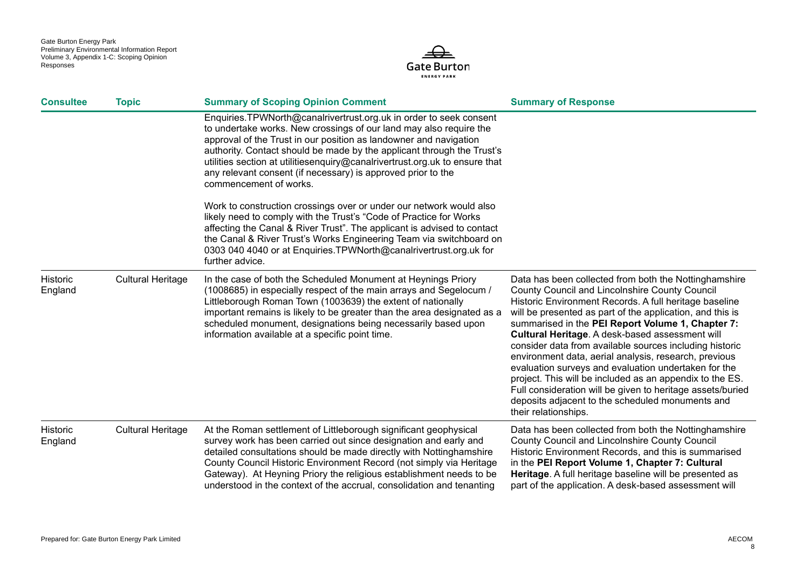

| <b>Consultee</b>           | <b>Topic</b>             | <b>Summary of Scoping Opinion Comment</b>                                                                                                                                                                                                                                                                                                                                                                                                                        | <b>Summary of Response</b>                                                                                                                                                                                                                                                                                                                                                                                                                                                                                                                                                                                                                                                                                               |
|----------------------------|--------------------------|------------------------------------------------------------------------------------------------------------------------------------------------------------------------------------------------------------------------------------------------------------------------------------------------------------------------------------------------------------------------------------------------------------------------------------------------------------------|--------------------------------------------------------------------------------------------------------------------------------------------------------------------------------------------------------------------------------------------------------------------------------------------------------------------------------------------------------------------------------------------------------------------------------------------------------------------------------------------------------------------------------------------------------------------------------------------------------------------------------------------------------------------------------------------------------------------------|
|                            |                          | Enquiries.TPWNorth@canalrivertrust.org.uk in order to seek consent<br>to undertake works. New crossings of our land may also require the<br>approval of the Trust in our position as landowner and navigation<br>authority. Contact should be made by the applicant through the Trust's<br>utilities section at utilitiesenquiry@canalrivertrust.org.uk to ensure that<br>any relevant consent (if necessary) is approved prior to the<br>commencement of works. |                                                                                                                                                                                                                                                                                                                                                                                                                                                                                                                                                                                                                                                                                                                          |
|                            |                          | Work to construction crossings over or under our network would also<br>likely need to comply with the Trust's "Code of Practice for Works<br>affecting the Canal & River Trust". The applicant is advised to contact<br>the Canal & River Trust's Works Engineering Team via switchboard on<br>0303 040 4040 or at Enquiries. TPWNorth@canalrivertrust.org.uk for<br>further advice.                                                                             |                                                                                                                                                                                                                                                                                                                                                                                                                                                                                                                                                                                                                                                                                                                          |
| Historic<br>England        | <b>Cultural Heritage</b> | In the case of both the Scheduled Monument at Heynings Priory<br>(1008685) in especially respect of the main arrays and Segelocum /<br>Littleborough Roman Town (1003639) the extent of nationally<br>important remains is likely to be greater than the area designated as a<br>scheduled monument, designations being necessarily based upon<br>information available at a specific point time.                                                                | Data has been collected from both the Nottinghamshire<br>County Council and Lincolnshire County Council<br>Historic Environment Records. A full heritage baseline<br>will be presented as part of the application, and this is<br>summarised in the PEI Report Volume 1, Chapter 7:<br>Cultural Heritage. A desk-based assessment will<br>consider data from available sources including historic<br>environment data, aerial analysis, research, previous<br>evaluation surveys and evaluation undertaken for the<br>project. This will be included as an appendix to the ES.<br>Full consideration will be given to heritage assets/buried<br>deposits adjacent to the scheduled monuments and<br>their relationships. |
| <b>Historic</b><br>England | <b>Cultural Heritage</b> | At the Roman settlement of Littleborough significant geophysical<br>survey work has been carried out since designation and early and<br>detailed consultations should be made directly with Nottinghamshire<br>County Council Historic Environment Record (not simply via Heritage<br>Gateway). At Heyning Priory the religious establishment needs to be<br>understood in the context of the accrual, consolidation and tenanting                               | Data has been collected from both the Nottinghamshire<br>County Council and Lincolnshire County Council<br>Historic Environment Records, and this is summarised<br>in the PEI Report Volume 1, Chapter 7: Cultural<br>Heritage. A full heritage baseline will be presented as<br>part of the application. A desk-based assessment will                                                                                                                                                                                                                                                                                                                                                                                   |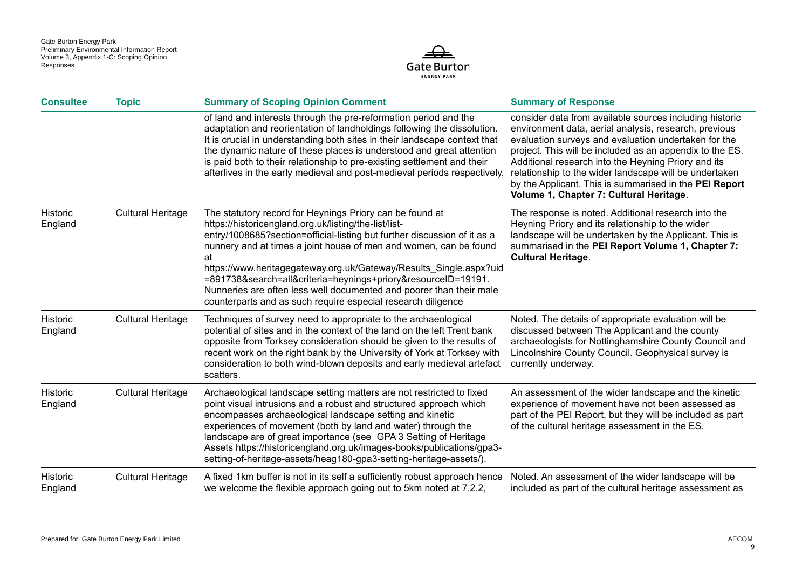

| <b>Consultee</b>    | <b>Topic</b>             | <b>Summary of Scoping Opinion Comment</b>                                                                                                                                                                                                                                                                                                                                                                                                                                                                                                              | <b>Summary of Response</b>                                                                                                                                                                                                                                                                                                                                                                                                                                 |
|---------------------|--------------------------|--------------------------------------------------------------------------------------------------------------------------------------------------------------------------------------------------------------------------------------------------------------------------------------------------------------------------------------------------------------------------------------------------------------------------------------------------------------------------------------------------------------------------------------------------------|------------------------------------------------------------------------------------------------------------------------------------------------------------------------------------------------------------------------------------------------------------------------------------------------------------------------------------------------------------------------------------------------------------------------------------------------------------|
|                     |                          | of land and interests through the pre-reformation period and the<br>adaptation and reorientation of landholdings following the dissolution.<br>It is crucial in understanding both sites in their landscape context that<br>the dynamic nature of these places is understood and great attention<br>is paid both to their relationship to pre-existing settlement and their<br>afterlives in the early medieval and post-medieval periods respectively.                                                                                                | consider data from available sources including historic<br>environment data, aerial analysis, research, previous<br>evaluation surveys and evaluation undertaken for the<br>project. This will be included as an appendix to the ES.<br>Additional research into the Heyning Priory and its<br>relationship to the wider landscape will be undertaken<br>by the Applicant. This is summarised in the PEI Report<br>Volume 1, Chapter 7: Cultural Heritage. |
| Historic<br>England | <b>Cultural Heritage</b> | The statutory record for Heynings Priory can be found at<br>https://historicengland.org.uk/listing/the-list/list-<br>entry/1008685?section=official-listing but further discussion of it as a<br>nunnery and at times a joint house of men and women, can be found<br>at<br>https://www.heritagegateway.org.uk/Gateway/Results_Single.aspx?uid<br>=891738&search=all&criteria=heynings+priory&resourceID=19191.<br>Nunneries are often less well documented and poorer than their male<br>counterparts and as such require especial research diligence | The response is noted. Additional research into the<br>Heyning Priory and its relationship to the wider<br>landscape will be undertaken by the Applicant. This is<br>summarised in the PEI Report Volume 1, Chapter 7:<br><b>Cultural Heritage.</b>                                                                                                                                                                                                        |
| Historic<br>England | <b>Cultural Heritage</b> | Techniques of survey need to appropriate to the archaeological<br>potential of sites and in the context of the land on the left Trent bank<br>opposite from Torksey consideration should be given to the results of<br>recent work on the right bank by the University of York at Torksey with<br>consideration to both wind-blown deposits and early medieval artefact<br>scatters.                                                                                                                                                                   | Noted. The details of appropriate evaluation will be<br>discussed between The Applicant and the county<br>archaeologists for Nottinghamshire County Council and<br>Lincolnshire County Council. Geophysical survey is<br>currently underway.                                                                                                                                                                                                               |
| Historic<br>England | <b>Cultural Heritage</b> | Archaeological landscape setting matters are not restricted to fixed<br>point visual intrusions and a robust and structured approach which<br>encompasses archaeological landscape setting and kinetic<br>experiences of movement (both by land and water) through the<br>landscape are of great importance (see GPA 3 Setting of Heritage<br>Assets https://historicengland.org.uk/images-books/publications/gpa3-<br>setting-of-heritage-assets/heag180-gpa3-setting-heritage-assets/).                                                              | An assessment of the wider landscape and the kinetic<br>experience of movement have not been assessed as<br>part of the PEI Report, but they will be included as part<br>of the cultural heritage assessment in the ES.                                                                                                                                                                                                                                    |
| Historic<br>England | <b>Cultural Heritage</b> | A fixed 1km buffer is not in its self a sufficiently robust approach hence<br>we welcome the flexible approach going out to 5km noted at 7.2.2,                                                                                                                                                                                                                                                                                                                                                                                                        | Noted. An assessment of the wider landscape will be<br>included as part of the cultural heritage assessment as                                                                                                                                                                                                                                                                                                                                             |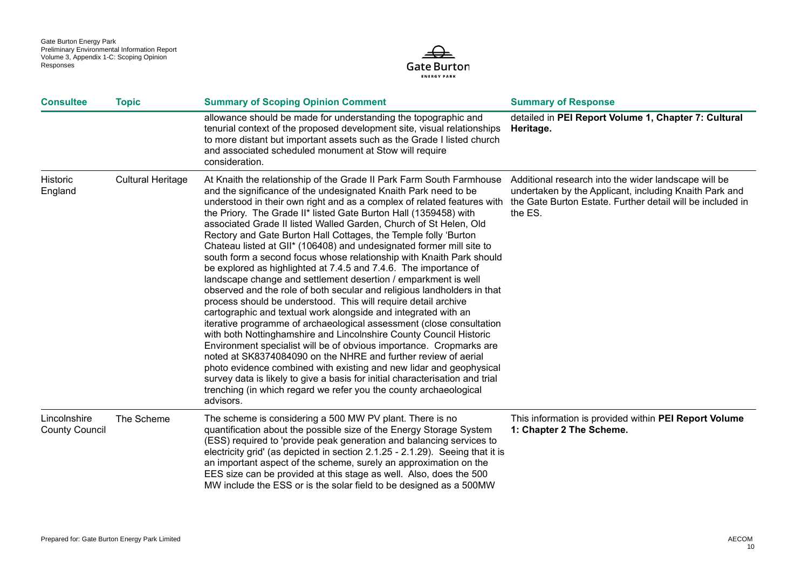

| <b>Consultee</b>                      | <b>Topic</b>             | <b>Summary of Scoping Opinion Comment</b>                                                                                                                                                                                                                                                                                                                                                                                                                                                                                                                                                                                                                                                                                                                                                                                                                                                                                                                                                                                                                                                                                                                                                                                                                                                                                                                                                                                                                           | <b>Summary of Response</b>                                                                                                                                                              |
|---------------------------------------|--------------------------|---------------------------------------------------------------------------------------------------------------------------------------------------------------------------------------------------------------------------------------------------------------------------------------------------------------------------------------------------------------------------------------------------------------------------------------------------------------------------------------------------------------------------------------------------------------------------------------------------------------------------------------------------------------------------------------------------------------------------------------------------------------------------------------------------------------------------------------------------------------------------------------------------------------------------------------------------------------------------------------------------------------------------------------------------------------------------------------------------------------------------------------------------------------------------------------------------------------------------------------------------------------------------------------------------------------------------------------------------------------------------------------------------------------------------------------------------------------------|-----------------------------------------------------------------------------------------------------------------------------------------------------------------------------------------|
|                                       |                          | allowance should be made for understanding the topographic and<br>tenurial context of the proposed development site, visual relationships<br>to more distant but important assets such as the Grade I listed church<br>and associated scheduled monument at Stow will require<br>consideration.                                                                                                                                                                                                                                                                                                                                                                                                                                                                                                                                                                                                                                                                                                                                                                                                                                                                                                                                                                                                                                                                                                                                                                     | detailed in PEI Report Volume 1, Chapter 7: Cultural<br>Heritage.                                                                                                                       |
| Historic<br>England                   | <b>Cultural Heritage</b> | At Knaith the relationship of the Grade II Park Farm South Farmhouse<br>and the significance of the undesignated Knaith Park need to be<br>understood in their own right and as a complex of related features with<br>the Priory. The Grade II* listed Gate Burton Hall (1359458) with<br>associated Grade II listed Walled Garden, Church of St Helen, Old<br>Rectory and Gate Burton Hall Cottages, the Temple folly 'Burton<br>Chateau listed at GII* (106408) and undesignated former mill site to<br>south form a second focus whose relationship with Knaith Park should<br>be explored as highlighted at 7.4.5 and 7.4.6. The importance of<br>landscape change and settlement desertion / emparkment is well<br>observed and the role of both secular and religious landholders in that<br>process should be understood. This will require detail archive<br>cartographic and textual work alongside and integrated with an<br>iterative programme of archaeological assessment (close consultation<br>with both Nottinghamshire and Lincolnshire County Council Historic<br>Environment specialist will be of obvious importance. Cropmarks are<br>noted at SK8374084090 on the NHRE and further review of aerial<br>photo evidence combined with existing and new lidar and geophysical<br>survey data is likely to give a basis for initial characterisation and trial<br>trenching (in which regard we refer you the county archaeological<br>advisors. | Additional research into the wider landscape will be<br>undertaken by the Applicant, including Knaith Park and<br>the Gate Burton Estate. Further detail will be included in<br>the ES. |
| Lincolnshire<br><b>County Council</b> | The Scheme               | The scheme is considering a 500 MW PV plant. There is no<br>quantification about the possible size of the Energy Storage System<br>(ESS) required to 'provide peak generation and balancing services to<br>electricity grid' (as depicted in section 2.1.25 - 2.1.29). Seeing that it is<br>an important aspect of the scheme, surely an approximation on the<br>EES size can be provided at this stage as well. Also, does the 500<br>MW include the ESS or is the solar field to be designed as a 500MW                                                                                                                                                                                                                                                                                                                                                                                                                                                                                                                                                                                                                                                                                                                                                                                                                                                                                                                                                           | This information is provided within PEI Report Volume<br>1: Chapter 2 The Scheme.                                                                                                       |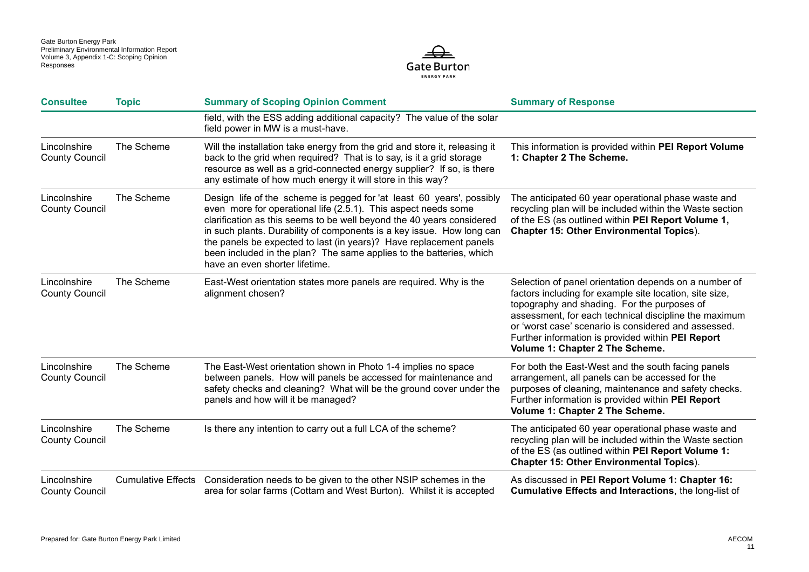

| <b>Consultee</b>                      | <b>Topic</b>              | <b>Summary of Scoping Opinion Comment</b>                                                                                                                                                                                                                                                                                                                                                                                                                                | <b>Summary of Response</b>                                                                                                                                                                                                                                                                                                                                               |
|---------------------------------------|---------------------------|--------------------------------------------------------------------------------------------------------------------------------------------------------------------------------------------------------------------------------------------------------------------------------------------------------------------------------------------------------------------------------------------------------------------------------------------------------------------------|--------------------------------------------------------------------------------------------------------------------------------------------------------------------------------------------------------------------------------------------------------------------------------------------------------------------------------------------------------------------------|
|                                       |                           | field, with the ESS adding additional capacity? The value of the solar<br>field power in MW is a must-have.                                                                                                                                                                                                                                                                                                                                                              |                                                                                                                                                                                                                                                                                                                                                                          |
| Lincolnshire<br><b>County Council</b> | The Scheme                | Will the installation take energy from the grid and store it, releasing it<br>back to the grid when required? That is to say, is it a grid storage<br>resource as well as a grid-connected energy supplier? If so, is there<br>any estimate of how much energy it will store in this way?                                                                                                                                                                                | This information is provided within PEI Report Volume<br>1: Chapter 2 The Scheme.                                                                                                                                                                                                                                                                                        |
| Lincolnshire<br><b>County Council</b> | The Scheme                | Design life of the scheme is pegged for 'at least 60 years', possibly<br>even more for operational life (2.5.1). This aspect needs some<br>clarification as this seems to be well beyond the 40 years considered<br>in such plants. Durability of components is a key issue. How long can<br>the panels be expected to last (in years)? Have replacement panels<br>been included in the plan? The same applies to the batteries, which<br>have an even shorter lifetime. | The anticipated 60 year operational phase waste and<br>recycling plan will be included within the Waste section<br>of the ES (as outlined within PEI Report Volume 1,<br><b>Chapter 15: Other Environmental Topics).</b>                                                                                                                                                 |
| Lincolnshire<br><b>County Council</b> | The Scheme                | East-West orientation states more panels are required. Why is the<br>alignment chosen?                                                                                                                                                                                                                                                                                                                                                                                   | Selection of panel orientation depends on a number of<br>factors including for example site location, site size,<br>topography and shading. For the purposes of<br>assessment, for each technical discipline the maximum<br>or 'worst case' scenario is considered and assessed.<br>Further information is provided within PEI Report<br>Volume 1: Chapter 2 The Scheme. |
| Lincolnshire<br><b>County Council</b> | The Scheme                | The East-West orientation shown in Photo 1-4 implies no space<br>between panels. How will panels be accessed for maintenance and<br>safety checks and cleaning? What will be the ground cover under the<br>panels and how will it be managed?                                                                                                                                                                                                                            | For both the East-West and the south facing panels<br>arrangement, all panels can be accessed for the<br>purposes of cleaning, maintenance and safety checks.<br>Further information is provided within PEI Report<br>Volume 1: Chapter 2 The Scheme.                                                                                                                    |
| Lincolnshire<br><b>County Council</b> | The Scheme                | Is there any intention to carry out a full LCA of the scheme?                                                                                                                                                                                                                                                                                                                                                                                                            | The anticipated 60 year operational phase waste and<br>recycling plan will be included within the Waste section<br>of the ES (as outlined within PEI Report Volume 1:<br><b>Chapter 15: Other Environmental Topics).</b>                                                                                                                                                 |
| Lincolnshire<br><b>County Council</b> | <b>Cumulative Effects</b> | Consideration needs to be given to the other NSIP schemes in the<br>area for solar farms (Cottam and West Burton). Whilst it is accepted                                                                                                                                                                                                                                                                                                                                 | As discussed in PEI Report Volume 1: Chapter 16:<br><b>Cumulative Effects and Interactions, the long-list of</b>                                                                                                                                                                                                                                                         |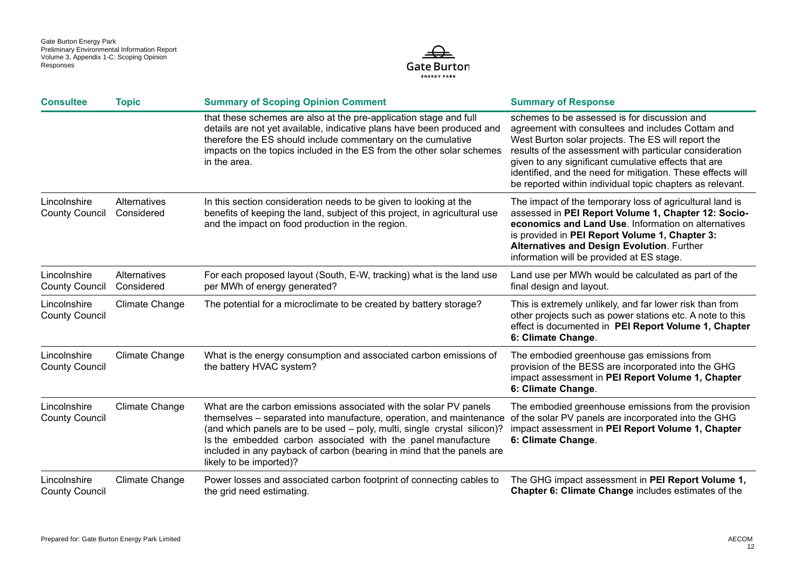

| <b>Consultee</b>                      | <b>Topic</b>               | <b>Summary of Scoping Opinion Comment</b>                                                                                                                                                                                                                                                                                                                                                 | <b>Summary of Response</b>                                                                                                                                                                                                                                                                                                                                                                             |
|---------------------------------------|----------------------------|-------------------------------------------------------------------------------------------------------------------------------------------------------------------------------------------------------------------------------------------------------------------------------------------------------------------------------------------------------------------------------------------|--------------------------------------------------------------------------------------------------------------------------------------------------------------------------------------------------------------------------------------------------------------------------------------------------------------------------------------------------------------------------------------------------------|
|                                       |                            | that these schemes are also at the pre-application stage and full<br>details are not yet available, indicative plans have been produced and<br>therefore the ES should include commentary on the cumulative<br>impacts on the topics included in the ES from the other solar schemes<br>in the area.                                                                                      | schemes to be assessed is for discussion and<br>agreement with consultees and includes Cottam and<br>West Burton solar projects. The ES will report the<br>results of the assessment with particular consideration<br>given to any significant cumulative effects that are<br>identified, and the need for mitigation. These effects will<br>be reported within individual topic chapters as relevant. |
| Lincolnshire<br><b>County Council</b> | Alternatives<br>Considered | In this section consideration needs to be given to looking at the<br>benefits of keeping the land, subject of this project, in agricultural use<br>and the impact on food production in the region.                                                                                                                                                                                       | The impact of the temporary loss of agricultural land is<br>assessed in PEI Report Volume 1, Chapter 12: Socio-<br>economics and Land Use. Information on alternatives<br>is provided in PEI Report Volume 1, Chapter 3:<br><b>Alternatives and Design Evolution. Further</b><br>information will be provided at ES stage.                                                                             |
| Lincolnshire<br><b>County Council</b> | Alternatives<br>Considered | For each proposed layout (South, E-W, tracking) what is the land use<br>per MWh of energy generated?                                                                                                                                                                                                                                                                                      | Land use per MWh would be calculated as part of the<br>final design and layout.                                                                                                                                                                                                                                                                                                                        |
| Lincolnshire<br><b>County Council</b> | <b>Climate Change</b>      | The potential for a microclimate to be created by battery storage?                                                                                                                                                                                                                                                                                                                        | This is extremely unlikely, and far lower risk than from<br>other projects such as power stations etc. A note to this<br>effect is documented in PEI Report Volume 1, Chapter<br>6: Climate Change.                                                                                                                                                                                                    |
| Lincolnshire<br><b>County Council</b> | <b>Climate Change</b>      | What is the energy consumption and associated carbon emissions of<br>the battery HVAC system?                                                                                                                                                                                                                                                                                             | The embodied greenhouse gas emissions from<br>provision of the BESS are incorporated into the GHG<br>impact assessment in PEI Report Volume 1, Chapter<br>6: Climate Change.                                                                                                                                                                                                                           |
| Lincolnshire<br><b>County Council</b> | <b>Climate Change</b>      | What are the carbon emissions associated with the solar PV panels<br>themselves – separated into manufacture, operation, and maintenance<br>(and which panels are to be used - poly, multi, single crystal silicon)?<br>Is the embedded carbon associated with the panel manufacture<br>included in any payback of carbon (bearing in mind that the panels are<br>likely to be imported)? | The embodied greenhouse emissions from the provision<br>of the solar PV panels are incorporated into the GHG<br>impact assessment in PEI Report Volume 1, Chapter<br>6: Climate Change.                                                                                                                                                                                                                |
| Lincolnshire<br><b>County Council</b> | <b>Climate Change</b>      | Power losses and associated carbon footprint of connecting cables to<br>the grid need estimating.                                                                                                                                                                                                                                                                                         | The GHG impact assessment in PEI Report Volume 1,<br><b>Chapter 6: Climate Change includes estimates of the</b>                                                                                                                                                                                                                                                                                        |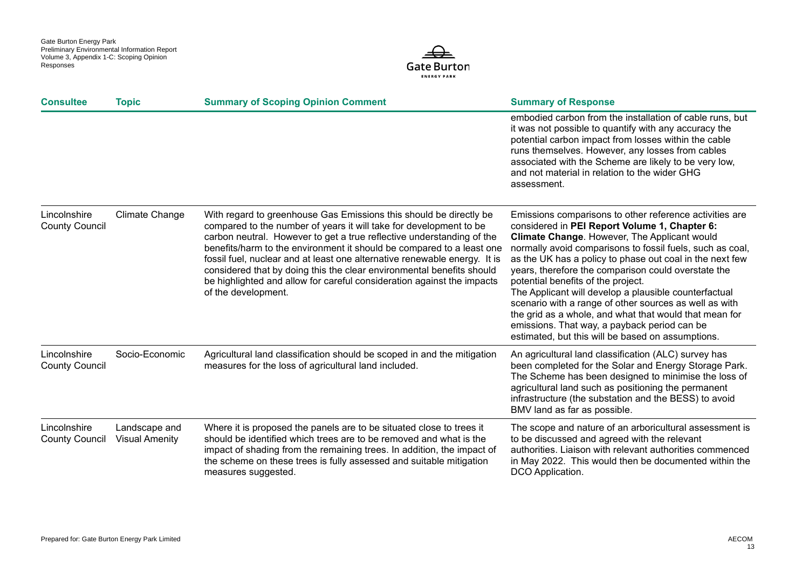

| <b>Consultee</b>                      | <b>Topic</b>                           | <b>Summary of Scoping Opinion Comment</b>                                                                                                                                                                                                                                                                                                                                                                                                                                                                                                         | <b>Summary of Response</b>                                                                                                                                                                                                                                                                                                                                                                                                                                                                                                                                                                                                                                       |
|---------------------------------------|----------------------------------------|---------------------------------------------------------------------------------------------------------------------------------------------------------------------------------------------------------------------------------------------------------------------------------------------------------------------------------------------------------------------------------------------------------------------------------------------------------------------------------------------------------------------------------------------------|------------------------------------------------------------------------------------------------------------------------------------------------------------------------------------------------------------------------------------------------------------------------------------------------------------------------------------------------------------------------------------------------------------------------------------------------------------------------------------------------------------------------------------------------------------------------------------------------------------------------------------------------------------------|
|                                       |                                        |                                                                                                                                                                                                                                                                                                                                                                                                                                                                                                                                                   | embodied carbon from the installation of cable runs, but<br>it was not possible to quantify with any accuracy the<br>potential carbon impact from losses within the cable<br>runs themselves. However, any losses from cables<br>associated with the Scheme are likely to be very low,<br>and not material in relation to the wider GHG<br>assessment.                                                                                                                                                                                                                                                                                                           |
| Lincolnshire<br><b>County Council</b> | <b>Climate Change</b>                  | With regard to greenhouse Gas Emissions this should be directly be<br>compared to the number of years it will take for development to be<br>carbon neutral. However to get a true reflective understanding of the<br>benefits/harm to the environment it should be compared to a least one<br>fossil fuel, nuclear and at least one alternative renewable energy. It is<br>considered that by doing this the clear environmental benefits should<br>be highlighted and allow for careful consideration against the impacts<br>of the development. | Emissions comparisons to other reference activities are<br>considered in PEI Report Volume 1, Chapter 6:<br>Climate Change. However, The Applicant would<br>normally avoid comparisons to fossil fuels, such as coal,<br>as the UK has a policy to phase out coal in the next few<br>years, therefore the comparison could overstate the<br>potential benefits of the project.<br>The Applicant will develop a plausible counterfactual<br>scenario with a range of other sources as well as with<br>the grid as a whole, and what that would that mean for<br>emissions. That way, a payback period can be<br>estimated, but this will be based on assumptions. |
| Lincolnshire<br><b>County Council</b> | Socio-Economic                         | Agricultural land classification should be scoped in and the mitigation<br>measures for the loss of agricultural land included.                                                                                                                                                                                                                                                                                                                                                                                                                   | An agricultural land classification (ALC) survey has<br>been completed for the Solar and Energy Storage Park.<br>The Scheme has been designed to minimise the loss of<br>agricultural land such as positioning the permanent<br>infrastructure (the substation and the BESS) to avoid<br>BMV land as far as possible.                                                                                                                                                                                                                                                                                                                                            |
| Lincolnshire<br><b>County Council</b> | Landscape and<br><b>Visual Amenity</b> | Where it is proposed the panels are to be situated close to trees it<br>should be identified which trees are to be removed and what is the<br>impact of shading from the remaining trees. In addition, the impact of<br>the scheme on these trees is fully assessed and suitable mitigation<br>measures suggested.                                                                                                                                                                                                                                | The scope and nature of an arboricultural assessment is<br>to be discussed and agreed with the relevant<br>authorities. Liaison with relevant authorities commenced<br>in May 2022. This would then be documented within the<br>DCO Application.                                                                                                                                                                                                                                                                                                                                                                                                                 |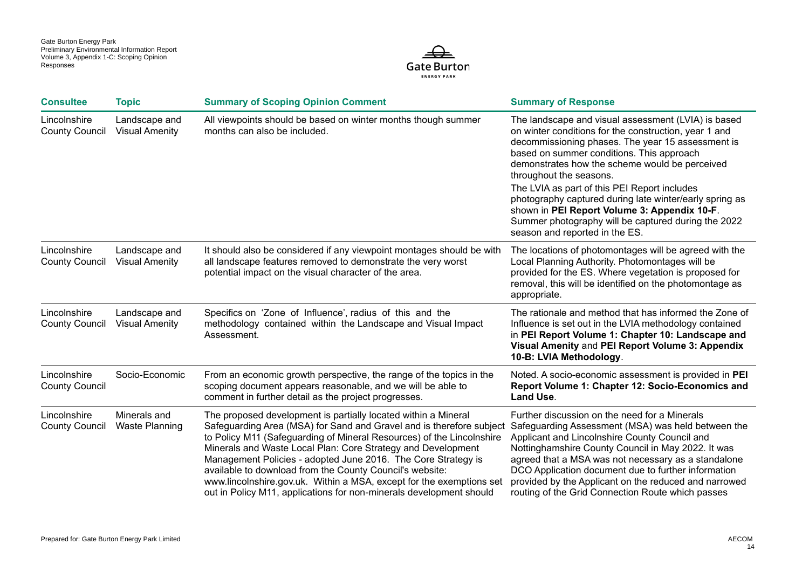

| <b>Consultee</b>                      | <b>Topic</b>                           | <b>Summary of Scoping Opinion Comment</b>                                                                                                                                                                                                                                                                                                                                                                                                                                                                                                                   | <b>Summary of Response</b>                                                                                                                                                                                                                                                                                                                                                                                                                                                                                                                      |
|---------------------------------------|----------------------------------------|-------------------------------------------------------------------------------------------------------------------------------------------------------------------------------------------------------------------------------------------------------------------------------------------------------------------------------------------------------------------------------------------------------------------------------------------------------------------------------------------------------------------------------------------------------------|-------------------------------------------------------------------------------------------------------------------------------------------------------------------------------------------------------------------------------------------------------------------------------------------------------------------------------------------------------------------------------------------------------------------------------------------------------------------------------------------------------------------------------------------------|
| Lincolnshire<br><b>County Council</b> | Landscape and<br><b>Visual Amenity</b> | All viewpoints should be based on winter months though summer<br>months can also be included.                                                                                                                                                                                                                                                                                                                                                                                                                                                               | The landscape and visual assessment (LVIA) is based<br>on winter conditions for the construction, year 1 and<br>decommissioning phases. The year 15 assessment is<br>based on summer conditions. This approach<br>demonstrates how the scheme would be perceived<br>throughout the seasons.<br>The LVIA as part of this PEI Report includes<br>photography captured during late winter/early spring as<br>shown in PEI Report Volume 3: Appendix 10-F.<br>Summer photography will be captured during the 2022<br>season and reported in the ES. |
| Lincolnshire<br><b>County Council</b> | Landscape and<br><b>Visual Amenity</b> | It should also be considered if any viewpoint montages should be with<br>all landscape features removed to demonstrate the very worst<br>potential impact on the visual character of the area.                                                                                                                                                                                                                                                                                                                                                              | The locations of photomontages will be agreed with the<br>Local Planning Authority. Photomontages will be<br>provided for the ES. Where vegetation is proposed for<br>removal, this will be identified on the photomontage as<br>appropriate.                                                                                                                                                                                                                                                                                                   |
| Lincolnshire<br><b>County Council</b> | Landscape and<br><b>Visual Amenity</b> | Specifics on 'Zone of Influence', radius of this and the<br>methodology contained within the Landscape and Visual Impact<br>Assessment.                                                                                                                                                                                                                                                                                                                                                                                                                     | The rationale and method that has informed the Zone of<br>Influence is set out in the LVIA methodology contained<br>in PEI Report Volume 1: Chapter 10: Landscape and<br>Visual Amenity and PEI Report Volume 3: Appendix<br>10-B: LVIA Methodology.                                                                                                                                                                                                                                                                                            |
| Lincolnshire<br><b>County Council</b> | Socio-Economic                         | From an economic growth perspective, the range of the topics in the<br>scoping document appears reasonable, and we will be able to<br>comment in further detail as the project progresses.                                                                                                                                                                                                                                                                                                                                                                  | Noted. A socio-economic assessment is provided in PEI<br>Report Volume 1: Chapter 12: Socio-Economics and<br>Land Use.                                                                                                                                                                                                                                                                                                                                                                                                                          |
| Lincolnshire<br><b>County Council</b> | Minerals and<br><b>Waste Planning</b>  | The proposed development is partially located within a Mineral<br>Safeguarding Area (MSA) for Sand and Gravel and is therefore subject<br>to Policy M11 (Safeguarding of Mineral Resources) of the Lincolnshire<br>Minerals and Waste Local Plan: Core Strategy and Development<br>Management Policies - adopted June 2016. The Core Strategy is<br>available to download from the County Council's website:<br>www.lincolnshire.gov.uk. Within a MSA, except for the exemptions set<br>out in Policy M11, applications for non-minerals development should | Further discussion on the need for a Minerals<br>Safeguarding Assessment (MSA) was held between the<br>Applicant and Lincolnshire County Council and<br>Nottinghamshire County Council in May 2022. It was<br>agreed that a MSA was not necessary as a standalone<br>DCO Application document due to further information<br>provided by the Applicant on the reduced and narrowed<br>routing of the Grid Connection Route which passes                                                                                                          |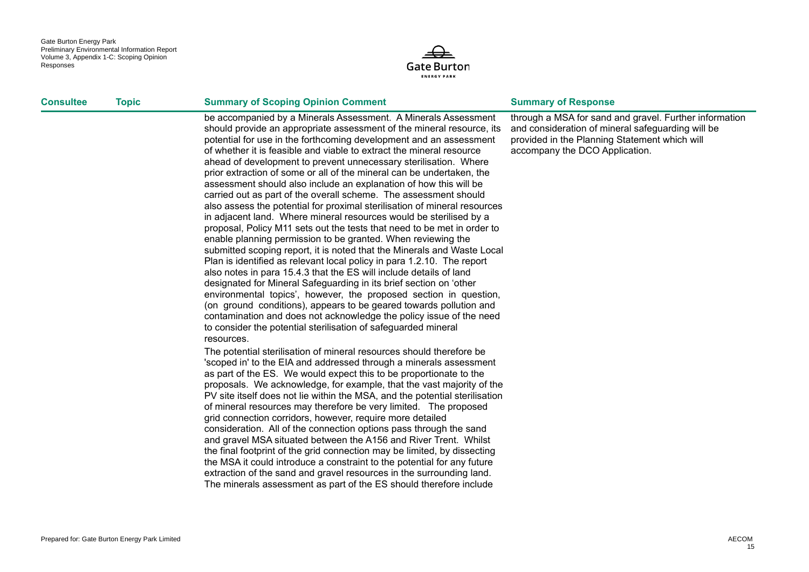

#### **Consultee <b>Topic Summary of Scoping Opinion Comment Summary of Response**

be accompanied by a Minerals Assessment. A Minerals Assessment should provide an appropriate assessment of the mineral resource, its potential for use in the forthcoming development and an assessment of whether it is feasible and viable to extract the mineral resource ahead of development to prevent unnecessary sterilisation. Where prior extraction of some or all of the mineral can be undertaken, the assessment should also include an explanation of how this will be carried out as part of the overall scheme. The assessment should also assess the potential for proximal sterilisation of mineral resources in adjacent land. Where mineral resources would be sterilised by a proposal, Policy M11 sets out the tests that need to be met in order to enable planning permission to be granted. When reviewing the submitted scoping report, it is noted that the Minerals and Waste Local Plan is identified as relevant local policy in para 1.2.10. The report also notes in para 15.4.3 that the ES will include details of land designated for Mineral Safeguarding in its brief section on 'other environmental topics', however, the proposed section in question, (on ground conditions), appears to be geared towards pollution and contamination and does not acknowledge the policy issue of the need to consider the potential sterilisation of safeguarded mineral resources.

The potential sterilisation of mineral resources should therefore be 'scoped in' to the EIA and addressed through a minerals assessment as part of the ES. We would expect this to be proportionate to the proposals. We acknowledge, for example, that the vast majority of the PV site itself does not lie within the MSA, and the potential sterilisation of mineral resources may therefore be very limited. The proposed grid connection corridors, however, require more detailed consideration. All of the connection options pass through the sand and gravel MSA situated between the A156 and River Trent. Whilst the final footprint of the grid connection may be limited, by dissecting the MSA it could introduce a constraint to the potential for any future extraction of the sand and gravel resources in the surrounding land. The minerals assessment as part of the ES should therefore include

through a MSA for sand and gravel. Further information and consideration of mineral safeguarding will be provided in the Planning Statement which will accompany the DCO Application.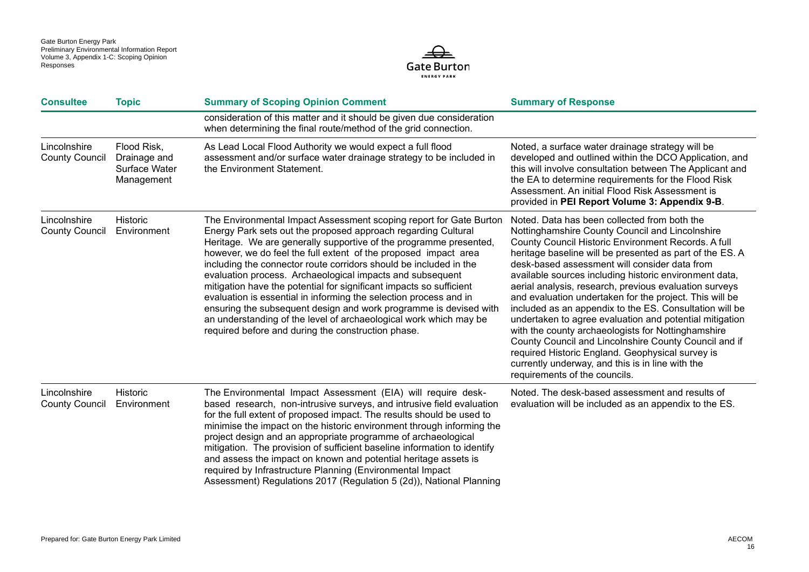

| <b>Consultee</b>                      | <b>Topic</b>                                               | <b>Summary of Scoping Opinion Comment</b>                                                                                                                                                                                                                                                                                                                                                                                                                                                                                                                                                                                                                                                                                                                 | <b>Summary of Response</b>                                                                                                                                                                                                                                                                                                                                                                                                                                                                                                                                                                                                                                                                                                                                                                                                       |
|---------------------------------------|------------------------------------------------------------|-----------------------------------------------------------------------------------------------------------------------------------------------------------------------------------------------------------------------------------------------------------------------------------------------------------------------------------------------------------------------------------------------------------------------------------------------------------------------------------------------------------------------------------------------------------------------------------------------------------------------------------------------------------------------------------------------------------------------------------------------------------|----------------------------------------------------------------------------------------------------------------------------------------------------------------------------------------------------------------------------------------------------------------------------------------------------------------------------------------------------------------------------------------------------------------------------------------------------------------------------------------------------------------------------------------------------------------------------------------------------------------------------------------------------------------------------------------------------------------------------------------------------------------------------------------------------------------------------------|
|                                       |                                                            | consideration of this matter and it should be given due consideration<br>when determining the final route/method of the grid connection.                                                                                                                                                                                                                                                                                                                                                                                                                                                                                                                                                                                                                  |                                                                                                                                                                                                                                                                                                                                                                                                                                                                                                                                                                                                                                                                                                                                                                                                                                  |
| Lincolnshire<br><b>County Council</b> | Flood Risk,<br>Drainage and<br>Surface Water<br>Management | As Lead Local Flood Authority we would expect a full flood<br>assessment and/or surface water drainage strategy to be included in<br>the Environment Statement.                                                                                                                                                                                                                                                                                                                                                                                                                                                                                                                                                                                           | Noted, a surface water drainage strategy will be<br>developed and outlined within the DCO Application, and<br>this will involve consultation between The Applicant and<br>the EA to determine requirements for the Flood Risk<br>Assessment. An initial Flood Risk Assessment is<br>provided in PEI Report Volume 3: Appendix 9-B.                                                                                                                                                                                                                                                                                                                                                                                                                                                                                               |
| Lincolnshire<br><b>County Council</b> | Historic<br>Environment                                    | The Environmental Impact Assessment scoping report for Gate Burton<br>Energy Park sets out the proposed approach regarding Cultural<br>Heritage. We are generally supportive of the programme presented,<br>however, we do feel the full extent of the proposed impact area<br>including the connector route corridors should be included in the<br>evaluation process. Archaeological impacts and subsequent<br>mitigation have the potential for significant impacts so sufficient<br>evaluation is essential in informing the selection process and in<br>ensuring the subsequent design and work programme is devised with<br>an understanding of the level of archaeological work which may be<br>required before and during the construction phase. | Noted. Data has been collected from both the<br>Nottinghamshire County Council and Lincolnshire<br>County Council Historic Environment Records. A full<br>heritage baseline will be presented as part of the ES. A<br>desk-based assessment will consider data from<br>available sources including historic environment data,<br>aerial analysis, research, previous evaluation surveys<br>and evaluation undertaken for the project. This will be<br>included as an appendix to the ES. Consultation will be<br>undertaken to agree evaluation and potential mitigation<br>with the county archaeologists for Nottinghamshire<br>County Council and Lincolnshire County Council and if<br>required Historic England. Geophysical survey is<br>currently underway, and this is in line with the<br>requirements of the councils. |
| Lincolnshire<br><b>County Council</b> | Historic<br>Environment                                    | The Environmental Impact Assessment (EIA) will require desk-<br>based research, non-intrusive surveys, and intrusive field evaluation<br>for the full extent of proposed impact. The results should be used to<br>minimise the impact on the historic environment through informing the<br>project design and an appropriate programme of archaeological<br>mitigation. The provision of sufficient baseline information to identify<br>and assess the impact on known and potential heritage assets is<br>required by Infrastructure Planning (Environmental Impact<br>Assessment) Regulations 2017 (Regulation 5 (2d)), National Planning                                                                                                               | Noted. The desk-based assessment and results of<br>evaluation will be included as an appendix to the ES.                                                                                                                                                                                                                                                                                                                                                                                                                                                                                                                                                                                                                                                                                                                         |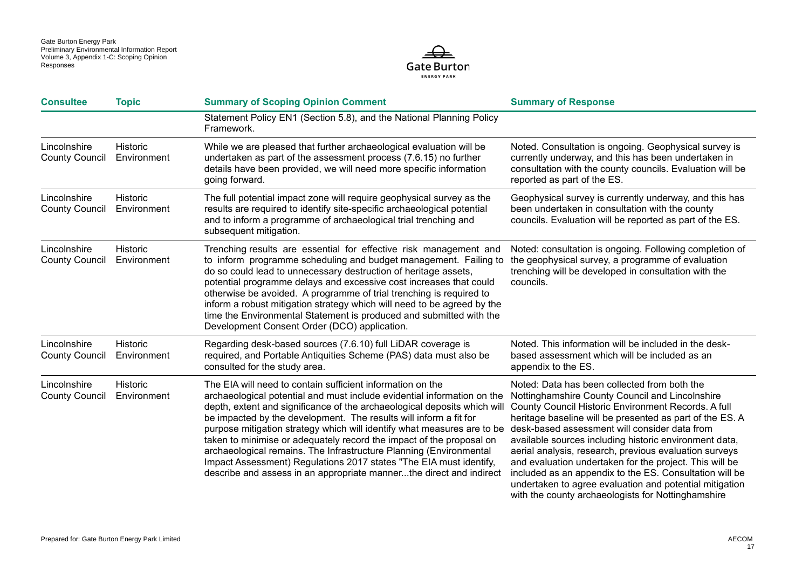

| <b>Consultee</b>                      | <b>Topic</b>                   | <b>Summary of Scoping Opinion Comment</b>                                                                                                                                                                                                                                                                                                                                                                                                                                                                                                                                                                                                                    | <b>Summary of Response</b>                                                                                                                                                                                                                                                                                                                                                                                                                                                                                                                                                                                                     |
|---------------------------------------|--------------------------------|--------------------------------------------------------------------------------------------------------------------------------------------------------------------------------------------------------------------------------------------------------------------------------------------------------------------------------------------------------------------------------------------------------------------------------------------------------------------------------------------------------------------------------------------------------------------------------------------------------------------------------------------------------------|--------------------------------------------------------------------------------------------------------------------------------------------------------------------------------------------------------------------------------------------------------------------------------------------------------------------------------------------------------------------------------------------------------------------------------------------------------------------------------------------------------------------------------------------------------------------------------------------------------------------------------|
|                                       |                                | Statement Policy EN1 (Section 5.8), and the National Planning Policy<br>Framework.                                                                                                                                                                                                                                                                                                                                                                                                                                                                                                                                                                           |                                                                                                                                                                                                                                                                                                                                                                                                                                                                                                                                                                                                                                |
| Lincolnshire<br><b>County Council</b> | Historic<br>Environment        | While we are pleased that further archaeological evaluation will be<br>undertaken as part of the assessment process (7.6.15) no further<br>details have been provided, we will need more specific information<br>going forward.                                                                                                                                                                                                                                                                                                                                                                                                                              | Noted. Consultation is ongoing. Geophysical survey is<br>currently underway, and this has been undertaken in<br>consultation with the county councils. Evaluation will be<br>reported as part of the ES.                                                                                                                                                                                                                                                                                                                                                                                                                       |
| Lincolnshire<br><b>County Council</b> | <b>Historic</b><br>Environment | The full potential impact zone will require geophysical survey as the<br>results are required to identify site-specific archaeological potential<br>and to inform a programme of archaeological trial trenching and<br>subsequent mitigation.                                                                                                                                                                                                                                                                                                                                                                                                                | Geophysical survey is currently underway, and this has<br>been undertaken in consultation with the county<br>councils. Evaluation will be reported as part of the ES.                                                                                                                                                                                                                                                                                                                                                                                                                                                          |
| Lincolnshire<br><b>County Council</b> | <b>Historic</b><br>Environment | Trenching results are essential for effective risk management and<br>to inform programme scheduling and budget management. Failing to<br>do so could lead to unnecessary destruction of heritage assets,<br>potential programme delays and excessive cost increases that could<br>otherwise be avoided. A programme of trial trenching is required to<br>inform a robust mitigation strategy which will need to be agreed by the<br>time the Environmental Statement is produced and submitted with the<br>Development Consent Order (DCO) application.                                                                                                      | Noted: consultation is ongoing. Following completion of<br>the geophysical survey, a programme of evaluation<br>trenching will be developed in consultation with the<br>councils.                                                                                                                                                                                                                                                                                                                                                                                                                                              |
| Lincolnshire<br><b>County Council</b> | <b>Historic</b><br>Environment | Regarding desk-based sources (7.6.10) full LiDAR coverage is<br>required, and Portable Antiquities Scheme (PAS) data must also be<br>consulted for the study area.                                                                                                                                                                                                                                                                                                                                                                                                                                                                                           | Noted. This information will be included in the desk-<br>based assessment which will be included as an<br>appendix to the ES.                                                                                                                                                                                                                                                                                                                                                                                                                                                                                                  |
| Lincolnshire<br><b>County Council</b> | <b>Historic</b><br>Environment | The EIA will need to contain sufficient information on the<br>archaeological potential and must include evidential information on the<br>depth, extent and significance of the archaeological deposits which will<br>be impacted by the development. The results will inform a fit for<br>purpose mitigation strategy which will identify what measures are to be<br>taken to minimise or adequately record the impact of the proposal on<br>archaeological remains. The Infrastructure Planning (Environmental<br>Impact Assessment) Regulations 2017 states "The EIA must identify,<br>describe and assess in an appropriate mannerthe direct and indirect | Noted: Data has been collected from both the<br>Nottinghamshire County Council and Lincolnshire<br>County Council Historic Environment Records. A full<br>heritage baseline will be presented as part of the ES. A<br>desk-based assessment will consider data from<br>available sources including historic environment data,<br>aerial analysis, research, previous evaluation surveys<br>and evaluation undertaken for the project. This will be<br>included as an appendix to the ES. Consultation will be<br>undertaken to agree evaluation and potential mitigation<br>with the county archaeologists for Nottinghamshire |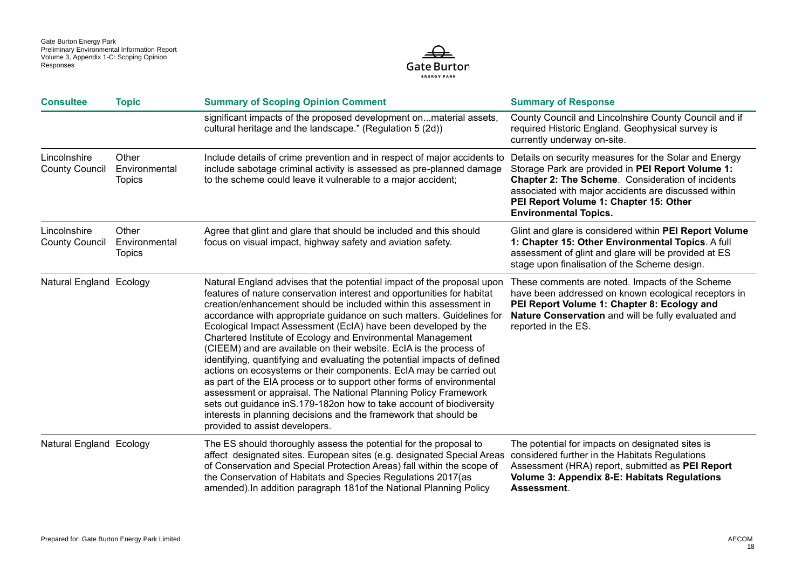

| <b>Consultee</b>                      | <b>Topic</b>                            | <b>Summary of Scoping Opinion Comment</b>                                                                                                                                                                                                                                                                                                                                                                                                                                                                                                                                                                                                                                                                                                                                                                                                                                                                                                                                        | <b>Summary of Response</b>                                                                                                                                                                                                                                                                               |
|---------------------------------------|-----------------------------------------|----------------------------------------------------------------------------------------------------------------------------------------------------------------------------------------------------------------------------------------------------------------------------------------------------------------------------------------------------------------------------------------------------------------------------------------------------------------------------------------------------------------------------------------------------------------------------------------------------------------------------------------------------------------------------------------------------------------------------------------------------------------------------------------------------------------------------------------------------------------------------------------------------------------------------------------------------------------------------------|----------------------------------------------------------------------------------------------------------------------------------------------------------------------------------------------------------------------------------------------------------------------------------------------------------|
|                                       |                                         | significant impacts of the proposed development onmaterial assets,<br>cultural heritage and the landscape." (Regulation 5 (2d))                                                                                                                                                                                                                                                                                                                                                                                                                                                                                                                                                                                                                                                                                                                                                                                                                                                  | County Council and Lincolnshire County Council and if<br>required Historic England. Geophysical survey is<br>currently underway on-site.                                                                                                                                                                 |
| Lincolnshire<br><b>County Council</b> | Other<br>Environmental<br><b>Topics</b> | Include details of crime prevention and in respect of major accidents to<br>include sabotage criminal activity is assessed as pre-planned damage<br>to the scheme could leave it vulnerable to a major accident;                                                                                                                                                                                                                                                                                                                                                                                                                                                                                                                                                                                                                                                                                                                                                                 | Details on security measures for the Solar and Energy<br>Storage Park are provided in PEI Report Volume 1:<br><b>Chapter 2: The Scheme.</b> Consideration of incidents<br>associated with major accidents are discussed within<br>PEI Report Volume 1: Chapter 15: Other<br><b>Environmental Topics.</b> |
| Lincolnshire<br><b>County Council</b> | Other<br>Environmental<br><b>Topics</b> | Agree that glint and glare that should be included and this should<br>focus on visual impact, highway safety and aviation safety.                                                                                                                                                                                                                                                                                                                                                                                                                                                                                                                                                                                                                                                                                                                                                                                                                                                | Glint and glare is considered within PEI Report Volume<br>1: Chapter 15: Other Environmental Topics. A full<br>assessment of glint and glare will be provided at ES<br>stage upon finalisation of the Scheme design.                                                                                     |
| Natural England Ecology               |                                         | Natural England advises that the potential impact of the proposal upon<br>features of nature conservation interest and opportunities for habitat<br>creation/enhancement should be included within this assessment in<br>accordance with appropriate guidance on such matters. Guidelines for<br>Ecological Impact Assessment (EcIA) have been developed by the<br>Chartered Institute of Ecology and Environmental Management<br>(CIEEM) and are available on their website. EcIA is the process of<br>identifying, quantifying and evaluating the potential impacts of defined<br>actions on ecosystems or their components. EcIA may be carried out<br>as part of the EIA process or to support other forms of environmental<br>assessment or appraisal. The National Planning Policy Framework<br>sets out guidance in S.179-182on how to take account of biodiversity<br>interests in planning decisions and the framework that should be<br>provided to assist developers. | These comments are noted. Impacts of the Scheme<br>have been addressed on known ecological receptors in<br>PEI Report Volume 1: Chapter 8: Ecology and<br>Nature Conservation and will be fully evaluated and<br>reported in the ES.                                                                     |
| Natural England Ecology               |                                         | The ES should thoroughly assess the potential for the proposal to<br>affect designated sites. European sites (e.g. designated Special Areas<br>of Conservation and Special Protection Areas) fall within the scope of<br>the Conservation of Habitats and Species Regulations 2017(as<br>amended). In addition paragraph 181of the National Planning Policy                                                                                                                                                                                                                                                                                                                                                                                                                                                                                                                                                                                                                      | The potential for impacts on designated sites is<br>considered further in the Habitats Regulations<br>Assessment (HRA) report, submitted as PEI Report<br>Volume 3: Appendix 8-E: Habitats Regulations<br>Assessment.                                                                                    |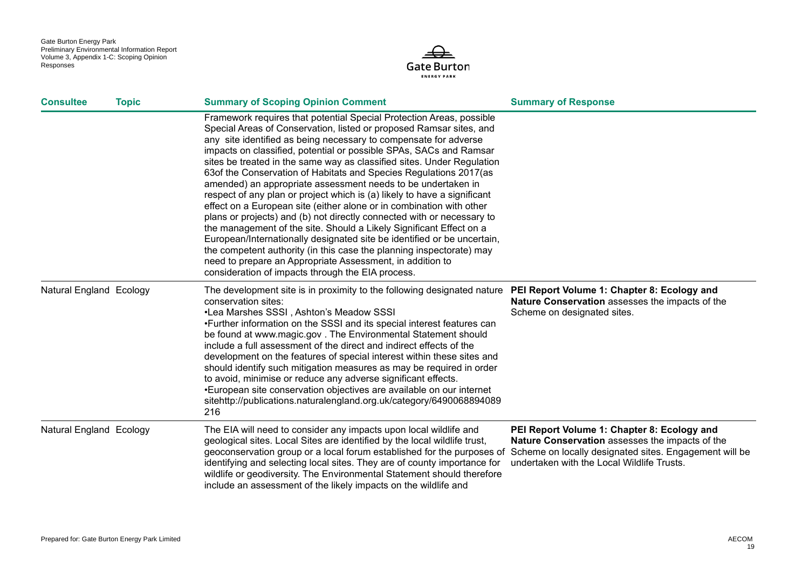

| <b>Consultee</b>        | <b>Topic</b> | <b>Summary of Scoping Opinion Comment</b>                                                                                                                                                                                                                                                                                                                                                                                                                                                                                                                                                                                                                                                                                                                                                                                                                                                                                                                                                                                                                                      | <b>Summary of Response</b>                                                                                                                                                                             |
|-------------------------|--------------|--------------------------------------------------------------------------------------------------------------------------------------------------------------------------------------------------------------------------------------------------------------------------------------------------------------------------------------------------------------------------------------------------------------------------------------------------------------------------------------------------------------------------------------------------------------------------------------------------------------------------------------------------------------------------------------------------------------------------------------------------------------------------------------------------------------------------------------------------------------------------------------------------------------------------------------------------------------------------------------------------------------------------------------------------------------------------------|--------------------------------------------------------------------------------------------------------------------------------------------------------------------------------------------------------|
|                         |              | Framework requires that potential Special Protection Areas, possible<br>Special Areas of Conservation, listed or proposed Ramsar sites, and<br>any site identified as being necessary to compensate for adverse<br>impacts on classified, potential or possible SPAs, SACs and Ramsar<br>sites be treated in the same way as classified sites. Under Regulation<br>63of the Conservation of Habitats and Species Regulations 2017(as<br>amended) an appropriate assessment needs to be undertaken in<br>respect of any plan or project which is (a) likely to have a significant<br>effect on a European site (either alone or in combination with other<br>plans or projects) and (b) not directly connected with or necessary to<br>the management of the site. Should a Likely Significant Effect on a<br>European/Internationally designated site be identified or be uncertain,<br>the competent authority (in this case the planning inspectorate) may<br>need to prepare an Appropriate Assessment, in addition to<br>consideration of impacts through the EIA process. |                                                                                                                                                                                                        |
| Natural England Ecology |              | The development site is in proximity to the following designated nature PEI Report Volume 1: Chapter 8: Ecology and<br>conservation sites:<br>•Lea Marshes SSSI, Ashton's Meadow SSSI<br>•Further information on the SSSI and its special interest features can<br>be found at www.magic.gov. The Environmental Statement should<br>include a full assessment of the direct and indirect effects of the<br>development on the features of special interest within these sites and<br>should identify such mitigation measures as may be required in order<br>to avoid, minimise or reduce any adverse significant effects.<br>•European site conservation objectives are available on our internet<br>sitehttp://publications.naturalengland.org.uk/category/6490068894089<br>216                                                                                                                                                                                                                                                                                              | Nature Conservation assesses the impacts of the<br>Scheme on designated sites.                                                                                                                         |
| Natural England Ecology |              | The EIA will need to consider any impacts upon local wildlife and<br>geological sites. Local Sites are identified by the local wildlife trust,<br>geoconservation group or a local forum established for the purposes of<br>identifying and selecting local sites. They are of county importance for<br>wildlife or geodiversity. The Environmental Statement should therefore<br>include an assessment of the likely impacts on the wildlife and                                                                                                                                                                                                                                                                                                                                                                                                                                                                                                                                                                                                                              | PEI Report Volume 1: Chapter 8: Ecology and<br>Nature Conservation assesses the impacts of the<br>Scheme on locally designated sites. Engagement will be<br>undertaken with the Local Wildlife Trusts. |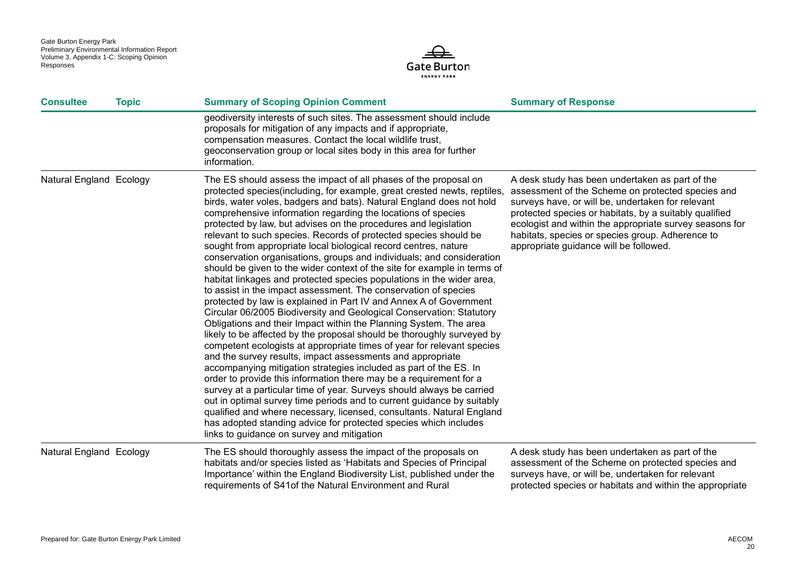

| <b>Consultee</b>        | <b>Topic</b> | <b>Summary of Scoping Opinion Comment</b>                                                                                                                                                                                                                                                                                                                                                                                                                                                                                                                                                                                                                                                                                                                                                                                                                                                                                                                                                                                                                                                                                                                                                                                                                                                                                                                                                                                                                                                                                                                                                                                                                                                                                     | <b>Summary of Response</b>                                                                                                                                                                                                                                                                                                                                                   |
|-------------------------|--------------|-------------------------------------------------------------------------------------------------------------------------------------------------------------------------------------------------------------------------------------------------------------------------------------------------------------------------------------------------------------------------------------------------------------------------------------------------------------------------------------------------------------------------------------------------------------------------------------------------------------------------------------------------------------------------------------------------------------------------------------------------------------------------------------------------------------------------------------------------------------------------------------------------------------------------------------------------------------------------------------------------------------------------------------------------------------------------------------------------------------------------------------------------------------------------------------------------------------------------------------------------------------------------------------------------------------------------------------------------------------------------------------------------------------------------------------------------------------------------------------------------------------------------------------------------------------------------------------------------------------------------------------------------------------------------------------------------------------------------------|------------------------------------------------------------------------------------------------------------------------------------------------------------------------------------------------------------------------------------------------------------------------------------------------------------------------------------------------------------------------------|
|                         |              | geodiversity interests of such sites. The assessment should include<br>proposals for mitigation of any impacts and if appropriate,<br>compensation measures. Contact the local wildlife trust,<br>geoconservation group or local sites body in this area for further<br>information.                                                                                                                                                                                                                                                                                                                                                                                                                                                                                                                                                                                                                                                                                                                                                                                                                                                                                                                                                                                                                                                                                                                                                                                                                                                                                                                                                                                                                                          |                                                                                                                                                                                                                                                                                                                                                                              |
| Natural England Ecology |              | The ES should assess the impact of all phases of the proposal on<br>protected species(including, for example, great crested newts, reptiles,<br>birds, water voles, badgers and bats). Natural England does not hold<br>comprehensive information regarding the locations of species<br>protected by law, but advises on the procedures and legislation<br>relevant to such species. Records of protected species should be<br>sought from appropriate local biological record centres, nature<br>conservation organisations, groups and individuals; and consideration<br>should be given to the wider context of the site for example in terms of<br>habitat linkages and protected species populations in the wider area,<br>to assist in the impact assessment. The conservation of species<br>protected by law is explained in Part IV and Annex A of Government<br>Circular 06/2005 Biodiversity and Geological Conservation: Statutory<br>Obligations and their Impact within the Planning System. The area<br>likely to be affected by the proposal should be thoroughly surveyed by<br>competent ecologists at appropriate times of year for relevant species<br>and the survey results, impact assessments and appropriate<br>accompanying mitigation strategies included as part of the ES. In<br>order to provide this information there may be a requirement for a<br>survey at a particular time of year. Surveys should always be carried<br>out in optimal survey time periods and to current guidance by suitably<br>qualified and where necessary, licensed, consultants. Natural England<br>has adopted standing advice for protected species which includes<br>links to guidance on survey and mitigation | A desk study has been undertaken as part of the<br>assessment of the Scheme on protected species and<br>surveys have, or will be, undertaken for relevant<br>protected species or habitats, by a suitably qualified<br>ecologist and within the appropriate survey seasons for<br>habitats, species or species group. Adherence to<br>appropriate guidance will be followed. |
| Natural England Ecology |              | The ES should thoroughly assess the impact of the proposals on<br>habitats and/or species listed as 'Habitats and Species of Principal<br>Importance' within the England Biodiversity List, published under the<br>requirements of S41of the Natural Environment and Rural                                                                                                                                                                                                                                                                                                                                                                                                                                                                                                                                                                                                                                                                                                                                                                                                                                                                                                                                                                                                                                                                                                                                                                                                                                                                                                                                                                                                                                                    | A desk study has been undertaken as part of the<br>assessment of the Scheme on protected species and<br>surveys have, or will be, undertaken for relevant<br>protected species or habitats and within the appropriate                                                                                                                                                        |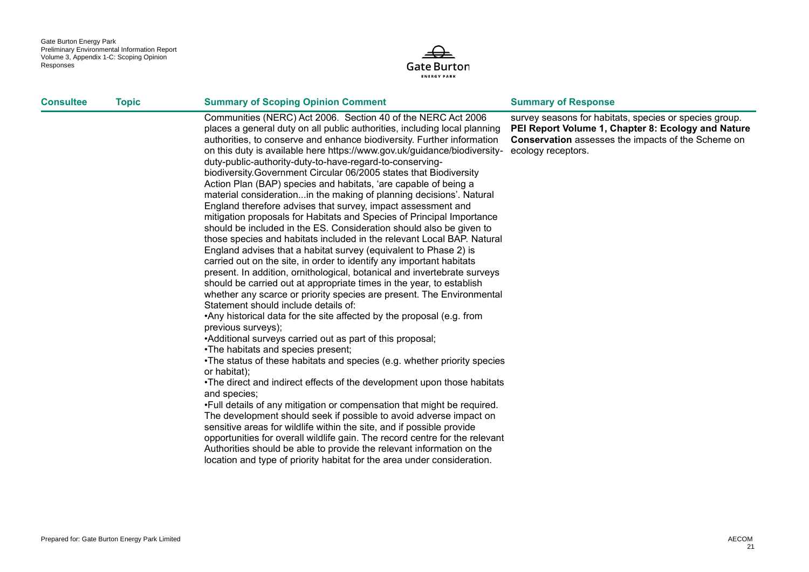

| <b>Consultee</b> | <b>Topic</b> | <b>Summary of Scoping Opinion Comment</b>                                                                                                                                                                                                                                                                                                                                                                                                                                                                                                                                                                                                                                                                                                                                                                                                                                                                                                                                                                                                                                                                                                                                                                                                                                                                                                                                                                                                                                                                                                                                                                                                                                                                                                                                                                                                                                                                                                                                                                                                                                                                                                     | <b>Summary of Response</b>                                                                                                                                                                      |
|------------------|--------------|-----------------------------------------------------------------------------------------------------------------------------------------------------------------------------------------------------------------------------------------------------------------------------------------------------------------------------------------------------------------------------------------------------------------------------------------------------------------------------------------------------------------------------------------------------------------------------------------------------------------------------------------------------------------------------------------------------------------------------------------------------------------------------------------------------------------------------------------------------------------------------------------------------------------------------------------------------------------------------------------------------------------------------------------------------------------------------------------------------------------------------------------------------------------------------------------------------------------------------------------------------------------------------------------------------------------------------------------------------------------------------------------------------------------------------------------------------------------------------------------------------------------------------------------------------------------------------------------------------------------------------------------------------------------------------------------------------------------------------------------------------------------------------------------------------------------------------------------------------------------------------------------------------------------------------------------------------------------------------------------------------------------------------------------------------------------------------------------------------------------------------------------------|-------------------------------------------------------------------------------------------------------------------------------------------------------------------------------------------------|
|                  |              | Communities (NERC) Act 2006. Section 40 of the NERC Act 2006<br>places a general duty on all public authorities, including local planning<br>authorities, to conserve and enhance biodiversity. Further information<br>on this duty is available here https://www.gov.uk/guidance/biodiversity-<br>duty-public-authority-duty-to-have-regard-to-conserving-<br>biodiversity. Government Circular 06/2005 states that Biodiversity<br>Action Plan (BAP) species and habitats, 'are capable of being a<br>material considerationin the making of planning decisions'. Natural<br>England therefore advises that survey, impact assessment and<br>mitigation proposals for Habitats and Species of Principal Importance<br>should be included in the ES. Consideration should also be given to<br>those species and habitats included in the relevant Local BAP. Natural<br>England advises that a habitat survey (equivalent to Phase 2) is<br>carried out on the site, in order to identify any important habitats<br>present. In addition, ornithological, botanical and invertebrate surveys<br>should be carried out at appropriate times in the year, to establish<br>whether any scarce or priority species are present. The Environmental<br>Statement should include details of:<br>•Any historical data for the site affected by the proposal (e.g. from<br>previous surveys);<br>•Additional surveys carried out as part of this proposal;<br>•The habitats and species present;<br>•The status of these habitats and species (e.g. whether priority species<br>or habitat);<br>•The direct and indirect effects of the development upon those habitats<br>and species;<br>. Full details of any mitigation or compensation that might be required.<br>The development should seek if possible to avoid adverse impact on<br>sensitive areas for wildlife within the site, and if possible provide<br>opportunities for overall wildlife gain. The record centre for the relevant<br>Authorities should be able to provide the relevant information on the<br>location and type of priority habitat for the area under consideration. | survey seasons for habitats, species or species group.<br>PEI Report Volume 1, Chapter 8: Ecology and Nature<br><b>Conservation</b> assesses the impacts of the Scheme on<br>ecology receptors. |
|                  |              |                                                                                                                                                                                                                                                                                                                                                                                                                                                                                                                                                                                                                                                                                                                                                                                                                                                                                                                                                                                                                                                                                                                                                                                                                                                                                                                                                                                                                                                                                                                                                                                                                                                                                                                                                                                                                                                                                                                                                                                                                                                                                                                                               |                                                                                                                                                                                                 |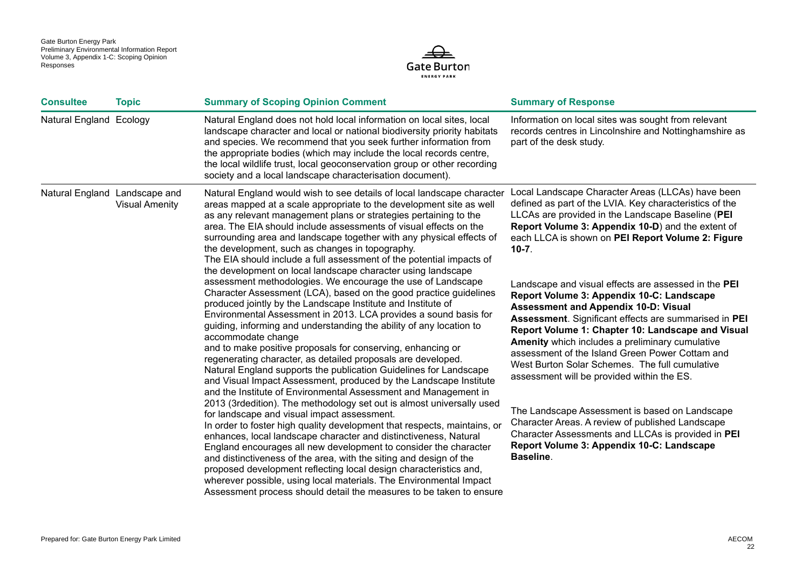

| <b>Consultee</b>              | <b>Topic</b>          | <b>Summary of Scoping Opinion Comment</b>                                                                                                                                                                                                                                                                                                                                                                                                                                                                                                                                                                                                                                                                                                                                                                                                                                                                                                                                                                                                                                                                                                                                                                                                                                                                                                                                                                                                                                                                                                                                                                                                                                                                                                                                                                                                                                                                      | <b>Summary of Response</b>                                                                                                                                                                                                                                                                                                                                                                                                                                                                                                                                                                                                                                                                                                                                                                                                                                                                                                                                                           |
|-------------------------------|-----------------------|----------------------------------------------------------------------------------------------------------------------------------------------------------------------------------------------------------------------------------------------------------------------------------------------------------------------------------------------------------------------------------------------------------------------------------------------------------------------------------------------------------------------------------------------------------------------------------------------------------------------------------------------------------------------------------------------------------------------------------------------------------------------------------------------------------------------------------------------------------------------------------------------------------------------------------------------------------------------------------------------------------------------------------------------------------------------------------------------------------------------------------------------------------------------------------------------------------------------------------------------------------------------------------------------------------------------------------------------------------------------------------------------------------------------------------------------------------------------------------------------------------------------------------------------------------------------------------------------------------------------------------------------------------------------------------------------------------------------------------------------------------------------------------------------------------------------------------------------------------------------------------------------------------------|--------------------------------------------------------------------------------------------------------------------------------------------------------------------------------------------------------------------------------------------------------------------------------------------------------------------------------------------------------------------------------------------------------------------------------------------------------------------------------------------------------------------------------------------------------------------------------------------------------------------------------------------------------------------------------------------------------------------------------------------------------------------------------------------------------------------------------------------------------------------------------------------------------------------------------------------------------------------------------------|
| Natural England Ecology       |                       | Natural England does not hold local information on local sites, local<br>landscape character and local or national biodiversity priority habitats<br>and species. We recommend that you seek further information from<br>the appropriate bodies (which may include the local records centre,<br>the local wildlife trust, local geoconservation group or other recording<br>society and a local landscape characterisation document).                                                                                                                                                                                                                                                                                                                                                                                                                                                                                                                                                                                                                                                                                                                                                                                                                                                                                                                                                                                                                                                                                                                                                                                                                                                                                                                                                                                                                                                                          | Information on local sites was sought from relevant<br>records centres in Lincolnshire and Nottinghamshire as<br>part of the desk study.                                                                                                                                                                                                                                                                                                                                                                                                                                                                                                                                                                                                                                                                                                                                                                                                                                             |
| Natural England Landscape and | <b>Visual Amenity</b> | Natural England would wish to see details of local landscape character<br>areas mapped at a scale appropriate to the development site as well<br>as any relevant management plans or strategies pertaining to the<br>area. The EIA should include assessments of visual effects on the<br>surrounding area and landscape together with any physical effects of<br>the development, such as changes in topography.<br>The EIA should include a full assessment of the potential impacts of<br>the development on local landscape character using landscape<br>assessment methodologies. We encourage the use of Landscape<br>Character Assessment (LCA), based on the good practice guidelines<br>produced jointly by the Landscape Institute and Institute of<br>Environmental Assessment in 2013. LCA provides a sound basis for<br>guiding, informing and understanding the ability of any location to<br>accommodate change<br>and to make positive proposals for conserving, enhancing or<br>regenerating character, as detailed proposals are developed.<br>Natural England supports the publication Guidelines for Landscape<br>and Visual Impact Assessment, produced by the Landscape Institute<br>and the Institute of Environmental Assessment and Management in<br>2013 (3rdedition). The methodology set out is almost universally used<br>for landscape and visual impact assessment.<br>In order to foster high quality development that respects, maintains, or<br>enhances, local landscape character and distinctiveness, Natural<br>England encourages all new development to consider the character<br>and distinctiveness of the area, with the siting and design of the<br>proposed development reflecting local design characteristics and,<br>wherever possible, using local materials. The Environmental Impact<br>Assessment process should detail the measures to be taken to ensure | Local Landscape Character Areas (LLCAs) have been<br>defined as part of the LVIA. Key characteristics of the<br>LLCAs are provided in the Landscape Baseline (PEI<br>Report Volume 3: Appendix 10-D) and the extent of<br>each LLCA is shown on PEI Report Volume 2: Figure<br>$10-7.$<br>Landscape and visual effects are assessed in the PEI<br>Report Volume 3: Appendix 10-C: Landscape<br><b>Assessment and Appendix 10-D: Visual</b><br>Assessment. Significant effects are summarised in PEI<br>Report Volume 1: Chapter 10: Landscape and Visual<br>Amenity which includes a preliminary cumulative<br>assessment of the Island Green Power Cottam and<br>West Burton Solar Schemes. The full cumulative<br>assessment will be provided within the ES.<br>The Landscape Assessment is based on Landscape<br>Character Areas. A review of published Landscape<br>Character Assessments and LLCAs is provided in PEI<br>Report Volume 3: Appendix 10-C: Landscape<br>Baseline. |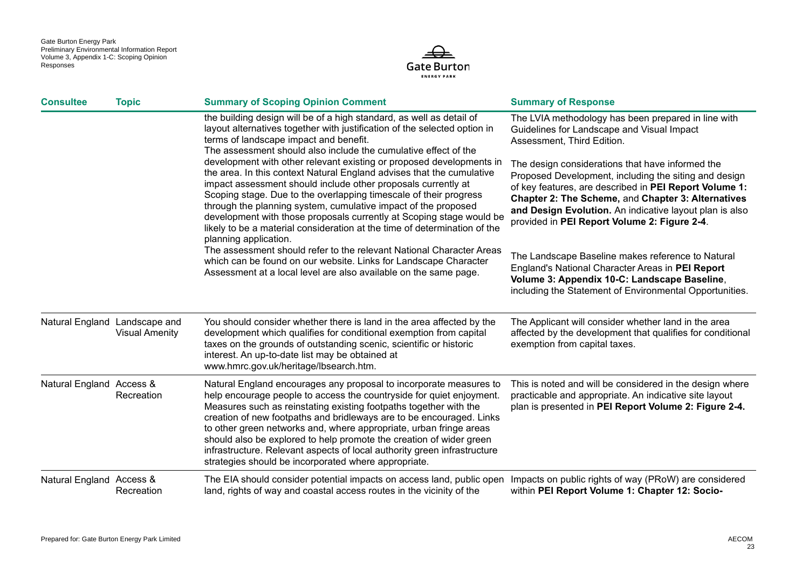

| <b>Consultee</b>              | <b>Topic</b>          | <b>Summary of Scoping Opinion Comment</b>                                                                                                                                                                                                                                                                                                                                                                                                                                                                                                                                                                                                                                                                                                                                                             | <b>Summary of Response</b>                                                                                                                                                                                                                                                                                                                                                                                                                                              |
|-------------------------------|-----------------------|-------------------------------------------------------------------------------------------------------------------------------------------------------------------------------------------------------------------------------------------------------------------------------------------------------------------------------------------------------------------------------------------------------------------------------------------------------------------------------------------------------------------------------------------------------------------------------------------------------------------------------------------------------------------------------------------------------------------------------------------------------------------------------------------------------|-------------------------------------------------------------------------------------------------------------------------------------------------------------------------------------------------------------------------------------------------------------------------------------------------------------------------------------------------------------------------------------------------------------------------------------------------------------------------|
|                               |                       | the building design will be of a high standard, as well as detail of<br>layout alternatives together with justification of the selected option in<br>terms of landscape impact and benefit.<br>The assessment should also include the cumulative effect of the<br>development with other relevant existing or proposed developments in<br>the area. In this context Natural England advises that the cumulative<br>impact assessment should include other proposals currently at<br>Scoping stage. Due to the overlapping timescale of their progress<br>through the planning system, cumulative impact of the proposed<br>development with those proposals currently at Scoping stage would be<br>likely to be a material consideration at the time of determination of the<br>planning application. | The LVIA methodology has been prepared in line with<br>Guidelines for Landscape and Visual Impact<br>Assessment, Third Edition.<br>The design considerations that have informed the<br>Proposed Development, including the siting and design<br>of key features, are described in PEI Report Volume 1:<br>Chapter 2: The Scheme, and Chapter 3: Alternatives<br>and Design Evolution. An indicative layout plan is also<br>provided in PEI Report Volume 2: Figure 2-4. |
|                               |                       | The assessment should refer to the relevant National Character Areas<br>which can be found on our website. Links for Landscape Character<br>Assessment at a local level are also available on the same page.                                                                                                                                                                                                                                                                                                                                                                                                                                                                                                                                                                                          | The Landscape Baseline makes reference to Natural<br>England's National Character Areas in PEI Report<br>Volume 3: Appendix 10-C: Landscape Baseline,<br>including the Statement of Environmental Opportunities.                                                                                                                                                                                                                                                        |
| Natural England Landscape and | <b>Visual Amenity</b> | You should consider whether there is land in the area affected by the<br>development which qualifies for conditional exemption from capital<br>taxes on the grounds of outstanding scenic, scientific or historic<br>interest. An up-to-date list may be obtained at<br>www.hmrc.gov.uk/heritage/lbsearch.htm.                                                                                                                                                                                                                                                                                                                                                                                                                                                                                        | The Applicant will consider whether land in the area<br>affected by the development that qualifies for conditional<br>exemption from capital taxes.                                                                                                                                                                                                                                                                                                                     |
| Natural England Access &      | Recreation            | Natural England encourages any proposal to incorporate measures to<br>help encourage people to access the countryside for quiet enjoyment.<br>Measures such as reinstating existing footpaths together with the<br>creation of new footpaths and bridleways are to be encouraged. Links<br>to other green networks and, where appropriate, urban fringe areas<br>should also be explored to help promote the creation of wider green<br>infrastructure. Relevant aspects of local authority green infrastructure<br>strategies should be incorporated where appropriate.                                                                                                                                                                                                                              | This is noted and will be considered in the design where<br>practicable and appropriate. An indicative site layout<br>plan is presented in PEI Report Volume 2: Figure 2-4.                                                                                                                                                                                                                                                                                             |
| Natural England Access &      | Recreation            | The EIA should consider potential impacts on access land, public open Impacts on public rights of way (PRoW) are considered<br>land, rights of way and coastal access routes in the vicinity of the                                                                                                                                                                                                                                                                                                                                                                                                                                                                                                                                                                                                   | within PEI Report Volume 1: Chapter 12: Socio-                                                                                                                                                                                                                                                                                                                                                                                                                          |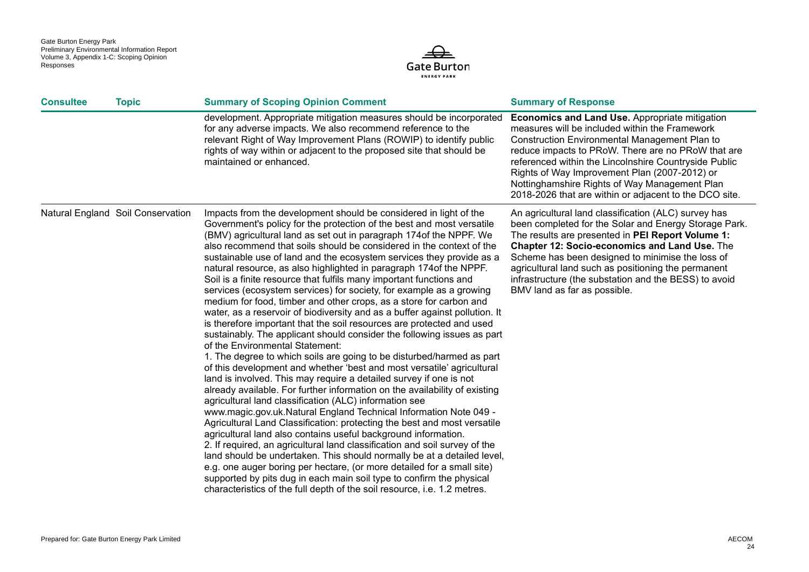

| <b>Consultee</b> | <b>Topic</b>                      | <b>Summary of Scoping Opinion Comment</b>                                                                                                                                                                                                                                                                                                                                                                                                                                                                                                                                                                                                                                                                                                                                                                                                                                                                                                                                                                                                                                                                                                                                                                                                                                                                                                                                                                                                                                                                                                                                                                                                                                                                                                                                                                                                                                                                     | <b>Summary of Response</b>                                                                                                                                                                                                                                                                                                                                                                                                                 |
|------------------|-----------------------------------|---------------------------------------------------------------------------------------------------------------------------------------------------------------------------------------------------------------------------------------------------------------------------------------------------------------------------------------------------------------------------------------------------------------------------------------------------------------------------------------------------------------------------------------------------------------------------------------------------------------------------------------------------------------------------------------------------------------------------------------------------------------------------------------------------------------------------------------------------------------------------------------------------------------------------------------------------------------------------------------------------------------------------------------------------------------------------------------------------------------------------------------------------------------------------------------------------------------------------------------------------------------------------------------------------------------------------------------------------------------------------------------------------------------------------------------------------------------------------------------------------------------------------------------------------------------------------------------------------------------------------------------------------------------------------------------------------------------------------------------------------------------------------------------------------------------------------------------------------------------------------------------------------------------|--------------------------------------------------------------------------------------------------------------------------------------------------------------------------------------------------------------------------------------------------------------------------------------------------------------------------------------------------------------------------------------------------------------------------------------------|
|                  |                                   | development. Appropriate mitigation measures should be incorporated<br>for any adverse impacts. We also recommend reference to the<br>relevant Right of Way Improvement Plans (ROWIP) to identify public<br>rights of way within or adjacent to the proposed site that should be<br>maintained or enhanced.                                                                                                                                                                                                                                                                                                                                                                                                                                                                                                                                                                                                                                                                                                                                                                                                                                                                                                                                                                                                                                                                                                                                                                                                                                                                                                                                                                                                                                                                                                                                                                                                   | <b>Economics and Land Use.</b> Appropriate mitigation<br>measures will be included within the Framework<br><b>Construction Environmental Management Plan to</b><br>reduce impacts to PRoW. There are no PRoW that are<br>referenced within the Lincolnshire Countryside Public<br>Rights of Way Improvement Plan (2007-2012) or<br>Nottinghamshire Rights of Way Management Plan<br>2018-2026 that are within or adjacent to the DCO site. |
|                  | Natural England Soil Conservation | Impacts from the development should be considered in light of the<br>Government's policy for the protection of the best and most versatile<br>(BMV) agricultural land as set out in paragraph 174 of the NPPF. We<br>also recommend that soils should be considered in the context of the<br>sustainable use of land and the ecosystem services they provide as a<br>natural resource, as also highlighted in paragraph 174 of the NPPF.<br>Soil is a finite resource that fulfils many important functions and<br>services (ecosystem services) for society, for example as a growing<br>medium for food, timber and other crops, as a store for carbon and<br>water, as a reservoir of biodiversity and as a buffer against pollution. It<br>is therefore important that the soil resources are protected and used<br>sustainably. The applicant should consider the following issues as part<br>of the Environmental Statement:<br>1. The degree to which soils are going to be disturbed/harmed as part<br>of this development and whether 'best and most versatile' agricultural<br>land is involved. This may require a detailed survey if one is not<br>already available. For further information on the availability of existing<br>agricultural land classification (ALC) information see<br>www.magic.gov.uk.Natural England Technical Information Note 049 -<br>Agricultural Land Classification: protecting the best and most versatile<br>agricultural land also contains useful background information.<br>2. If required, an agricultural land classification and soil survey of the<br>land should be undertaken. This should normally be at a detailed level,<br>e.g. one auger boring per hectare, (or more detailed for a small site)<br>supported by pits dug in each main soil type to confirm the physical<br>characteristics of the full depth of the soil resource, i.e. 1.2 metres. | An agricultural land classification (ALC) survey has<br>been completed for the Solar and Energy Storage Park.<br>The results are presented in PEI Report Volume 1:<br><b>Chapter 12: Socio-economics and Land Use. The</b><br>Scheme has been designed to minimise the loss of<br>agricultural land such as positioning the permanent<br>infrastructure (the substation and the BESS) to avoid<br>BMV land as far as possible.             |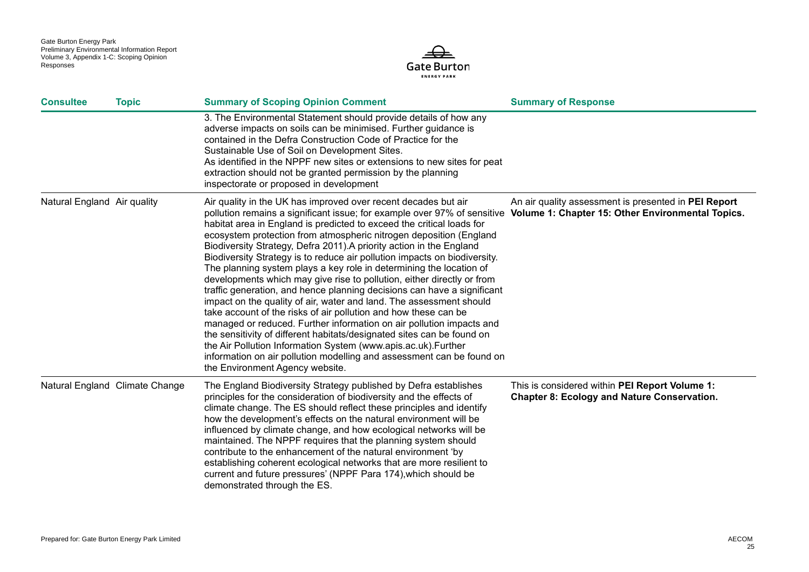

| <b>Consultee</b>            | <b>Topic</b>                   | <b>Summary of Scoping Opinion Comment</b>                                                                                                                                                                                                                                                                                                                                                                                                                                                                                                                                                                                                                                                                                                                                                                                                                                                                                                                                                                                                                                                                                                                                                             | <b>Summary of Response</b>                                                                           |
|-----------------------------|--------------------------------|-------------------------------------------------------------------------------------------------------------------------------------------------------------------------------------------------------------------------------------------------------------------------------------------------------------------------------------------------------------------------------------------------------------------------------------------------------------------------------------------------------------------------------------------------------------------------------------------------------------------------------------------------------------------------------------------------------------------------------------------------------------------------------------------------------------------------------------------------------------------------------------------------------------------------------------------------------------------------------------------------------------------------------------------------------------------------------------------------------------------------------------------------------------------------------------------------------|------------------------------------------------------------------------------------------------------|
|                             |                                | 3. The Environmental Statement should provide details of how any<br>adverse impacts on soils can be minimised. Further guidance is<br>contained in the Defra Construction Code of Practice for the<br>Sustainable Use of Soil on Development Sites.<br>As identified in the NPPF new sites or extensions to new sites for peat<br>extraction should not be granted permission by the planning<br>inspectorate or proposed in development                                                                                                                                                                                                                                                                                                                                                                                                                                                                                                                                                                                                                                                                                                                                                              |                                                                                                      |
| Natural England Air quality |                                | Air quality in the UK has improved over recent decades but air<br>pollution remains a significant issue; for example over 97% of sensitive Volume 1: Chapter 15: Other Environmental Topics.<br>habitat area in England is predicted to exceed the critical loads for<br>ecosystem protection from atmospheric nitrogen deposition (England<br>Biodiversity Strategy, Defra 2011). A priority action in the England<br>Biodiversity Strategy is to reduce air pollution impacts on biodiversity.<br>The planning system plays a key role in determining the location of<br>developments which may give rise to pollution, either directly or from<br>traffic generation, and hence planning decisions can have a significant<br>impact on the quality of air, water and land. The assessment should<br>take account of the risks of air pollution and how these can be<br>managed or reduced. Further information on air pollution impacts and<br>the sensitivity of different habitats/designated sites can be found on<br>the Air Pollution Information System (www.apis.ac.uk).Further<br>information on air pollution modelling and assessment can be found on<br>the Environment Agency website. | An air quality assessment is presented in PEI Report                                                 |
|                             | Natural England Climate Change | The England Biodiversity Strategy published by Defra establishes<br>principles for the consideration of biodiversity and the effects of<br>climate change. The ES should reflect these principles and identify<br>how the development's effects on the natural environment will be<br>influenced by climate change, and how ecological networks will be<br>maintained. The NPPF requires that the planning system should<br>contribute to the enhancement of the natural environment 'by<br>establishing coherent ecological networks that are more resilient to<br>current and future pressures' (NPPF Para 174), which should be<br>demonstrated through the ES.                                                                                                                                                                                                                                                                                                                                                                                                                                                                                                                                    | This is considered within PEI Report Volume 1:<br><b>Chapter 8: Ecology and Nature Conservation.</b> |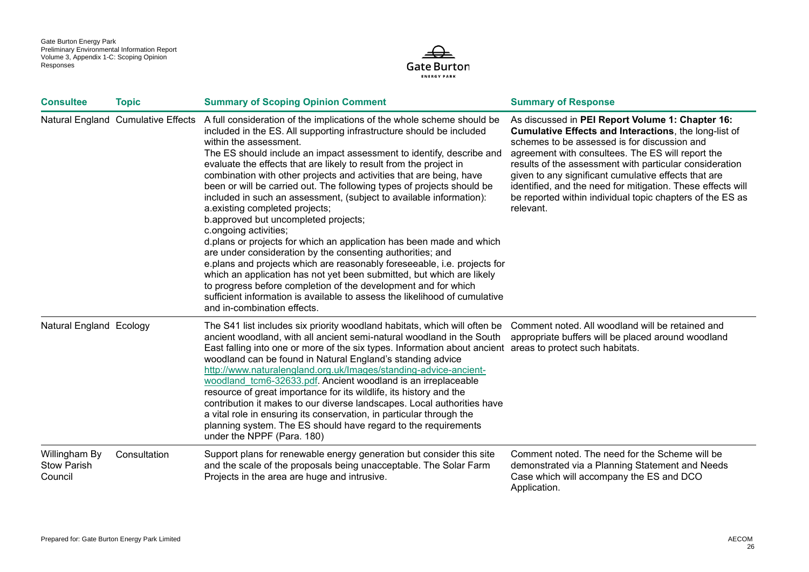

| <b>Consultee</b>                               | <b>Topic</b>                       | <b>Summary of Scoping Opinion Comment</b>                                                                                                                                                                                                                                                                                                                                                                                                                                                                                                                                                                                                                                                                                                                                                                                                                                                                                                                                                                                                                                                                                   | <b>Summary of Response</b>                                                                                                                                                                                                                                                                                                                                                                                                                                                 |
|------------------------------------------------|------------------------------------|-----------------------------------------------------------------------------------------------------------------------------------------------------------------------------------------------------------------------------------------------------------------------------------------------------------------------------------------------------------------------------------------------------------------------------------------------------------------------------------------------------------------------------------------------------------------------------------------------------------------------------------------------------------------------------------------------------------------------------------------------------------------------------------------------------------------------------------------------------------------------------------------------------------------------------------------------------------------------------------------------------------------------------------------------------------------------------------------------------------------------------|----------------------------------------------------------------------------------------------------------------------------------------------------------------------------------------------------------------------------------------------------------------------------------------------------------------------------------------------------------------------------------------------------------------------------------------------------------------------------|
|                                                | Natural England Cumulative Effects | A full consideration of the implications of the whole scheme should be<br>included in the ES. All supporting infrastructure should be included<br>within the assessment.<br>The ES should include an impact assessment to identify, describe and<br>evaluate the effects that are likely to result from the project in<br>combination with other projects and activities that are being, have<br>been or will be carried out. The following types of projects should be<br>included in such an assessment, (subject to available information):<br>a.existing completed projects;<br>b.approved but uncompleted projects;<br>c.ongoing activities;<br>d.plans or projects for which an application has been made and which<br>are under consideration by the consenting authorities; and<br>e.plans and projects which are reasonably foreseeable, i.e. projects for<br>which an application has not yet been submitted, but which are likely<br>to progress before completion of the development and for which<br>sufficient information is available to assess the likelihood of cumulative<br>and in-combination effects. | As discussed in PEI Report Volume 1: Chapter 16:<br>Cumulative Effects and Interactions, the long-list of<br>schemes to be assessed is for discussion and<br>agreement with consultees. The ES will report the<br>results of the assessment with particular consideration<br>given to any significant cumulative effects that are<br>identified, and the need for mitigation. These effects will<br>be reported within individual topic chapters of the ES as<br>relevant. |
| Natural England Ecology                        |                                    | The S41 list includes six priority woodland habitats, which will often be<br>ancient woodland, with all ancient semi-natural woodland in the South<br>East falling into one or more of the six types. Information about ancient areas to protect such habitats.<br>woodland can be found in Natural England's standing advice<br>http://www.naturalengland.org.uk/Images/standing-advice-ancient-<br>woodland tcm6-32633.pdf. Ancient woodland is an irreplaceable<br>resource of great importance for its wildlife, its history and the<br>contribution it makes to our diverse landscapes. Local authorities have<br>a vital role in ensuring its conservation, in particular through the<br>planning system. The ES should have regard to the requirements<br>under the NPPF (Para. 180)                                                                                                                                                                                                                                                                                                                                 | Comment noted. All woodland will be retained and<br>appropriate buffers will be placed around woodland                                                                                                                                                                                                                                                                                                                                                                     |
| Willingham By<br><b>Stow Parish</b><br>Council | Consultation                       | Support plans for renewable energy generation but consider this site<br>and the scale of the proposals being unacceptable. The Solar Farm<br>Projects in the area are huge and intrusive.                                                                                                                                                                                                                                                                                                                                                                                                                                                                                                                                                                                                                                                                                                                                                                                                                                                                                                                                   | Comment noted. The need for the Scheme will be<br>demonstrated via a Planning Statement and Needs<br>Case which will accompany the ES and DCO<br>Application.                                                                                                                                                                                                                                                                                                              |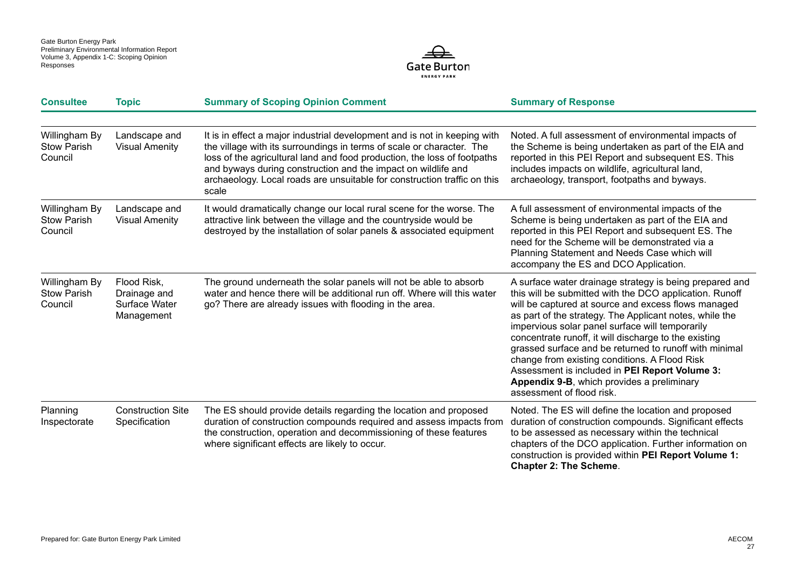

| <b>Consultee</b>                               | <b>Topic</b>                                               | <b>Summary of Scoping Opinion Comment</b>                                                                                                                                                                                                                                                                                                                                            | <b>Summary of Response</b>                                                                                                                                                                                                                                                                                                                                                                                                                                                                                                                                                               |
|------------------------------------------------|------------------------------------------------------------|--------------------------------------------------------------------------------------------------------------------------------------------------------------------------------------------------------------------------------------------------------------------------------------------------------------------------------------------------------------------------------------|------------------------------------------------------------------------------------------------------------------------------------------------------------------------------------------------------------------------------------------------------------------------------------------------------------------------------------------------------------------------------------------------------------------------------------------------------------------------------------------------------------------------------------------------------------------------------------------|
|                                                |                                                            |                                                                                                                                                                                                                                                                                                                                                                                      |                                                                                                                                                                                                                                                                                                                                                                                                                                                                                                                                                                                          |
| Willingham By<br><b>Stow Parish</b><br>Council | Landscape and<br><b>Visual Amenity</b>                     | It is in effect a major industrial development and is not in keeping with<br>the village with its surroundings in terms of scale or character. The<br>loss of the agricultural land and food production, the loss of footpaths<br>and byways during construction and the impact on wildlife and<br>archaeology. Local roads are unsuitable for construction traffic on this<br>scale | Noted. A full assessment of environmental impacts of<br>the Scheme is being undertaken as part of the EIA and<br>reported in this PEI Report and subsequent ES. This<br>includes impacts on wildlife, agricultural land,<br>archaeology, transport, footpaths and byways.                                                                                                                                                                                                                                                                                                                |
| Willingham By<br><b>Stow Parish</b><br>Council | Landscape and<br><b>Visual Amenity</b>                     | It would dramatically change our local rural scene for the worse. The<br>attractive link between the village and the countryside would be<br>destroyed by the installation of solar panels & associated equipment                                                                                                                                                                    | A full assessment of environmental impacts of the<br>Scheme is being undertaken as part of the EIA and<br>reported in this PEI Report and subsequent ES. The<br>need for the Scheme will be demonstrated via a<br>Planning Statement and Needs Case which will<br>accompany the ES and DCO Application.                                                                                                                                                                                                                                                                                  |
| Willingham By<br><b>Stow Parish</b><br>Council | Flood Risk,<br>Drainage and<br>Surface Water<br>Management | The ground underneath the solar panels will not be able to absorb<br>water and hence there will be additional run off. Where will this water<br>go? There are already issues with flooding in the area.                                                                                                                                                                              | A surface water drainage strategy is being prepared and<br>this will be submitted with the DCO application. Runoff<br>will be captured at source and excess flows managed<br>as part of the strategy. The Applicant notes, while the<br>impervious solar panel surface will temporarily<br>concentrate runoff, it will discharge to the existing<br>grassed surface and be returned to runoff with minimal<br>change from existing conditions. A Flood Risk<br>Assessment is included in PEI Report Volume 3:<br>Appendix 9-B, which provides a preliminary<br>assessment of flood risk. |
| Planning<br>Inspectorate                       | <b>Construction Site</b><br>Specification                  | The ES should provide details regarding the location and proposed<br>duration of construction compounds required and assess impacts from<br>the construction, operation and decommissioning of these features<br>where significant effects are likely to occur.                                                                                                                      | Noted. The ES will define the location and proposed<br>duration of construction compounds. Significant effects<br>to be assessed as necessary within the technical<br>chapters of the DCO application. Further information on<br>construction is provided within PEI Report Volume 1:<br><b>Chapter 2: The Scheme.</b>                                                                                                                                                                                                                                                                   |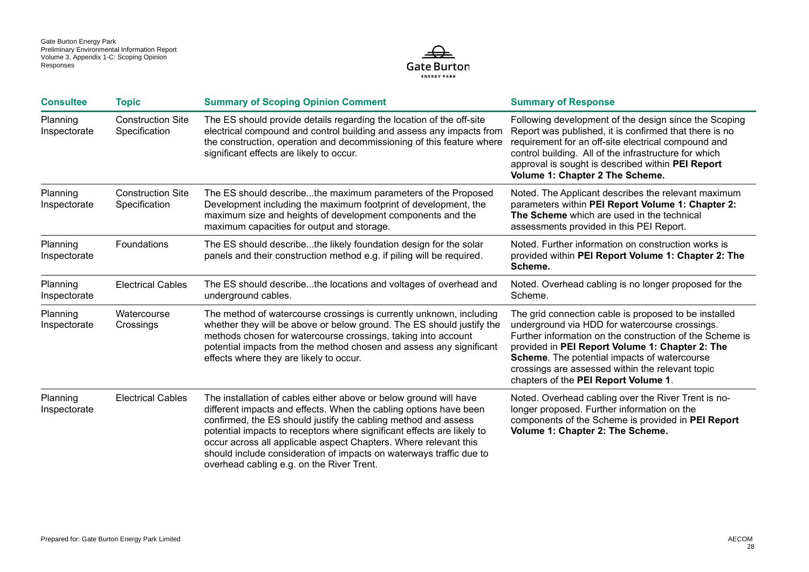

| <b>Consultee</b>         | <b>Topic</b>                              | <b>Summary of Scoping Opinion Comment</b>                                                                                                                                                                                                                                                                                                                                                                                                                                  | <b>Summary of Response</b>                                                                                                                                                                                                                                                                                                                                         |
|--------------------------|-------------------------------------------|----------------------------------------------------------------------------------------------------------------------------------------------------------------------------------------------------------------------------------------------------------------------------------------------------------------------------------------------------------------------------------------------------------------------------------------------------------------------------|--------------------------------------------------------------------------------------------------------------------------------------------------------------------------------------------------------------------------------------------------------------------------------------------------------------------------------------------------------------------|
| Planning<br>Inspectorate | <b>Construction Site</b><br>Specification | The ES should provide details regarding the location of the off-site<br>electrical compound and control building and assess any impacts from<br>the construction, operation and decommissioning of this feature where<br>significant effects are likely to occur.                                                                                                                                                                                                          | Following development of the design since the Scoping<br>Report was published, it is confirmed that there is no<br>requirement for an off-site electrical compound and<br>control building. All of the infrastructure for which<br>approval is sought is described within PEI Report<br>Volume 1: Chapter 2 The Scheme.                                            |
| Planning<br>Inspectorate | <b>Construction Site</b><br>Specification | The ES should describethe maximum parameters of the Proposed<br>Development including the maximum footprint of development, the<br>maximum size and heights of development components and the<br>maximum capacities for output and storage.                                                                                                                                                                                                                                | Noted. The Applicant describes the relevant maximum<br>parameters within PEI Report Volume 1: Chapter 2:<br>The Scheme which are used in the technical<br>assessments provided in this PEI Report.                                                                                                                                                                 |
| Planning<br>Inspectorate | Foundations                               | The ES should describethe likely foundation design for the solar<br>panels and their construction method e.g. if piling will be required.                                                                                                                                                                                                                                                                                                                                  | Noted. Further information on construction works is<br>provided within PEI Report Volume 1: Chapter 2: The<br>Scheme.                                                                                                                                                                                                                                              |
| Planning<br>Inspectorate | <b>Electrical Cables</b>                  | The ES should describethe locations and voltages of overhead and<br>underground cables.                                                                                                                                                                                                                                                                                                                                                                                    | Noted. Overhead cabling is no longer proposed for the<br>Scheme.                                                                                                                                                                                                                                                                                                   |
| Planning<br>Inspectorate | Watercourse<br>Crossings                  | The method of watercourse crossings is currently unknown, including<br>whether they will be above or below ground. The ES should justify the<br>methods chosen for watercourse crossings, taking into account<br>potential impacts from the method chosen and assess any significant<br>effects where they are likely to occur.                                                                                                                                            | The grid connection cable is proposed to be installed<br>underground via HDD for watercourse crossings.<br>Further information on the construction of the Scheme is<br>provided in PEI Report Volume 1: Chapter 2: The<br>Scheme. The potential impacts of watercourse<br>crossings are assessed within the relevant topic<br>chapters of the PEI Report Volume 1. |
| Planning<br>Inspectorate | <b>Electrical Cables</b>                  | The installation of cables either above or below ground will have<br>different impacts and effects. When the cabling options have been<br>confirmed, the ES should justify the cabling method and assess<br>potential impacts to receptors where significant effects are likely to<br>occur across all applicable aspect Chapters. Where relevant this<br>should include consideration of impacts on waterways traffic due to<br>overhead cabling e.g. on the River Trent. | Noted. Overhead cabling over the River Trent is no-<br>longer proposed. Further information on the<br>components of the Scheme is provided in PEI Report<br>Volume 1: Chapter 2: The Scheme.                                                                                                                                                                       |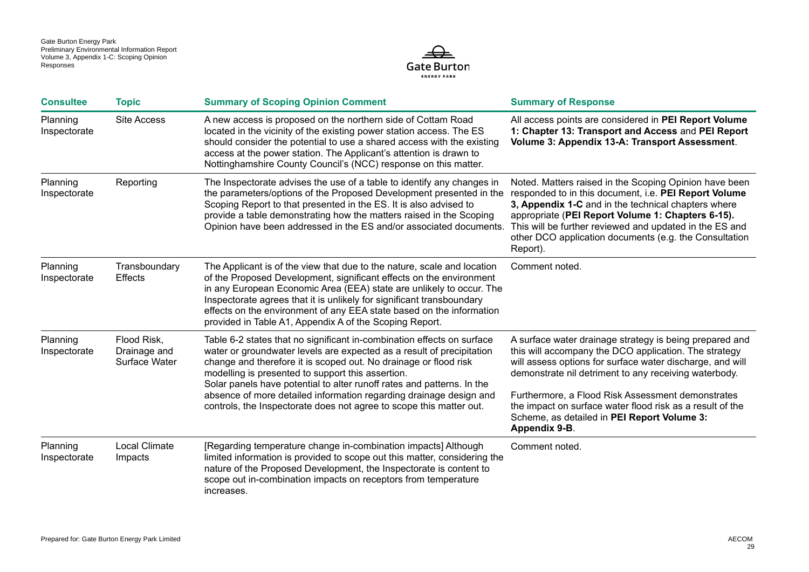

| <b>Consultee</b>         | <b>Topic</b>                                 | <b>Summary of Scoping Opinion Comment</b>                                                                                                                                                                                                                                                                                                                                                                                                                                                       | <b>Summary of Response</b>                                                                                                                                                                                                                                                                                                                                                                                               |
|--------------------------|----------------------------------------------|-------------------------------------------------------------------------------------------------------------------------------------------------------------------------------------------------------------------------------------------------------------------------------------------------------------------------------------------------------------------------------------------------------------------------------------------------------------------------------------------------|--------------------------------------------------------------------------------------------------------------------------------------------------------------------------------------------------------------------------------------------------------------------------------------------------------------------------------------------------------------------------------------------------------------------------|
| Planning<br>Inspectorate | <b>Site Access</b>                           | A new access is proposed on the northern side of Cottam Road<br>located in the vicinity of the existing power station access. The ES<br>should consider the potential to use a shared access with the existing<br>access at the power station. The Applicant's attention is drawn to<br>Nottinghamshire County Council's (NCC) response on this matter.                                                                                                                                         | All access points are considered in PEI Report Volume<br>1: Chapter 13: Transport and Access and PEI Report<br>Volume 3: Appendix 13-A: Transport Assessment.                                                                                                                                                                                                                                                            |
| Planning<br>Inspectorate | Reporting                                    | The Inspectorate advises the use of a table to identify any changes in<br>the parameters/options of the Proposed Development presented in the<br>Scoping Report to that presented in the ES. It is also advised to<br>provide a table demonstrating how the matters raised in the Scoping<br>Opinion have been addressed in the ES and/or associated documents.                                                                                                                                 | Noted. Matters raised in the Scoping Opinion have been<br>responded to in this document, i.e. PEI Report Volume<br>3, Appendix 1-C and in the technical chapters where<br>appropriate (PEI Report Volume 1: Chapters 6-15).<br>This will be further reviewed and updated in the ES and<br>other DCO application documents (e.g. the Consultation<br>Report).                                                             |
| Planning<br>Inspectorate | Transboundary<br>Effects                     | The Applicant is of the view that due to the nature, scale and location<br>of the Proposed Development, significant effects on the environment<br>in any European Economic Area (EEA) state are unlikely to occur. The<br>Inspectorate agrees that it is unlikely for significant transboundary<br>effects on the environment of any EEA state based on the information<br>provided in Table A1, Appendix A of the Scoping Report.                                                              | Comment noted.                                                                                                                                                                                                                                                                                                                                                                                                           |
| Planning<br>Inspectorate | Flood Risk,<br>Drainage and<br>Surface Water | Table 6-2 states that no significant in-combination effects on surface<br>water or groundwater levels are expected as a result of precipitation<br>change and therefore it is scoped out. No drainage or flood risk<br>modelling is presented to support this assertion.<br>Solar panels have potential to alter runoff rates and patterns. In the<br>absence of more detailed information regarding drainage design and<br>controls, the Inspectorate does not agree to scope this matter out. | A surface water drainage strategy is being prepared and<br>this will accompany the DCO application. The strategy<br>will assess options for surface water discharge, and will<br>demonstrate nil detriment to any receiving waterbody.<br>Furthermore, a Flood Risk Assessment demonstrates<br>the impact on surface water flood risk as a result of the<br>Scheme, as detailed in PEI Report Volume 3:<br>Appendix 9-B. |
| Planning<br>Inspectorate | <b>Local Climate</b><br>Impacts              | [Regarding temperature change in-combination impacts] Although<br>limited information is provided to scope out this matter, considering the<br>nature of the Proposed Development, the Inspectorate is content to<br>scope out in-combination impacts on receptors from temperature<br>increases.                                                                                                                                                                                               | Comment noted.                                                                                                                                                                                                                                                                                                                                                                                                           |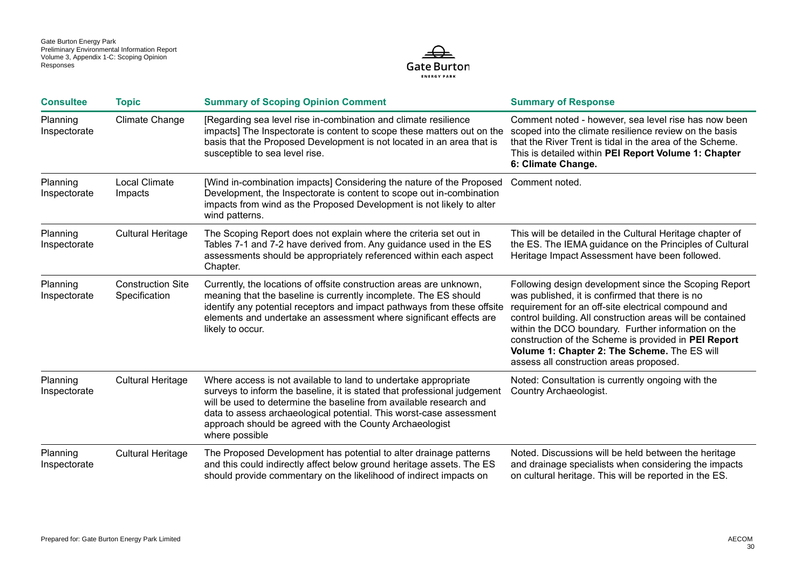

| <b>Consultee</b>         | <b>Topic</b>                              | <b>Summary of Scoping Opinion Comment</b>                                                                                                                                                                                                                                                                                                                            | <b>Summary of Response</b>                                                                                                                                                                                                                                                                                                                                                                                                              |
|--------------------------|-------------------------------------------|----------------------------------------------------------------------------------------------------------------------------------------------------------------------------------------------------------------------------------------------------------------------------------------------------------------------------------------------------------------------|-----------------------------------------------------------------------------------------------------------------------------------------------------------------------------------------------------------------------------------------------------------------------------------------------------------------------------------------------------------------------------------------------------------------------------------------|
| Planning<br>Inspectorate | <b>Climate Change</b>                     | [Regarding sea level rise in-combination and climate resilience<br>impacts] The Inspectorate is content to scope these matters out on the<br>basis that the Proposed Development is not located in an area that is<br>susceptible to sea level rise.                                                                                                                 | Comment noted - however, sea level rise has now been<br>scoped into the climate resilience review on the basis<br>that the River Trent is tidal in the area of the Scheme.<br>This is detailed within PEI Report Volume 1: Chapter<br>6: Climate Change.                                                                                                                                                                                |
| Planning<br>Inspectorate | <b>Local Climate</b><br>Impacts           | [Wind in-combination impacts] Considering the nature of the Proposed<br>Development, the Inspectorate is content to scope out in-combination<br>impacts from wind as the Proposed Development is not likely to alter<br>wind patterns.                                                                                                                               | Comment noted.                                                                                                                                                                                                                                                                                                                                                                                                                          |
| Planning<br>Inspectorate | <b>Cultural Heritage</b>                  | The Scoping Report does not explain where the criteria set out in<br>Tables 7-1 and 7-2 have derived from. Any guidance used in the ES<br>assessments should be appropriately referenced within each aspect<br>Chapter.                                                                                                                                              | This will be detailed in the Cultural Heritage chapter of<br>the ES. The IEMA guidance on the Principles of Cultural<br>Heritage Impact Assessment have been followed.                                                                                                                                                                                                                                                                  |
| Planning<br>Inspectorate | <b>Construction Site</b><br>Specification | Currently, the locations of offsite construction areas are unknown,<br>meaning that the baseline is currently incomplete. The ES should<br>identify any potential receptors and impact pathways from these offsite<br>elements and undertake an assessment where significant effects are<br>likely to occur.                                                         | Following design development since the Scoping Report<br>was published, it is confirmed that there is no<br>requirement for an off-site electrical compound and<br>control building. All construction areas will be contained<br>within the DCO boundary. Further information on the<br>construction of the Scheme is provided in PEI Report<br>Volume 1: Chapter 2: The Scheme. The ES will<br>assess all construction areas proposed. |
| Planning<br>Inspectorate | <b>Cultural Heritage</b>                  | Where access is not available to land to undertake appropriate<br>surveys to inform the baseline, it is stated that professional judgement<br>will be used to determine the baseline from available research and<br>data to assess archaeological potential. This worst-case assessment<br>approach should be agreed with the County Archaeologist<br>where possible | Noted: Consultation is currently ongoing with the<br>Country Archaeologist.                                                                                                                                                                                                                                                                                                                                                             |
| Planning<br>Inspectorate | <b>Cultural Heritage</b>                  | The Proposed Development has potential to alter drainage patterns<br>and this could indirectly affect below ground heritage assets. The ES<br>should provide commentary on the likelihood of indirect impacts on                                                                                                                                                     | Noted. Discussions will be held between the heritage<br>and drainage specialists when considering the impacts<br>on cultural heritage. This will be reported in the ES.                                                                                                                                                                                                                                                                 |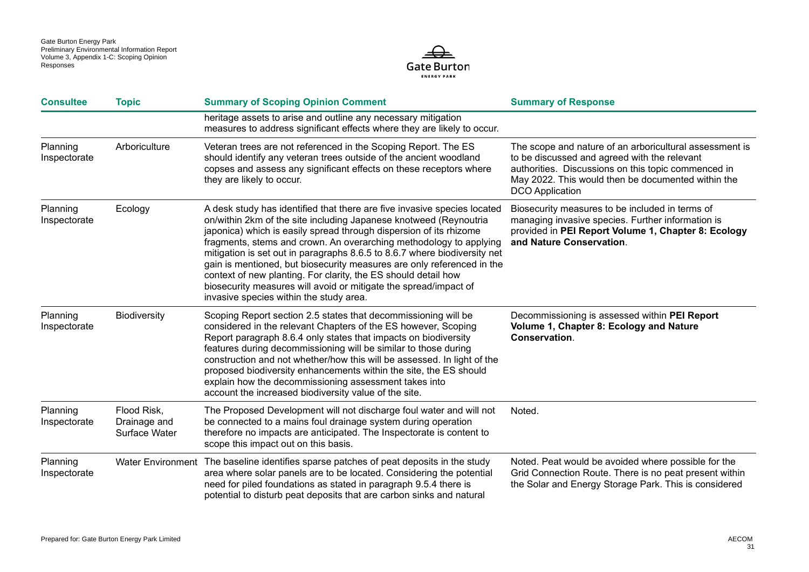

| <b>Consultee</b>         | <b>Topic</b>                                 | <b>Summary of Scoping Opinion Comment</b>                                                                                                                                                                                                                                                                                                                                                                                                                                                                                                                                                                                         | <b>Summary of Response</b>                                                                                                                                                                                                                     |
|--------------------------|----------------------------------------------|-----------------------------------------------------------------------------------------------------------------------------------------------------------------------------------------------------------------------------------------------------------------------------------------------------------------------------------------------------------------------------------------------------------------------------------------------------------------------------------------------------------------------------------------------------------------------------------------------------------------------------------|------------------------------------------------------------------------------------------------------------------------------------------------------------------------------------------------------------------------------------------------|
|                          |                                              | heritage assets to arise and outline any necessary mitigation<br>measures to address significant effects where they are likely to occur.                                                                                                                                                                                                                                                                                                                                                                                                                                                                                          |                                                                                                                                                                                                                                                |
| Planning<br>Inspectorate | Arboriculture                                | Veteran trees are not referenced in the Scoping Report. The ES<br>should identify any veteran trees outside of the ancient woodland<br>copses and assess any significant effects on these receptors where<br>they are likely to occur.                                                                                                                                                                                                                                                                                                                                                                                            | The scope and nature of an arboricultural assessment is<br>to be discussed and agreed with the relevant<br>authorities. Discussions on this topic commenced in<br>May 2022. This would then be documented within the<br><b>DCO</b> Application |
| Planning<br>Inspectorate | Ecology                                      | A desk study has identified that there are five invasive species located<br>on/within 2km of the site including Japanese knotweed (Reynoutria<br>japonica) which is easily spread through dispersion of its rhizome<br>fragments, stems and crown. An overarching methodology to applying<br>mitigation is set out in paragraphs 8.6.5 to 8.6.7 where biodiversity net<br>gain is mentioned, but biosecurity measures are only referenced in the<br>context of new planting. For clarity, the ES should detail how<br>biosecurity measures will avoid or mitigate the spread/impact of<br>invasive species within the study area. | Biosecurity measures to be included in terms of<br>managing invasive species. Further information is<br>provided in PEI Report Volume 1, Chapter 8: Ecology<br>and Nature Conservation.                                                        |
| Planning<br>Inspectorate | <b>Biodiversity</b>                          | Scoping Report section 2.5 states that decommissioning will be<br>considered in the relevant Chapters of the ES however, Scoping<br>Report paragraph 8.6.4 only states that impacts on biodiversity<br>features during decommissioning will be similar to those during<br>construction and not whether/how this will be assessed. In light of the<br>proposed biodiversity enhancements within the site, the ES should<br>explain how the decommissioning assessment takes into<br>account the increased biodiversity value of the site.                                                                                          | Decommissioning is assessed within PEI Report<br>Volume 1, Chapter 8: Ecology and Nature<br>Conservation.                                                                                                                                      |
| Planning<br>Inspectorate | Flood Risk,<br>Drainage and<br>Surface Water | The Proposed Development will not discharge foul water and will not<br>be connected to a mains foul drainage system during operation<br>therefore no impacts are anticipated. The Inspectorate is content to<br>scope this impact out on this basis.                                                                                                                                                                                                                                                                                                                                                                              | Noted.                                                                                                                                                                                                                                         |
| Planning<br>Inspectorate |                                              | Water Environment The baseline identifies sparse patches of peat deposits in the study<br>area where solar panels are to be located. Considering the potential<br>need for piled foundations as stated in paragraph 9.5.4 there is<br>potential to disturb peat deposits that are carbon sinks and natural                                                                                                                                                                                                                                                                                                                        | Noted. Peat would be avoided where possible for the<br>Grid Connection Route. There is no peat present within<br>the Solar and Energy Storage Park. This is considered                                                                         |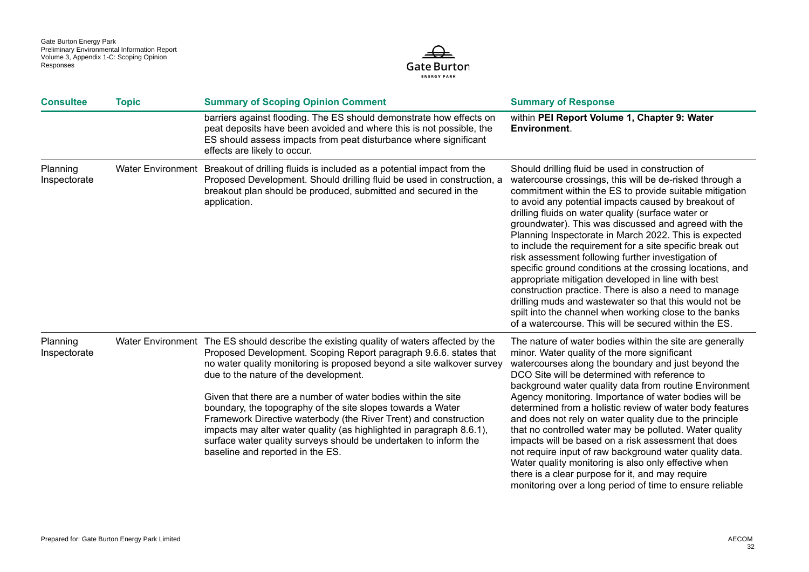

| <b>Consultee</b>         | <b>Topic</b> | <b>Summary of Scoping Opinion Comment</b>                                                                                                                                                                                                                                                                                                                                                                                                                                                                                                                                                                                                                          | <b>Summary of Response</b>                                                                                                                                                                                                                                                                                                                                                                                                                                                                                                                                                                                                                                                                                                                                                                                                                                                       |
|--------------------------|--------------|--------------------------------------------------------------------------------------------------------------------------------------------------------------------------------------------------------------------------------------------------------------------------------------------------------------------------------------------------------------------------------------------------------------------------------------------------------------------------------------------------------------------------------------------------------------------------------------------------------------------------------------------------------------------|----------------------------------------------------------------------------------------------------------------------------------------------------------------------------------------------------------------------------------------------------------------------------------------------------------------------------------------------------------------------------------------------------------------------------------------------------------------------------------------------------------------------------------------------------------------------------------------------------------------------------------------------------------------------------------------------------------------------------------------------------------------------------------------------------------------------------------------------------------------------------------|
|                          |              | barriers against flooding. The ES should demonstrate how effects on<br>peat deposits have been avoided and where this is not possible, the<br>ES should assess impacts from peat disturbance where significant<br>effects are likely to occur.                                                                                                                                                                                                                                                                                                                                                                                                                     | within PEI Report Volume 1, Chapter 9: Water<br><b>Environment.</b>                                                                                                                                                                                                                                                                                                                                                                                                                                                                                                                                                                                                                                                                                                                                                                                                              |
| Planning<br>Inspectorate |              | Water Environment Breakout of drilling fluids is included as a potential impact from the<br>Proposed Development. Should drilling fluid be used in construction, a<br>breakout plan should be produced, submitted and secured in the<br>application.                                                                                                                                                                                                                                                                                                                                                                                                               | Should drilling fluid be used in construction of<br>watercourse crossings, this will be de-risked through a<br>commitment within the ES to provide suitable mitigation<br>to avoid any potential impacts caused by breakout of<br>drilling fluids on water quality (surface water or<br>groundwater). This was discussed and agreed with the<br>Planning Inspectorate in March 2022. This is expected<br>to include the requirement for a site specific break out<br>risk assessment following further investigation of<br>specific ground conditions at the crossing locations, and<br>appropriate mitigation developed in line with best<br>construction practice. There is also a need to manage<br>drilling muds and wastewater so that this would not be<br>spilt into the channel when working close to the banks<br>of a watercourse. This will be secured within the ES. |
| Planning<br>Inspectorate |              | Water Environment The ES should describe the existing quality of waters affected by the<br>Proposed Development. Scoping Report paragraph 9.6.6. states that<br>no water quality monitoring is proposed beyond a site walkover survey<br>due to the nature of the development.<br>Given that there are a number of water bodies within the site<br>boundary, the topography of the site slopes towards a Water<br>Framework Directive waterbody (the River Trent) and construction<br>impacts may alter water quality (as highlighted in paragraph 8.6.1),<br>surface water quality surveys should be undertaken to inform the<br>baseline and reported in the ES. | The nature of water bodies within the site are generally<br>minor. Water quality of the more significant<br>watercourses along the boundary and just beyond the<br>DCO Site will be determined with reference to<br>background water quality data from routine Environment<br>Agency monitoring. Importance of water bodies will be<br>determined from a holistic review of water body features<br>and does not rely on water quality due to the principle<br>that no controlled water may be polluted. Water quality<br>impacts will be based on a risk assessment that does<br>not require input of raw background water quality data.<br>Water quality monitoring is also only effective when<br>there is a clear purpose for it, and may require<br>monitoring over a long period of time to ensure reliable                                                                 |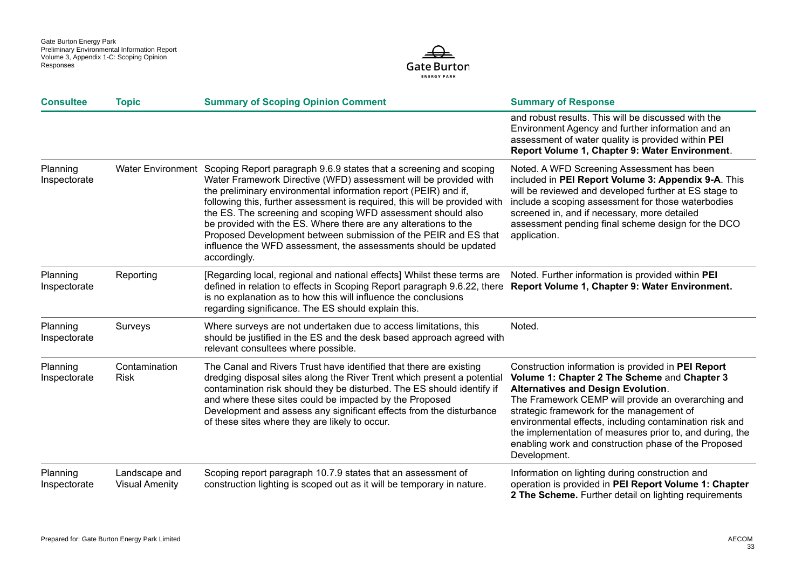

| <b>Consultee</b>         | <b>Topic</b>                           | <b>Summary of Scoping Opinion Comment</b>                                                                                                                                                                                                                                                                                                                                                                                                                                                                                                                                                          | <b>Summary of Response</b>                                                                                                                                                                                                                                                                                                                                                                                                                        |
|--------------------------|----------------------------------------|----------------------------------------------------------------------------------------------------------------------------------------------------------------------------------------------------------------------------------------------------------------------------------------------------------------------------------------------------------------------------------------------------------------------------------------------------------------------------------------------------------------------------------------------------------------------------------------------------|---------------------------------------------------------------------------------------------------------------------------------------------------------------------------------------------------------------------------------------------------------------------------------------------------------------------------------------------------------------------------------------------------------------------------------------------------|
|                          |                                        |                                                                                                                                                                                                                                                                                                                                                                                                                                                                                                                                                                                                    | and robust results. This will be discussed with the<br>Environment Agency and further information and an<br>assessment of water quality is provided within PEI<br>Report Volume 1, Chapter 9: Water Environment.                                                                                                                                                                                                                                  |
| Planning<br>Inspectorate |                                        | Water Environment Scoping Report paragraph 9.6.9 states that a screening and scoping<br>Water Framework Directive (WFD) assessment will be provided with<br>the preliminary environmental information report (PEIR) and if,<br>following this, further assessment is required, this will be provided with<br>the ES. The screening and scoping WFD assessment should also<br>be provided with the ES. Where there are any alterations to the<br>Proposed Development between submission of the PEIR and ES that<br>influence the WFD assessment, the assessments should be updated<br>accordingly. | Noted. A WFD Screening Assessment has been<br>included in PEI Report Volume 3: Appendix 9-A. This<br>will be reviewed and developed further at ES stage to<br>include a scoping assessment for those waterbodies<br>screened in, and if necessary, more detailed<br>assessment pending final scheme design for the DCO<br>application.                                                                                                            |
| Planning<br>Inspectorate | Reporting                              | [Regarding local, regional and national effects] Whilst these terms are<br>defined in relation to effects in Scoping Report paragraph 9.6.22, there<br>is no explanation as to how this will influence the conclusions<br>regarding significance. The ES should explain this.                                                                                                                                                                                                                                                                                                                      | Noted. Further information is provided within PEI<br>Report Volume 1, Chapter 9: Water Environment.                                                                                                                                                                                                                                                                                                                                               |
| Planning<br>Inspectorate | Surveys                                | Where surveys are not undertaken due to access limitations, this<br>should be justified in the ES and the desk based approach agreed with<br>relevant consultees where possible.                                                                                                                                                                                                                                                                                                                                                                                                                   | Noted.                                                                                                                                                                                                                                                                                                                                                                                                                                            |
| Planning<br>Inspectorate | Contamination<br><b>Risk</b>           | The Canal and Rivers Trust have identified that there are existing<br>dredging disposal sites along the River Trent which present a potential<br>contamination risk should they be disturbed. The ES should identify if<br>and where these sites could be impacted by the Proposed<br>Development and assess any significant effects from the disturbance<br>of these sites where they are likely to occur.                                                                                                                                                                                        | Construction information is provided in PEI Report<br>Volume 1: Chapter 2 The Scheme and Chapter 3<br><b>Alternatives and Design Evolution.</b><br>The Framework CEMP will provide an overarching and<br>strategic framework for the management of<br>environmental effects, including contamination risk and<br>the implementation of measures prior to, and during, the<br>enabling work and construction phase of the Proposed<br>Development. |
| Planning<br>Inspectorate | Landscape and<br><b>Visual Amenity</b> | Scoping report paragraph 10.7.9 states that an assessment of<br>construction lighting is scoped out as it will be temporary in nature.                                                                                                                                                                                                                                                                                                                                                                                                                                                             | Information on lighting during construction and<br>operation is provided in PEI Report Volume 1: Chapter<br>2 The Scheme. Further detail on lighting requirements                                                                                                                                                                                                                                                                                 |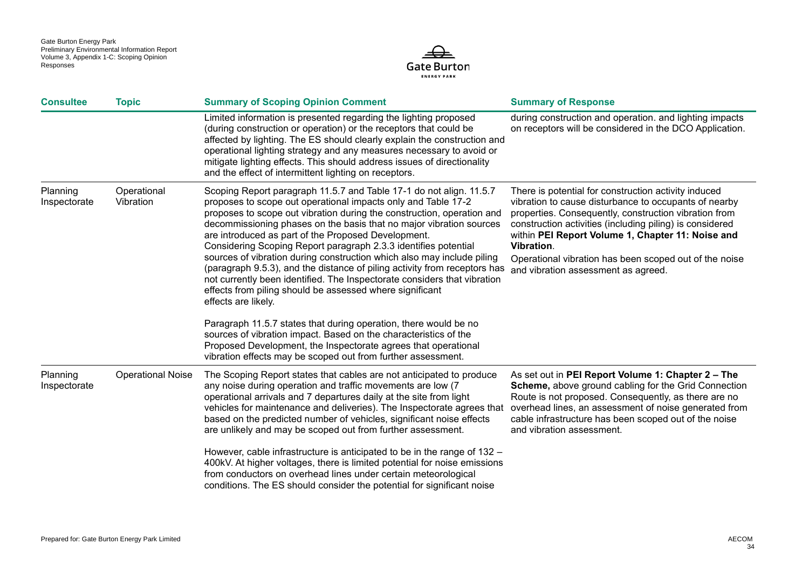

| <b>Consultee</b>         | <b>Topic</b>             | <b>Summary of Scoping Opinion Comment</b>                                                                                                                                                                                                                                                                                                                                                                                                                                                                                                                                                                                                                                                                                                                                                                                                                                                                                                                                                                       | <b>Summary of Response</b>                                                                                                                                                                                                                                                                                                                                                                             |
|--------------------------|--------------------------|-----------------------------------------------------------------------------------------------------------------------------------------------------------------------------------------------------------------------------------------------------------------------------------------------------------------------------------------------------------------------------------------------------------------------------------------------------------------------------------------------------------------------------------------------------------------------------------------------------------------------------------------------------------------------------------------------------------------------------------------------------------------------------------------------------------------------------------------------------------------------------------------------------------------------------------------------------------------------------------------------------------------|--------------------------------------------------------------------------------------------------------------------------------------------------------------------------------------------------------------------------------------------------------------------------------------------------------------------------------------------------------------------------------------------------------|
|                          |                          | Limited information is presented regarding the lighting proposed<br>(during construction or operation) or the receptors that could be<br>affected by lighting. The ES should clearly explain the construction and<br>operational lighting strategy and any measures necessary to avoid or<br>mitigate lighting effects. This should address issues of directionality<br>and the effect of intermittent lighting on receptors.                                                                                                                                                                                                                                                                                                                                                                                                                                                                                                                                                                                   | during construction and operation. and lighting impacts<br>on receptors will be considered in the DCO Application.                                                                                                                                                                                                                                                                                     |
| Planning<br>Inspectorate | Operational<br>Vibration | Scoping Report paragraph 11.5.7 and Table 17-1 do not align. 11.5.7<br>proposes to scope out operational impacts only and Table 17-2<br>proposes to scope out vibration during the construction, operation and<br>decommissioning phases on the basis that no major vibration sources<br>are introduced as part of the Proposed Development.<br>Considering Scoping Report paragraph 2.3.3 identifies potential<br>sources of vibration during construction which also may include piling<br>(paragraph 9.5.3), and the distance of piling activity from receptors has<br>not currently been identified. The Inspectorate considers that vibration<br>effects from piling should be assessed where significant<br>effects are likely.<br>Paragraph 11.5.7 states that during operation, there would be no<br>sources of vibration impact. Based on the characteristics of the<br>Proposed Development, the Inspectorate agrees that operational<br>vibration effects may be scoped out from further assessment. | There is potential for construction activity induced<br>vibration to cause disturbance to occupants of nearby<br>properties. Consequently, construction vibration from<br>construction activities (including piling) is considered<br>within PEI Report Volume 1, Chapter 11: Noise and<br>Vibration.<br>Operational vibration has been scoped out of the noise<br>and vibration assessment as agreed. |
| Planning<br>Inspectorate | <b>Operational Noise</b> | The Scoping Report states that cables are not anticipated to produce<br>any noise during operation and traffic movements are low (7<br>operational arrivals and 7 departures daily at the site from light<br>vehicles for maintenance and deliveries). The Inspectorate agrees that<br>based on the predicted number of vehicles, significant noise effects<br>are unlikely and may be scoped out from further assessment.<br>However, cable infrastructure is anticipated to be in the range of 132 -<br>400kV. At higher voltages, there is limited potential for noise emissions<br>from conductors on overhead lines under certain meteorological<br>conditions. The ES should consider the potential for significant noise                                                                                                                                                                                                                                                                                 | As set out in PEI Report Volume 1: Chapter 2 - The<br><b>Scheme, above ground cabling for the Grid Connection</b><br>Route is not proposed. Consequently, as there are no<br>overhead lines, an assessment of noise generated from<br>cable infrastructure has been scoped out of the noise<br>and vibration assessment.                                                                               |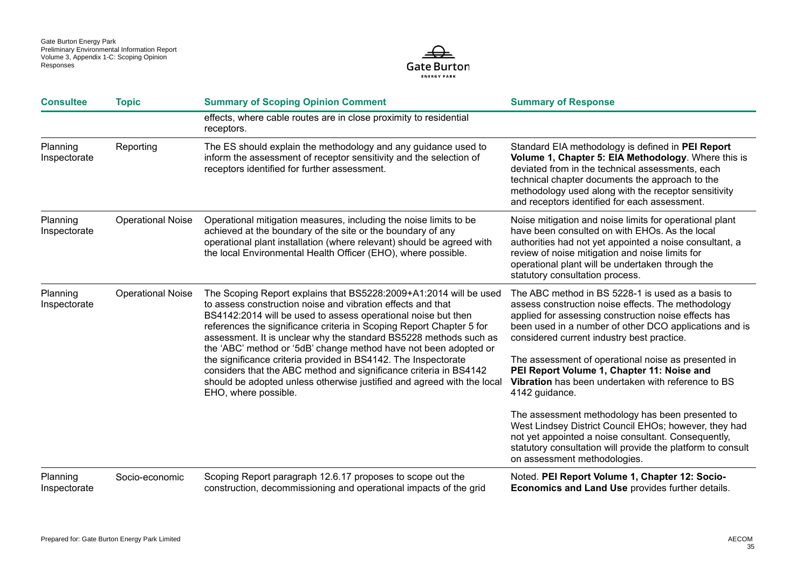

| <b>Consultee</b>         | <b>Topic</b>             | <b>Summary of Scoping Opinion Comment</b>                                                                                                                                                                                                                                                                                                                                                                                                                                                                                                                                                                                                                   | <b>Summary of Response</b>                                                                                                                                                                                                                                                                                                                                                                                                                                                                                                                                                                                                                                                                                              |
|--------------------------|--------------------------|-------------------------------------------------------------------------------------------------------------------------------------------------------------------------------------------------------------------------------------------------------------------------------------------------------------------------------------------------------------------------------------------------------------------------------------------------------------------------------------------------------------------------------------------------------------------------------------------------------------------------------------------------------------|-------------------------------------------------------------------------------------------------------------------------------------------------------------------------------------------------------------------------------------------------------------------------------------------------------------------------------------------------------------------------------------------------------------------------------------------------------------------------------------------------------------------------------------------------------------------------------------------------------------------------------------------------------------------------------------------------------------------------|
|                          |                          | effects, where cable routes are in close proximity to residential<br>receptors.                                                                                                                                                                                                                                                                                                                                                                                                                                                                                                                                                                             |                                                                                                                                                                                                                                                                                                                                                                                                                                                                                                                                                                                                                                                                                                                         |
| Planning<br>Inspectorate | Reporting                | The ES should explain the methodology and any guidance used to<br>inform the assessment of receptor sensitivity and the selection of<br>receptors identified for further assessment.                                                                                                                                                                                                                                                                                                                                                                                                                                                                        | Standard EIA methodology is defined in PEI Report<br>Volume 1, Chapter 5: EIA Methodology. Where this is<br>deviated from in the technical assessments, each<br>technical chapter documents the approach to the<br>methodology used along with the receptor sensitivity<br>and receptors identified for each assessment.                                                                                                                                                                                                                                                                                                                                                                                                |
| Planning<br>Inspectorate | <b>Operational Noise</b> | Operational mitigation measures, including the noise limits to be<br>achieved at the boundary of the site or the boundary of any<br>operational plant installation (where relevant) should be agreed with<br>the local Environmental Health Officer (EHO), where possible.                                                                                                                                                                                                                                                                                                                                                                                  | Noise mitigation and noise limits for operational plant<br>have been consulted on with EHOs. As the local<br>authorities had not yet appointed a noise consultant, a<br>review of noise mitigation and noise limits for<br>operational plant will be undertaken through the<br>statutory consultation process.                                                                                                                                                                                                                                                                                                                                                                                                          |
| Planning<br>Inspectorate | <b>Operational Noise</b> | The Scoping Report explains that BS5228:2009+A1:2014 will be used<br>to assess construction noise and vibration effects and that<br>BS4142:2014 will be used to assess operational noise but then<br>references the significance criteria in Scoping Report Chapter 5 for<br>assessment. It is unclear why the standard BS5228 methods such as<br>the 'ABC' method or '5dB' change method have not been adopted or<br>the significance criteria provided in BS4142. The Inspectorate<br>considers that the ABC method and significance criteria in BS4142<br>should be adopted unless otherwise justified and agreed with the local<br>EHO, where possible. | The ABC method in BS 5228-1 is used as a basis to<br>assess construction noise effects. The methodology<br>applied for assessing construction noise effects has<br>been used in a number of other DCO applications and is<br>considered current industry best practice.<br>The assessment of operational noise as presented in<br>PEI Report Volume 1, Chapter 11: Noise and<br>Vibration has been undertaken with reference to BS<br>4142 guidance.<br>The assessment methodology has been presented to<br>West Lindsey District Council EHOs; however, they had<br>not yet appointed a noise consultant. Consequently,<br>statutory consultation will provide the platform to consult<br>on assessment methodologies. |
| Planning<br>Inspectorate | Socio-economic           | Scoping Report paragraph 12.6.17 proposes to scope out the<br>construction, decommissioning and operational impacts of the grid                                                                                                                                                                                                                                                                                                                                                                                                                                                                                                                             | Noted. PEI Report Volume 1, Chapter 12: Socio-<br><b>Economics and Land Use provides further details.</b>                                                                                                                                                                                                                                                                                                                                                                                                                                                                                                                                                                                                               |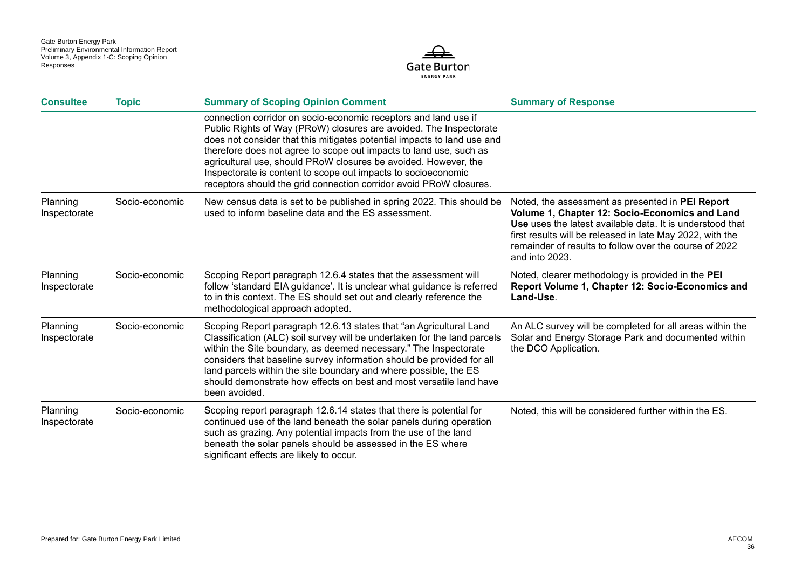

| <b>Consultee</b>         | <b>Topic</b>   | <b>Summary of Scoping Opinion Comment</b>                                                                                                                                                                                                                                                                                                                                                                                                                                                        | <b>Summary of Response</b>                                                                                                                                                                                                                                                                                      |
|--------------------------|----------------|--------------------------------------------------------------------------------------------------------------------------------------------------------------------------------------------------------------------------------------------------------------------------------------------------------------------------------------------------------------------------------------------------------------------------------------------------------------------------------------------------|-----------------------------------------------------------------------------------------------------------------------------------------------------------------------------------------------------------------------------------------------------------------------------------------------------------------|
|                          |                | connection corridor on socio-economic receptors and land use if<br>Public Rights of Way (PRoW) closures are avoided. The Inspectorate<br>does not consider that this mitigates potential impacts to land use and<br>therefore does not agree to scope out impacts to land use, such as<br>agricultural use, should PRoW closures be avoided. However, the<br>Inspectorate is content to scope out impacts to socioeconomic<br>receptors should the grid connection corridor avoid PRoW closures. |                                                                                                                                                                                                                                                                                                                 |
| Planning<br>Inspectorate | Socio-economic | New census data is set to be published in spring 2022. This should be<br>used to inform baseline data and the ES assessment.                                                                                                                                                                                                                                                                                                                                                                     | Noted, the assessment as presented in PEI Report<br>Volume 1, Chapter 12: Socio-Economics and Land<br><b>Use</b> uses the latest available data. It is understood that<br>first results will be released in late May 2022, with the<br>remainder of results to follow over the course of 2022<br>and into 2023. |
| Planning<br>Inspectorate | Socio-economic | Scoping Report paragraph 12.6.4 states that the assessment will<br>follow 'standard EIA guidance'. It is unclear what guidance is referred<br>to in this context. The ES should set out and clearly reference the<br>methodological approach adopted.                                                                                                                                                                                                                                            | Noted, clearer methodology is provided in the PEI<br>Report Volume 1, Chapter 12: Socio-Economics and<br>Land-Use.                                                                                                                                                                                              |
| Planning<br>Inspectorate | Socio-economic | Scoping Report paragraph 12.6.13 states that "an Agricultural Land<br>Classification (ALC) soil survey will be undertaken for the land parcels<br>within the Site boundary, as deemed necessary." The Inspectorate<br>considers that baseline survey information should be provided for all<br>land parcels within the site boundary and where possible, the ES<br>should demonstrate how effects on best and most versatile land have<br>been avoided.                                          | An ALC survey will be completed for all areas within the<br>Solar and Energy Storage Park and documented within<br>the DCO Application.                                                                                                                                                                         |
| Planning<br>Inspectorate | Socio-economic | Scoping report paragraph 12.6.14 states that there is potential for<br>continued use of the land beneath the solar panels during operation<br>such as grazing. Any potential impacts from the use of the land<br>beneath the solar panels should be assessed in the ES where<br>significant effects are likely to occur.                                                                                                                                                                         | Noted, this will be considered further within the ES.                                                                                                                                                                                                                                                           |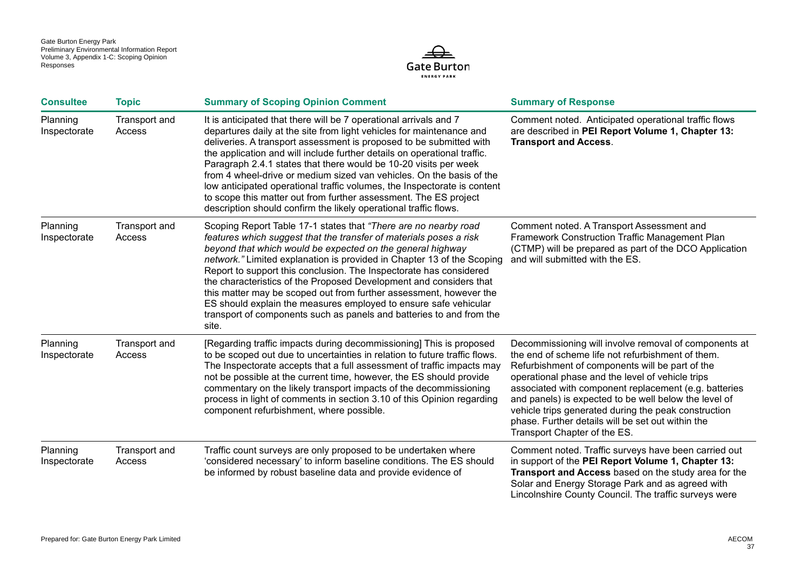

| <b>Consultee</b>         | <b>Topic</b>            | <b>Summary of Scoping Opinion Comment</b>                                                                                                                                                                                                                                                                                                                                                                                                                                                                                                                                                                                                                    | <b>Summary of Response</b>                                                                                                                                                                                                                                                                                                                                                                                                                                                       |
|--------------------------|-------------------------|--------------------------------------------------------------------------------------------------------------------------------------------------------------------------------------------------------------------------------------------------------------------------------------------------------------------------------------------------------------------------------------------------------------------------------------------------------------------------------------------------------------------------------------------------------------------------------------------------------------------------------------------------------------|----------------------------------------------------------------------------------------------------------------------------------------------------------------------------------------------------------------------------------------------------------------------------------------------------------------------------------------------------------------------------------------------------------------------------------------------------------------------------------|
| Planning<br>Inspectorate | Transport and<br>Access | It is anticipated that there will be 7 operational arrivals and 7<br>departures daily at the site from light vehicles for maintenance and<br>deliveries. A transport assessment is proposed to be submitted with<br>the application and will include further details on operational traffic.<br>Paragraph 2.4.1 states that there would be 10-20 visits per week<br>from 4 wheel-drive or medium sized van vehicles. On the basis of the<br>low anticipated operational traffic volumes, the Inspectorate is content<br>to scope this matter out from further assessment. The ES project<br>description should confirm the likely operational traffic flows. | Comment noted. Anticipated operational traffic flows<br>are described in PEI Report Volume 1, Chapter 13:<br><b>Transport and Access.</b>                                                                                                                                                                                                                                                                                                                                        |
| Planning<br>Inspectorate | Transport and<br>Access | Scoping Report Table 17-1 states that "There are no nearby road<br>features which suggest that the transfer of materials poses a risk<br>beyond that which would be expected on the general highway<br>network." Limited explanation is provided in Chapter 13 of the Scoping<br>Report to support this conclusion. The Inspectorate has considered<br>the characteristics of the Proposed Development and considers that<br>this matter may be scoped out from further assessment, however the<br>ES should explain the measures employed to ensure safe vehicular<br>transport of components such as panels and batteries to and from the<br>site.         | Comment noted. A Transport Assessment and<br>Framework Construction Traffic Management Plan<br>(CTMP) will be prepared as part of the DCO Application<br>and will submitted with the ES.                                                                                                                                                                                                                                                                                         |
| Planning<br>Inspectorate | Transport and<br>Access | [Regarding traffic impacts during decommissioning] This is proposed<br>to be scoped out due to uncertainties in relation to future traffic flows.<br>The Inspectorate accepts that a full assessment of traffic impacts may<br>not be possible at the current time, however, the ES should provide<br>commentary on the likely transport impacts of the decommissioning<br>process in light of comments in section 3.10 of this Opinion regarding<br>component refurbishment, where possible.                                                                                                                                                                | Decommissioning will involve removal of components at<br>the end of scheme life not refurbishment of them.<br>Refurbishment of components will be part of the<br>operational phase and the level of vehicle trips<br>associated with component replacement (e.g. batteries<br>and panels) is expected to be well below the level of<br>vehicle trips generated during the peak construction<br>phase. Further details will be set out within the<br>Transport Chapter of the ES. |
| Planning<br>Inspectorate | Transport and<br>Access | Traffic count surveys are only proposed to be undertaken where<br>'considered necessary' to inform baseline conditions. The ES should<br>be informed by robust baseline data and provide evidence of                                                                                                                                                                                                                                                                                                                                                                                                                                                         | Comment noted. Traffic surveys have been carried out<br>in support of the PEI Report Volume 1, Chapter 13:<br>Transport and Access based on the study area for the<br>Solar and Energy Storage Park and as agreed with<br>Lincolnshire County Council. The traffic surveys were                                                                                                                                                                                                  |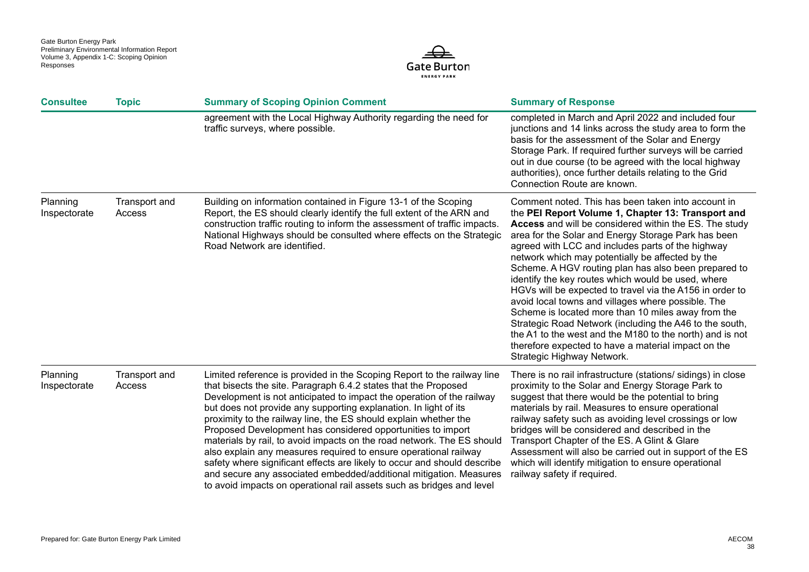

| <b>Consultee</b>         | <b>Topic</b>            | <b>Summary of Scoping Opinion Comment</b>                                                                                                                                                                                                                                                                                                                                                                                                                                                                                                                                                                                                                                                                                                                                                           | <b>Summary of Response</b>                                                                                                                                                                                                                                                                                                                                                                                                                                                                                                                                                                                                                                                                                                                                                                                                                  |
|--------------------------|-------------------------|-----------------------------------------------------------------------------------------------------------------------------------------------------------------------------------------------------------------------------------------------------------------------------------------------------------------------------------------------------------------------------------------------------------------------------------------------------------------------------------------------------------------------------------------------------------------------------------------------------------------------------------------------------------------------------------------------------------------------------------------------------------------------------------------------------|---------------------------------------------------------------------------------------------------------------------------------------------------------------------------------------------------------------------------------------------------------------------------------------------------------------------------------------------------------------------------------------------------------------------------------------------------------------------------------------------------------------------------------------------------------------------------------------------------------------------------------------------------------------------------------------------------------------------------------------------------------------------------------------------------------------------------------------------|
|                          |                         | agreement with the Local Highway Authority regarding the need for<br>traffic surveys, where possible.                                                                                                                                                                                                                                                                                                                                                                                                                                                                                                                                                                                                                                                                                               | completed in March and April 2022 and included four<br>junctions and 14 links across the study area to form the<br>basis for the assessment of the Solar and Energy<br>Storage Park. If required further surveys will be carried<br>out in due course (to be agreed with the local highway<br>authorities), once further details relating to the Grid<br>Connection Route are known.                                                                                                                                                                                                                                                                                                                                                                                                                                                        |
| Planning<br>Inspectorate | Transport and<br>Access | Building on information contained in Figure 13-1 of the Scoping<br>Report, the ES should clearly identify the full extent of the ARN and<br>construction traffic routing to inform the assessment of traffic impacts.<br>National Highways should be consulted where effects on the Strategic<br>Road Network are identified.                                                                                                                                                                                                                                                                                                                                                                                                                                                                       | Comment noted. This has been taken into account in<br>the PEI Report Volume 1, Chapter 13: Transport and<br><b>Access</b> and will be considered within the ES. The study<br>area for the Solar and Energy Storage Park has been<br>agreed with LCC and includes parts of the highway<br>network which may potentially be affected by the<br>Scheme. A HGV routing plan has also been prepared to<br>identify the key routes which would be used, where<br>HGVs will be expected to travel via the A156 in order to<br>avoid local towns and villages where possible. The<br>Scheme is located more than 10 miles away from the<br>Strategic Road Network (including the A46 to the south,<br>the A1 to the west and the M180 to the north) and is not<br>therefore expected to have a material impact on the<br>Strategic Highway Network. |
| Planning<br>Inspectorate | Transport and<br>Access | Limited reference is provided in the Scoping Report to the railway line<br>that bisects the site. Paragraph 6.4.2 states that the Proposed<br>Development is not anticipated to impact the operation of the railway<br>but does not provide any supporting explanation. In light of its<br>proximity to the railway line, the ES should explain whether the<br>Proposed Development has considered opportunities to import<br>materials by rail, to avoid impacts on the road network. The ES should<br>also explain any measures required to ensure operational railway<br>safety where significant effects are likely to occur and should describe<br>and secure any associated embedded/additional mitigation. Measures<br>to avoid impacts on operational rail assets such as bridges and level | There is no rail infrastructure (stations/ sidings) in close<br>proximity to the Solar and Energy Storage Park to<br>suggest that there would be the potential to bring<br>materials by rail. Measures to ensure operational<br>railway safety such as avoiding level crossings or low<br>bridges will be considered and described in the<br>Transport Chapter of the ES. A Glint & Glare<br>Assessment will also be carried out in support of the ES<br>which will identify mitigation to ensure operational<br>railway safety if required.                                                                                                                                                                                                                                                                                                |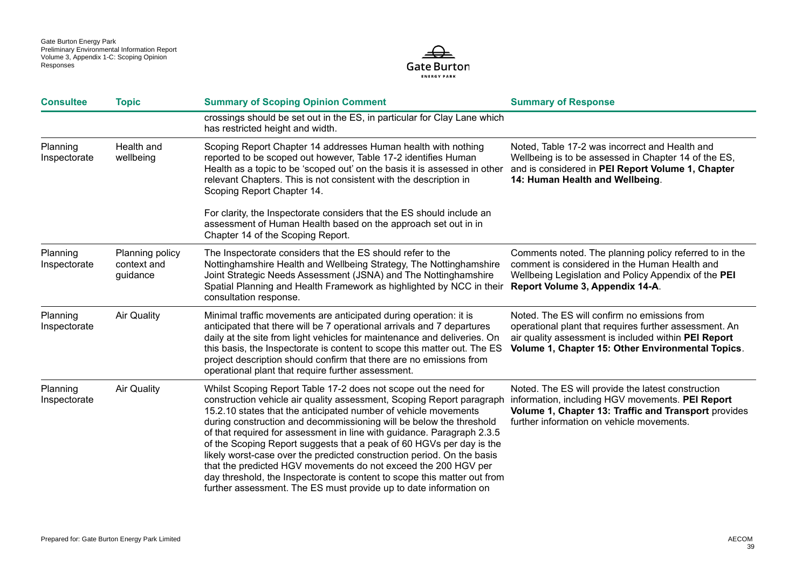

| <b>Consultee</b>         | <b>Topic</b>                               | <b>Summary of Scoping Opinion Comment</b>                                                                                                                                                                                                                                                                                                                                                                                                                                                                                                                                                                                                                                                                                          | <b>Summary of Response</b>                                                                                                                                                                                          |
|--------------------------|--------------------------------------------|------------------------------------------------------------------------------------------------------------------------------------------------------------------------------------------------------------------------------------------------------------------------------------------------------------------------------------------------------------------------------------------------------------------------------------------------------------------------------------------------------------------------------------------------------------------------------------------------------------------------------------------------------------------------------------------------------------------------------------|---------------------------------------------------------------------------------------------------------------------------------------------------------------------------------------------------------------------|
|                          |                                            | crossings should be set out in the ES, in particular for Clay Lane which<br>has restricted height and width.                                                                                                                                                                                                                                                                                                                                                                                                                                                                                                                                                                                                                       |                                                                                                                                                                                                                     |
| Planning<br>Inspectorate | Health and<br>wellbeing                    | Scoping Report Chapter 14 addresses Human health with nothing<br>reported to be scoped out however, Table 17-2 identifies Human<br>Health as a topic to be 'scoped out' on the basis it is assessed in other<br>relevant Chapters. This is not consistent with the description in<br>Scoping Report Chapter 14.                                                                                                                                                                                                                                                                                                                                                                                                                    | Noted, Table 17-2 was incorrect and Health and<br>Wellbeing is to be assessed in Chapter 14 of the ES,<br>and is considered in PEI Report Volume 1, Chapter<br>14: Human Health and Wellbeing.                      |
|                          |                                            | For clarity, the Inspectorate considers that the ES should include an<br>assessment of Human Health based on the approach set out in in<br>Chapter 14 of the Scoping Report.                                                                                                                                                                                                                                                                                                                                                                                                                                                                                                                                                       |                                                                                                                                                                                                                     |
| Planning<br>Inspectorate | Planning policy<br>context and<br>guidance | The Inspectorate considers that the ES should refer to the<br>Nottinghamshire Health and Wellbeing Strategy, The Nottinghamshire<br>Joint Strategic Needs Assessment (JSNA) and The Nottinghamshire<br>Spatial Planning and Health Framework as highlighted by NCC in their<br>consultation response.                                                                                                                                                                                                                                                                                                                                                                                                                              | Comments noted. The planning policy referred to in the<br>comment is considered in the Human Health and<br>Wellbeing Legislation and Policy Appendix of the PEI<br>Report Volume 3, Appendix 14-A.                  |
| Planning<br>Inspectorate | <b>Air Quality</b>                         | Minimal traffic movements are anticipated during operation: it is<br>anticipated that there will be 7 operational arrivals and 7 departures<br>daily at the site from light vehicles for maintenance and deliveries. On<br>this basis, the Inspectorate is content to scope this matter out. The ES<br>project description should confirm that there are no emissions from<br>operational plant that require further assessment.                                                                                                                                                                                                                                                                                                   | Noted. The ES will confirm no emissions from<br>operational plant that requires further assessment. An<br>air quality assessment is included within PEI Report<br>Volume 1, Chapter 15: Other Environmental Topics. |
| Planning<br>Inspectorate | <b>Air Quality</b>                         | Whilst Scoping Report Table 17-2 does not scope out the need for<br>construction vehicle air quality assessment, Scoping Report paragraph<br>15.2.10 states that the anticipated number of vehicle movements<br>during construction and decommissioning will be below the threshold<br>of that required for assessment in line with guidance. Paragraph 2.3.5<br>of the Scoping Report suggests that a peak of 60 HGVs per day is the<br>likely worst-case over the predicted construction period. On the basis<br>that the predicted HGV movements do not exceed the 200 HGV per<br>day threshold, the Inspectorate is content to scope this matter out from<br>further assessment. The ES must provide up to date information on | Noted. The ES will provide the latest construction<br>information, including HGV movements. PEI Report<br>Volume 1, Chapter 13: Traffic and Transport provides<br>further information on vehicle movements.         |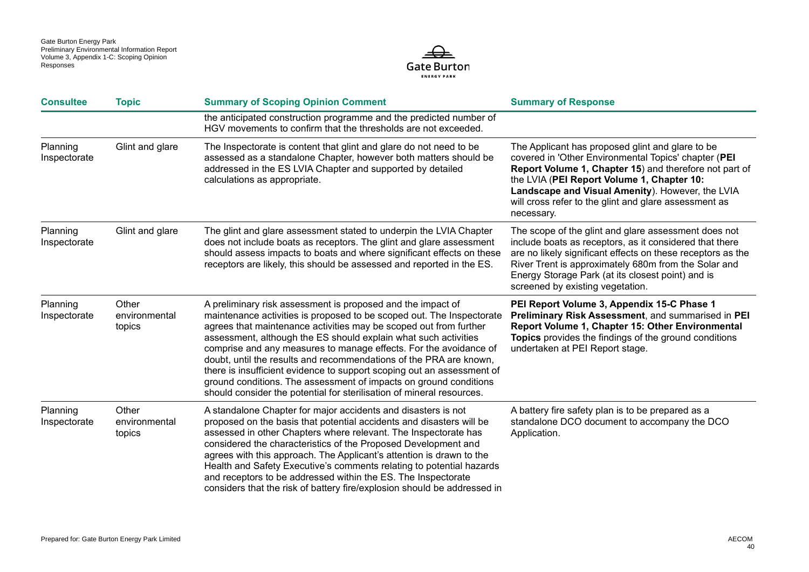

| <b>Consultee</b>         | <b>Topic</b>                     | <b>Summary of Scoping Opinion Comment</b>                                                                                                                                                                                                                                                                                                                                                                                                                                                                                                                                                                                                       | <b>Summary of Response</b>                                                                                                                                                                                                                                                                                                                  |
|--------------------------|----------------------------------|-------------------------------------------------------------------------------------------------------------------------------------------------------------------------------------------------------------------------------------------------------------------------------------------------------------------------------------------------------------------------------------------------------------------------------------------------------------------------------------------------------------------------------------------------------------------------------------------------------------------------------------------------|---------------------------------------------------------------------------------------------------------------------------------------------------------------------------------------------------------------------------------------------------------------------------------------------------------------------------------------------|
|                          |                                  | the anticipated construction programme and the predicted number of<br>HGV movements to confirm that the thresholds are not exceeded.                                                                                                                                                                                                                                                                                                                                                                                                                                                                                                            |                                                                                                                                                                                                                                                                                                                                             |
| Planning<br>Inspectorate | Glint and glare                  | The Inspectorate is content that glint and glare do not need to be<br>assessed as a standalone Chapter, however both matters should be<br>addressed in the ES LVIA Chapter and supported by detailed<br>calculations as appropriate.                                                                                                                                                                                                                                                                                                                                                                                                            | The Applicant has proposed glint and glare to be<br>covered in 'Other Environmental Topics' chapter (PEI<br>Report Volume 1, Chapter 15) and therefore not part of<br>the LVIA (PEI Report Volume 1, Chapter 10:<br>Landscape and Visual Amenity). However, the LVIA<br>will cross refer to the glint and glare assessment as<br>necessary. |
| Planning<br>Inspectorate | Glint and glare                  | The glint and glare assessment stated to underpin the LVIA Chapter<br>does not include boats as receptors. The glint and glare assessment<br>should assess impacts to boats and where significant effects on these<br>receptors are likely, this should be assessed and reported in the ES.                                                                                                                                                                                                                                                                                                                                                     | The scope of the glint and glare assessment does not<br>include boats as receptors, as it considered that there<br>are no likely significant effects on these receptors as the<br>River Trent is approximately 680m from the Solar and<br>Energy Storage Park (at its closest point) and is<br>screened by existing vegetation.             |
| Planning<br>Inspectorate | Other<br>environmental<br>topics | A preliminary risk assessment is proposed and the impact of<br>maintenance activities is proposed to be scoped out. The Inspectorate<br>agrees that maintenance activities may be scoped out from further<br>assessment, although the ES should explain what such activities<br>comprise and any measures to manage effects. For the avoidance of<br>doubt, until the results and recommendations of the PRA are known,<br>there is insufficient evidence to support scoping out an assessment of<br>ground conditions. The assessment of impacts on ground conditions<br>should consider the potential for sterilisation of mineral resources. | PEI Report Volume 3, Appendix 15-C Phase 1<br>Preliminary Risk Assessment, and summarised in PEI<br>Report Volume 1, Chapter 15: Other Environmental<br>Topics provides the findings of the ground conditions<br>undertaken at PEI Report stage.                                                                                            |
| Planning<br>Inspectorate | Other<br>environmental<br>topics | A standalone Chapter for major accidents and disasters is not<br>proposed on the basis that potential accidents and disasters will be<br>assessed in other Chapters where relevant. The Inspectorate has<br>considered the characteristics of the Proposed Development and<br>agrees with this approach. The Applicant's attention is drawn to the<br>Health and Safety Executive's comments relating to potential hazards<br>and receptors to be addressed within the ES. The Inspectorate<br>considers that the risk of battery fire/explosion should be addressed in                                                                         | A battery fire safety plan is to be prepared as a<br>standalone DCO document to accompany the DCO<br>Application.                                                                                                                                                                                                                           |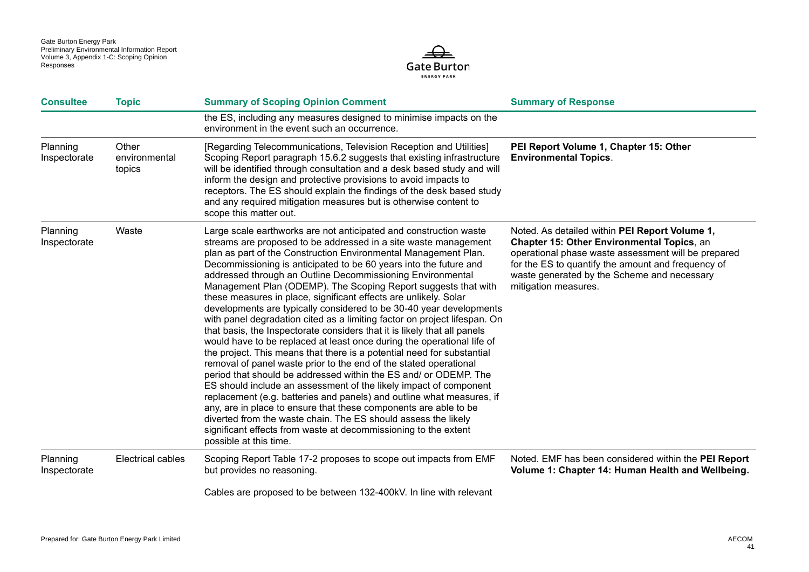

| <b>Consultee</b>         | <b>Topic</b>                     | <b>Summary of Scoping Opinion Comment</b>                                                                                                                                                                                                                                                                                                                                                                                                                                                                                                                                                                                                                                                                                                                                                                                                                                                                                                                                                                                                                                                                                                                                                                                                                                                                                                                                                      | <b>Summary of Response</b>                                                                                                                                                                                                                                                              |
|--------------------------|----------------------------------|------------------------------------------------------------------------------------------------------------------------------------------------------------------------------------------------------------------------------------------------------------------------------------------------------------------------------------------------------------------------------------------------------------------------------------------------------------------------------------------------------------------------------------------------------------------------------------------------------------------------------------------------------------------------------------------------------------------------------------------------------------------------------------------------------------------------------------------------------------------------------------------------------------------------------------------------------------------------------------------------------------------------------------------------------------------------------------------------------------------------------------------------------------------------------------------------------------------------------------------------------------------------------------------------------------------------------------------------------------------------------------------------|-----------------------------------------------------------------------------------------------------------------------------------------------------------------------------------------------------------------------------------------------------------------------------------------|
|                          |                                  | the ES, including any measures designed to minimise impacts on the<br>environment in the event such an occurrence.                                                                                                                                                                                                                                                                                                                                                                                                                                                                                                                                                                                                                                                                                                                                                                                                                                                                                                                                                                                                                                                                                                                                                                                                                                                                             |                                                                                                                                                                                                                                                                                         |
| Planning<br>Inspectorate | Other<br>environmental<br>topics | [Regarding Telecommunications, Television Reception and Utilities]<br>Scoping Report paragraph 15.6.2 suggests that existing infrastructure<br>will be identified through consultation and a desk based study and will<br>inform the design and protective provisions to avoid impacts to<br>receptors. The ES should explain the findings of the desk based study<br>and any required mitigation measures but is otherwise content to<br>scope this matter out.                                                                                                                                                                                                                                                                                                                                                                                                                                                                                                                                                                                                                                                                                                                                                                                                                                                                                                                               | PEI Report Volume 1, Chapter 15: Other<br><b>Environmental Topics.</b>                                                                                                                                                                                                                  |
| Planning<br>Inspectorate | Waste                            | Large scale earthworks are not anticipated and construction waste<br>streams are proposed to be addressed in a site waste management<br>plan as part of the Construction Environmental Management Plan.<br>Decommissioning is anticipated to be 60 years into the future and<br>addressed through an Outline Decommissioning Environmental<br>Management Plan (ODEMP). The Scoping Report suggests that with<br>these measures in place, significant effects are unlikely. Solar<br>developments are typically considered to be 30-40 year developments<br>with panel degradation cited as a limiting factor on project lifespan. On<br>that basis, the Inspectorate considers that it is likely that all panels<br>would have to be replaced at least once during the operational life of<br>the project. This means that there is a potential need for substantial<br>removal of panel waste prior to the end of the stated operational<br>period that should be addressed within the ES and/ or ODEMP. The<br>ES should include an assessment of the likely impact of component<br>replacement (e.g. batteries and panels) and outline what measures, if<br>any, are in place to ensure that these components are able to be<br>diverted from the waste chain. The ES should assess the likely<br>significant effects from waste at decommissioning to the extent<br>possible at this time. | Noted. As detailed within PEI Report Volume 1,<br><b>Chapter 15: Other Environmental Topics, an</b><br>operational phase waste assessment will be prepared<br>for the ES to quantify the amount and frequency of<br>waste generated by the Scheme and necessary<br>mitigation measures. |
| Planning<br>Inspectorate | Electrical cables                | Scoping Report Table 17-2 proposes to scope out impacts from EMF<br>but provides no reasoning.                                                                                                                                                                                                                                                                                                                                                                                                                                                                                                                                                                                                                                                                                                                                                                                                                                                                                                                                                                                                                                                                                                                                                                                                                                                                                                 | Noted. EMF has been considered within the PEI Report<br>Volume 1: Chapter 14: Human Health and Wellbeing.                                                                                                                                                                               |
|                          |                                  | Cables are proposed to be between 132-400kV. In line with relevant                                                                                                                                                                                                                                                                                                                                                                                                                                                                                                                                                                                                                                                                                                                                                                                                                                                                                                                                                                                                                                                                                                                                                                                                                                                                                                                             |                                                                                                                                                                                                                                                                                         |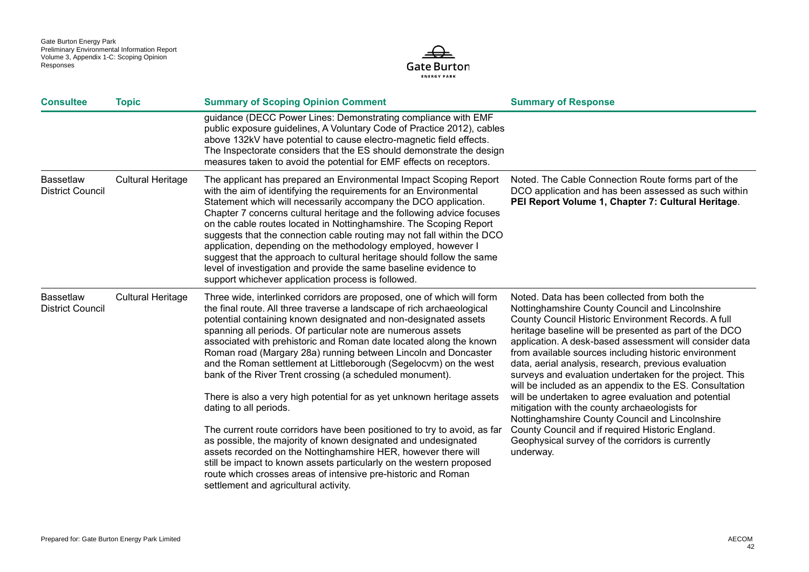

| <b>Consultee</b>                            | <b>Topic</b>             | <b>Summary of Scoping Opinion Comment</b>                                                                                                                                                                                                                                                                                                                                                                                                                                                                                                                                                                                                                                                                                                                                                                                                                                                                                                                                                                                                                          | <b>Summary of Response</b>                                                                                                                                                                                                                                                                                                                                                                                                                                                                                                                                                                                                                                                                                                                                                                          |
|---------------------------------------------|--------------------------|--------------------------------------------------------------------------------------------------------------------------------------------------------------------------------------------------------------------------------------------------------------------------------------------------------------------------------------------------------------------------------------------------------------------------------------------------------------------------------------------------------------------------------------------------------------------------------------------------------------------------------------------------------------------------------------------------------------------------------------------------------------------------------------------------------------------------------------------------------------------------------------------------------------------------------------------------------------------------------------------------------------------------------------------------------------------|-----------------------------------------------------------------------------------------------------------------------------------------------------------------------------------------------------------------------------------------------------------------------------------------------------------------------------------------------------------------------------------------------------------------------------------------------------------------------------------------------------------------------------------------------------------------------------------------------------------------------------------------------------------------------------------------------------------------------------------------------------------------------------------------------------|
|                                             |                          | guidance (DECC Power Lines: Demonstrating compliance with EMF<br>public exposure guidelines, A Voluntary Code of Practice 2012), cables<br>above 132kV have potential to cause electro-magnetic field effects.<br>The Inspectorate considers that the ES should demonstrate the design<br>measures taken to avoid the potential for EMF effects on receptors.                                                                                                                                                                                                                                                                                                                                                                                                                                                                                                                                                                                                                                                                                                      |                                                                                                                                                                                                                                                                                                                                                                                                                                                                                                                                                                                                                                                                                                                                                                                                     |
| <b>Bassetlaw</b><br><b>District Council</b> | <b>Cultural Heritage</b> | The applicant has prepared an Environmental Impact Scoping Report<br>with the aim of identifying the requirements for an Environmental<br>Statement which will necessarily accompany the DCO application.<br>Chapter 7 concerns cultural heritage and the following advice focuses<br>on the cable routes located in Nottinghamshire. The Scoping Report<br>suggests that the connection cable routing may not fall within the DCO<br>application, depending on the methodology employed, however I<br>suggest that the approach to cultural heritage should follow the same<br>level of investigation and provide the same baseline evidence to<br>support whichever application process is followed.                                                                                                                                                                                                                                                                                                                                                             | Noted. The Cable Connection Route forms part of the<br>DCO application and has been assessed as such within<br>PEI Report Volume 1, Chapter 7: Cultural Heritage.                                                                                                                                                                                                                                                                                                                                                                                                                                                                                                                                                                                                                                   |
| <b>Bassetlaw</b><br><b>District Council</b> | <b>Cultural Heritage</b> | Three wide, interlinked corridors are proposed, one of which will form<br>the final route. All three traverse a landscape of rich archaeological<br>potential containing known designated and non-designated assets<br>spanning all periods. Of particular note are numerous assets<br>associated with prehistoric and Roman date located along the known<br>Roman road (Margary 28a) running between Lincoln and Doncaster<br>and the Roman settlement at Littleborough (Segelocvm) on the west<br>bank of the River Trent crossing (a scheduled monument).<br>There is also a very high potential for as yet unknown heritage assets<br>dating to all periods.<br>The current route corridors have been positioned to try to avoid, as far<br>as possible, the majority of known designated and undesignated<br>assets recorded on the Nottinghamshire HER, however there will<br>still be impact to known assets particularly on the western proposed<br>route which crosses areas of intensive pre-historic and Roman<br>settlement and agricultural activity. | Noted. Data has been collected from both the<br>Nottinghamshire County Council and Lincolnshire<br>County Council Historic Environment Records. A full<br>heritage baseline will be presented as part of the DCO<br>application. A desk-based assessment will consider data<br>from available sources including historic environment<br>data, aerial analysis, research, previous evaluation<br>surveys and evaluation undertaken for the project. This<br>will be included as an appendix to the ES. Consultation<br>will be undertaken to agree evaluation and potential<br>mitigation with the county archaeologists for<br>Nottinghamshire County Council and Lincolnshire<br>County Council and if required Historic England.<br>Geophysical survey of the corridors is currently<br>underway. |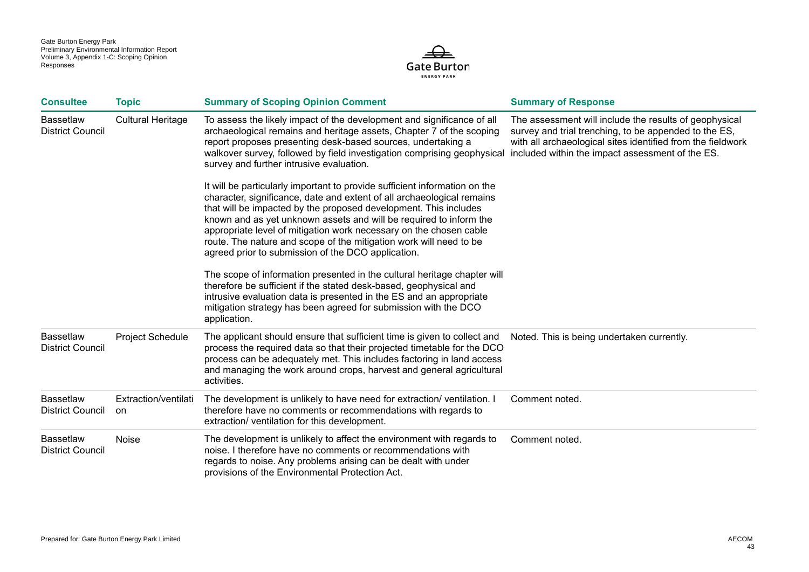

| <b>Consultee</b>                            | <b>Topic</b>                | <b>Summary of Scoping Opinion Comment</b>                                                                                                                                                                                                                                                                                                                                                                                                                                                        | <b>Summary of Response</b>                                                                                                                                                                                                         |
|---------------------------------------------|-----------------------------|--------------------------------------------------------------------------------------------------------------------------------------------------------------------------------------------------------------------------------------------------------------------------------------------------------------------------------------------------------------------------------------------------------------------------------------------------------------------------------------------------|------------------------------------------------------------------------------------------------------------------------------------------------------------------------------------------------------------------------------------|
| <b>Bassetlaw</b><br><b>District Council</b> | <b>Cultural Heritage</b>    | To assess the likely impact of the development and significance of all<br>archaeological remains and heritage assets, Chapter 7 of the scoping<br>report proposes presenting desk-based sources, undertaking a<br>walkover survey, followed by field investigation comprising geophysical<br>survey and further intrusive evaluation.                                                                                                                                                            | The assessment will include the results of geophysical<br>survey and trial trenching, to be appended to the ES,<br>with all archaeological sites identified from the fieldwork<br>included within the impact assessment of the ES. |
|                                             |                             | It will be particularly important to provide sufficient information on the<br>character, significance, date and extent of all archaeological remains<br>that will be impacted by the proposed development. This includes<br>known and as yet unknown assets and will be required to inform the<br>appropriate level of mitigation work necessary on the chosen cable<br>route. The nature and scope of the mitigation work will need to be<br>agreed prior to submission of the DCO application. |                                                                                                                                                                                                                                    |
|                                             |                             | The scope of information presented in the cultural heritage chapter will<br>therefore be sufficient if the stated desk-based, geophysical and<br>intrusive evaluation data is presented in the ES and an appropriate<br>mitigation strategy has been agreed for submission with the DCO<br>application.                                                                                                                                                                                          |                                                                                                                                                                                                                                    |
| <b>Bassetlaw</b><br><b>District Council</b> | <b>Project Schedule</b>     | The applicant should ensure that sufficient time is given to collect and<br>process the required data so that their projected timetable for the DCO<br>process can be adequately met. This includes factoring in land access<br>and managing the work around crops, harvest and general agricultural<br>activities.                                                                                                                                                                              | Noted. This is being undertaken currently.                                                                                                                                                                                         |
| <b>Bassetlaw</b><br><b>District Council</b> | Extraction/ventilati<br>on. | The development is unlikely to have need for extraction/ventilation. I<br>therefore have no comments or recommendations with regards to<br>extraction/ ventilation for this development.                                                                                                                                                                                                                                                                                                         | Comment noted.                                                                                                                                                                                                                     |
| <b>Bassetlaw</b><br><b>District Council</b> | Noise                       | The development is unlikely to affect the environment with regards to<br>noise. I therefore have no comments or recommendations with<br>regards to noise. Any problems arising can be dealt with under<br>provisions of the Environmental Protection Act.                                                                                                                                                                                                                                        | Comment noted.                                                                                                                                                                                                                     |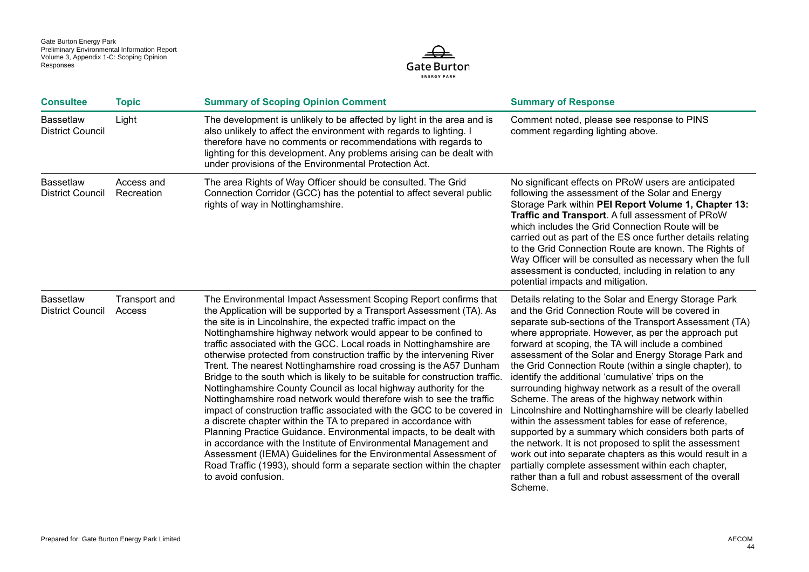

| <b>Consultee</b>                            | <b>Topic</b>             | <b>Summary of Scoping Opinion Comment</b>                                                                                                                                                                                                                                                                                                                                                                                                                                                                                                                                                                                                                                                                                                                                                                                                                                                                                                                                                                                                                                                                                                                                                       | <b>Summary of Response</b>                                                                                                                                                                                                                                                                                                                                                                                                                                                                                                                                                                                                                                                                                                                                                                                                                                                                                                                                                                           |
|---------------------------------------------|--------------------------|-------------------------------------------------------------------------------------------------------------------------------------------------------------------------------------------------------------------------------------------------------------------------------------------------------------------------------------------------------------------------------------------------------------------------------------------------------------------------------------------------------------------------------------------------------------------------------------------------------------------------------------------------------------------------------------------------------------------------------------------------------------------------------------------------------------------------------------------------------------------------------------------------------------------------------------------------------------------------------------------------------------------------------------------------------------------------------------------------------------------------------------------------------------------------------------------------|------------------------------------------------------------------------------------------------------------------------------------------------------------------------------------------------------------------------------------------------------------------------------------------------------------------------------------------------------------------------------------------------------------------------------------------------------------------------------------------------------------------------------------------------------------------------------------------------------------------------------------------------------------------------------------------------------------------------------------------------------------------------------------------------------------------------------------------------------------------------------------------------------------------------------------------------------------------------------------------------------|
| <b>Bassetlaw</b><br><b>District Council</b> | Light                    | The development is unlikely to be affected by light in the area and is<br>also unlikely to affect the environment with regards to lighting. I<br>therefore have no comments or recommendations with regards to<br>lighting for this development. Any problems arising can be dealt with<br>under provisions of the Environmental Protection Act.                                                                                                                                                                                                                                                                                                                                                                                                                                                                                                                                                                                                                                                                                                                                                                                                                                                | Comment noted, please see response to PINS<br>comment regarding lighting above.                                                                                                                                                                                                                                                                                                                                                                                                                                                                                                                                                                                                                                                                                                                                                                                                                                                                                                                      |
| <b>Bassetlaw</b><br><b>District Council</b> | Access and<br>Recreation | The area Rights of Way Officer should be consulted. The Grid<br>Connection Corridor (GCC) has the potential to affect several public<br>rights of way in Nottinghamshire.                                                                                                                                                                                                                                                                                                                                                                                                                                                                                                                                                                                                                                                                                                                                                                                                                                                                                                                                                                                                                       | No significant effects on PRoW users are anticipated<br>following the assessment of the Solar and Energy<br>Storage Park within PEI Report Volume 1, Chapter 13:<br>Traffic and Transport. A full assessment of PRoW<br>which includes the Grid Connection Route will be<br>carried out as part of the ES once further details relating<br>to the Grid Connection Route are known. The Rights of<br>Way Officer will be consulted as necessary when the full<br>assessment is conducted, including in relation to any<br>potential impacts and mitigation.                                                                                                                                                                                                                                                                                                                                                                                                                                           |
| <b>Bassetlaw</b><br><b>District Council</b> | Transport and<br>Access  | The Environmental Impact Assessment Scoping Report confirms that<br>the Application will be supported by a Transport Assessment (TA). As<br>the site is in Lincolnshire, the expected traffic impact on the<br>Nottinghamshire highway network would appear to be confined to<br>traffic associated with the GCC. Local roads in Nottinghamshire are<br>otherwise protected from construction traffic by the intervening River<br>Trent. The nearest Nottinghamshire road crossing is the A57 Dunham<br>Bridge to the south which is likely to be suitable for construction traffic.<br>Nottinghamshire County Council as local highway authority for the<br>Nottinghamshire road network would therefore wish to see the traffic<br>impact of construction traffic associated with the GCC to be covered in<br>a discrete chapter within the TA to prepared in accordance with<br>Planning Practice Guidance. Environmental impacts, to be dealt with<br>in accordance with the Institute of Environmental Management and<br>Assessment (IEMA) Guidelines for the Environmental Assessment of<br>Road Traffic (1993), should form a separate section within the chapter<br>to avoid confusion. | Details relating to the Solar and Energy Storage Park<br>and the Grid Connection Route will be covered in<br>separate sub-sections of the Transport Assessment (TA)<br>where appropriate. However, as per the approach put<br>forward at scoping, the TA will include a combined<br>assessment of the Solar and Energy Storage Park and<br>the Grid Connection Route (within a single chapter), to<br>identify the additional 'cumulative' trips on the<br>surrounding highway network as a result of the overall<br>Scheme. The areas of the highway network within<br>Lincolnshire and Nottinghamshire will be clearly labelled<br>within the assessment tables for ease of reference,<br>supported by a summary which considers both parts of<br>the network. It is not proposed to split the assessment<br>work out into separate chapters as this would result in a<br>partially complete assessment within each chapter,<br>rather than a full and robust assessment of the overall<br>Scheme. |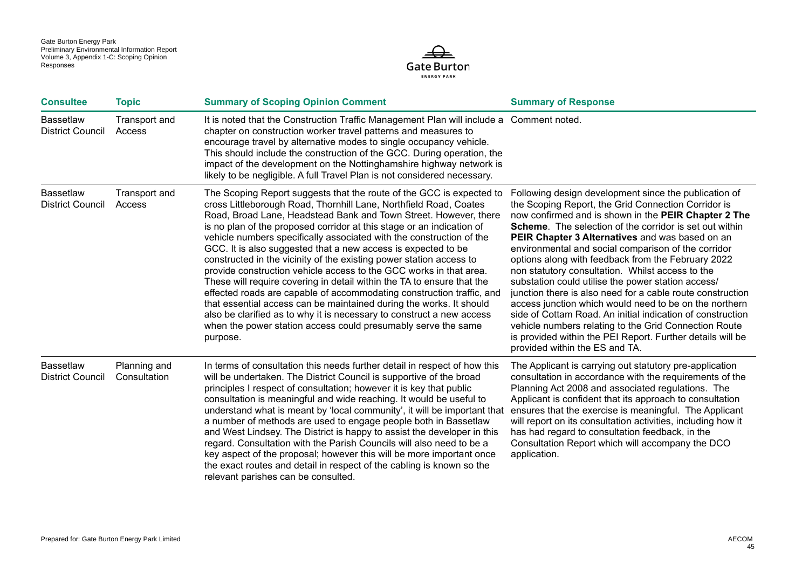

| <b>Consultee</b>                            | <b>Topic</b>                 | <b>Summary of Scoping Opinion Comment</b>                                                                                                                                                                                                                                                                                                                                                                                                                                                                                                                                                                                                                                                                                                                                                                                                                                                                                                                    | <b>Summary of Response</b>                                                                                                                                                                                                                                                                                                                                                                                                                                                                                                                                                                                                                                                                                                                                                                                                                                      |
|---------------------------------------------|------------------------------|--------------------------------------------------------------------------------------------------------------------------------------------------------------------------------------------------------------------------------------------------------------------------------------------------------------------------------------------------------------------------------------------------------------------------------------------------------------------------------------------------------------------------------------------------------------------------------------------------------------------------------------------------------------------------------------------------------------------------------------------------------------------------------------------------------------------------------------------------------------------------------------------------------------------------------------------------------------|-----------------------------------------------------------------------------------------------------------------------------------------------------------------------------------------------------------------------------------------------------------------------------------------------------------------------------------------------------------------------------------------------------------------------------------------------------------------------------------------------------------------------------------------------------------------------------------------------------------------------------------------------------------------------------------------------------------------------------------------------------------------------------------------------------------------------------------------------------------------|
| <b>Bassetlaw</b><br><b>District Council</b> | Transport and<br>Access      | It is noted that the Construction Traffic Management Plan will include a Comment noted.<br>chapter on construction worker travel patterns and measures to<br>encourage travel by alternative modes to single occupancy vehicle.<br>This should include the construction of the GCC. During operation, the<br>impact of the development on the Nottinghamshire highway network is<br>likely to be negligible. A full Travel Plan is not considered necessary.                                                                                                                                                                                                                                                                                                                                                                                                                                                                                                 |                                                                                                                                                                                                                                                                                                                                                                                                                                                                                                                                                                                                                                                                                                                                                                                                                                                                 |
| <b>Bassetlaw</b><br><b>District Council</b> | Transport and<br>Access      | The Scoping Report suggests that the route of the GCC is expected to<br>cross Littleborough Road, Thornhill Lane, Northfield Road, Coates<br>Road, Broad Lane, Headstead Bank and Town Street. However, there<br>is no plan of the proposed corridor at this stage or an indication of<br>vehicle numbers specifically associated with the construction of the<br>GCC. It is also suggested that a new access is expected to be<br>constructed in the vicinity of the existing power station access to<br>provide construction vehicle access to the GCC works in that area.<br>These will require covering in detail within the TA to ensure that the<br>effected roads are capable of accommodating construction traffic, and<br>that essential access can be maintained during the works. It should<br>also be clarified as to why it is necessary to construct a new access<br>when the power station access could presumably serve the same<br>purpose. | Following design development since the publication of<br>the Scoping Report, the Grid Connection Corridor is<br>now confirmed and is shown in the PEIR Chapter 2 The<br><b>Scheme.</b> The selection of the corridor is set out within<br>PEIR Chapter 3 Alternatives and was based on an<br>environmental and social comparison of the corridor<br>options along with feedback from the February 2022<br>non statutory consultation. Whilst access to the<br>substation could utilise the power station access/<br>junction there is also need for a cable route construction<br>access junction which would need to be on the northern<br>side of Cottam Road. An initial indication of construction<br>vehicle numbers relating to the Grid Connection Route<br>is provided within the PEI Report. Further details will be<br>provided within the ES and TA. |
| <b>Bassetlaw</b><br><b>District Council</b> | Planning and<br>Consultation | In terms of consultation this needs further detail in respect of how this<br>will be undertaken. The District Council is supportive of the broad<br>principles I respect of consultation; however it is key that public<br>consultation is meaningful and wide reaching. It would be useful to<br>understand what is meant by 'local community', it will be important that<br>a number of methods are used to engage people both in Bassetlaw<br>and West Lindsey. The District is happy to assist the developer in this<br>regard. Consultation with the Parish Councils will also need to be a<br>key aspect of the proposal; however this will be more important once<br>the exact routes and detail in respect of the cabling is known so the<br>relevant parishes can be consulted.                                                                                                                                                                     | The Applicant is carrying out statutory pre-application<br>consultation in accordance with the requirements of the<br>Planning Act 2008 and associated regulations. The<br>Applicant is confident that its approach to consultation<br>ensures that the exercise is meaningful. The Applicant<br>will report on its consultation activities, including how it<br>has had regard to consultation feedback, in the<br>Consultation Report which will accompany the DCO<br>application.                                                                                                                                                                                                                                                                                                                                                                            |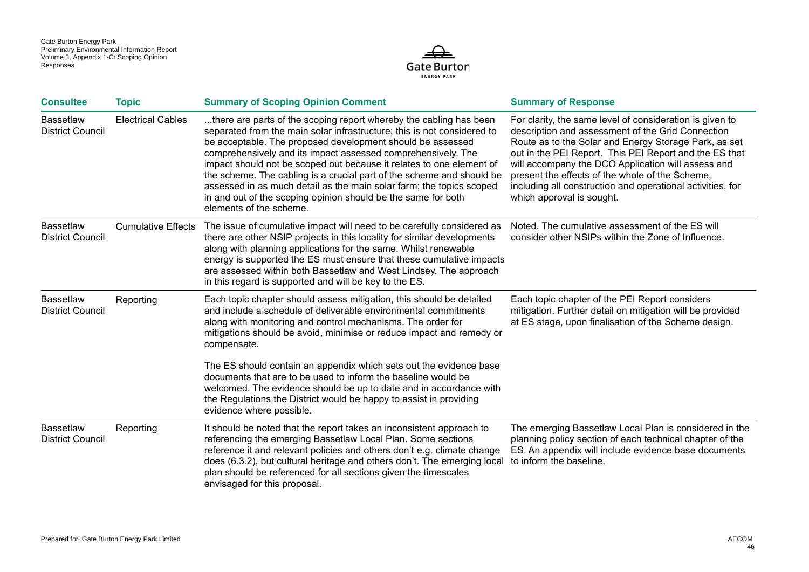

| <b>Consultee</b>                            | <b>Topic</b>              | <b>Summary of Scoping Opinion Comment</b>                                                                                                                                                                                                                                                                                                                                                                                                                                                                                                                                                        | <b>Summary of Response</b>                                                                                                                                                                                                                                                                                                                                                                                                           |
|---------------------------------------------|---------------------------|--------------------------------------------------------------------------------------------------------------------------------------------------------------------------------------------------------------------------------------------------------------------------------------------------------------------------------------------------------------------------------------------------------------------------------------------------------------------------------------------------------------------------------------------------------------------------------------------------|--------------------------------------------------------------------------------------------------------------------------------------------------------------------------------------------------------------------------------------------------------------------------------------------------------------------------------------------------------------------------------------------------------------------------------------|
| <b>Bassetlaw</b><br><b>District Council</b> | <b>Electrical Cables</b>  | there are parts of the scoping report whereby the cabling has been<br>separated from the main solar infrastructure; this is not considered to<br>be acceptable. The proposed development should be assessed<br>comprehensively and its impact assessed comprehensively. The<br>impact should not be scoped out because it relates to one element of<br>the scheme. The cabling is a crucial part of the scheme and should be<br>assessed in as much detail as the main solar farm; the topics scoped<br>in and out of the scoping opinion should be the same for both<br>elements of the scheme. | For clarity, the same level of consideration is given to<br>description and assessment of the Grid Connection<br>Route as to the Solar and Energy Storage Park, as set<br>out in the PEI Report. This PEI Report and the ES that<br>will accompany the DCO Application will assess and<br>present the effects of the whole of the Scheme,<br>including all construction and operational activities, for<br>which approval is sought. |
| <b>Bassetlaw</b><br><b>District Council</b> | <b>Cumulative Effects</b> | The issue of cumulative impact will need to be carefully considered as<br>there are other NSIP projects in this locality for similar developments<br>along with planning applications for the same. Whilst renewable<br>energy is supported the ES must ensure that these cumulative impacts<br>are assessed within both Bassetlaw and West Lindsey. The approach<br>in this regard is supported and will be key to the ES.                                                                                                                                                                      | Noted. The cumulative assessment of the ES will<br>consider other NSIPs within the Zone of Influence.                                                                                                                                                                                                                                                                                                                                |
| <b>Bassetlaw</b><br><b>District Council</b> | Reporting                 | Each topic chapter should assess mitigation, this should be detailed<br>and include a schedule of deliverable environmental commitments<br>along with monitoring and control mechanisms. The order for<br>mitigations should be avoid, minimise or reduce impact and remedy or<br>compensate.                                                                                                                                                                                                                                                                                                    | Each topic chapter of the PEI Report considers<br>mitigation. Further detail on mitigation will be provided<br>at ES stage, upon finalisation of the Scheme design.                                                                                                                                                                                                                                                                  |
|                                             |                           | The ES should contain an appendix which sets out the evidence base<br>documents that are to be used to inform the baseline would be<br>welcomed. The evidence should be up to date and in accordance with<br>the Regulations the District would be happy to assist in providing<br>evidence where possible.                                                                                                                                                                                                                                                                                      |                                                                                                                                                                                                                                                                                                                                                                                                                                      |
| <b>Bassetlaw</b><br><b>District Council</b> | Reporting                 | It should be noted that the report takes an inconsistent approach to<br>referencing the emerging Bassetlaw Local Plan. Some sections<br>reference it and relevant policies and others don't e.g. climate change<br>does (6.3.2), but cultural heritage and others don't. The emerging local<br>plan should be referenced for all sections given the timescales<br>envisaged for this proposal.                                                                                                                                                                                                   | The emerging Bassetlaw Local Plan is considered in the<br>planning policy section of each technical chapter of the<br>ES. An appendix will include evidence base documents<br>to inform the baseline.                                                                                                                                                                                                                                |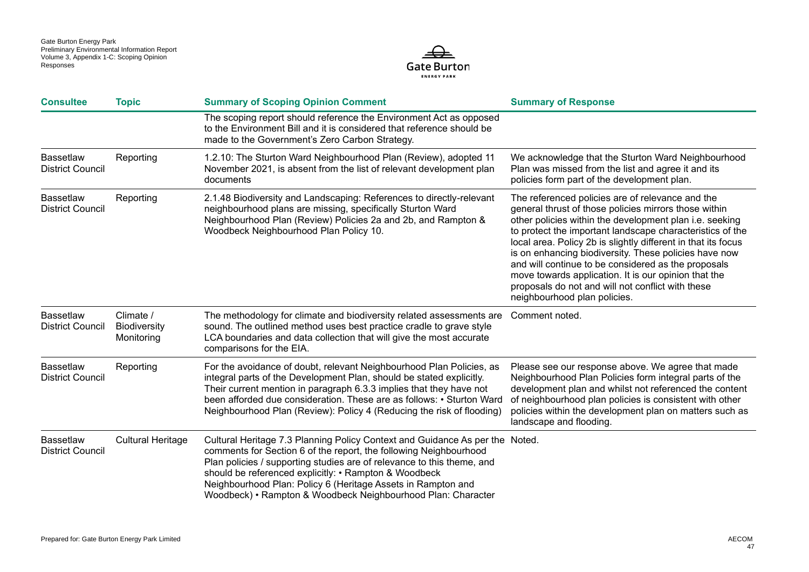

| <b>Consultee</b>                            | <b>Topic</b>                                   | <b>Summary of Scoping Opinion Comment</b>                                                                                                                                                                                                                                                                                                                                                                            | <b>Summary of Response</b>                                                                                                                                                                                                                                                                                                                                                                                                                                                                                                                                      |
|---------------------------------------------|------------------------------------------------|----------------------------------------------------------------------------------------------------------------------------------------------------------------------------------------------------------------------------------------------------------------------------------------------------------------------------------------------------------------------------------------------------------------------|-----------------------------------------------------------------------------------------------------------------------------------------------------------------------------------------------------------------------------------------------------------------------------------------------------------------------------------------------------------------------------------------------------------------------------------------------------------------------------------------------------------------------------------------------------------------|
|                                             |                                                | The scoping report should reference the Environment Act as opposed<br>to the Environment Bill and it is considered that reference should be<br>made to the Government's Zero Carbon Strategy.                                                                                                                                                                                                                        |                                                                                                                                                                                                                                                                                                                                                                                                                                                                                                                                                                 |
| <b>Bassetlaw</b><br><b>District Council</b> | Reporting                                      | 1.2.10: The Sturton Ward Neighbourhood Plan (Review), adopted 11<br>November 2021, is absent from the list of relevant development plan<br>documents                                                                                                                                                                                                                                                                 | We acknowledge that the Sturton Ward Neighbourhood<br>Plan was missed from the list and agree it and its<br>policies form part of the development plan.                                                                                                                                                                                                                                                                                                                                                                                                         |
| <b>Bassetlaw</b><br><b>District Council</b> | Reporting                                      | 2.1.48 Biodiversity and Landscaping: References to directly-relevant<br>neighbourhood plans are missing, specifically Sturton Ward<br>Neighbourhood Plan (Review) Policies 2a and 2b, and Rampton &<br>Woodbeck Neighbourhood Plan Policy 10.                                                                                                                                                                        | The referenced policies are of relevance and the<br>general thrust of those policies mirrors those within<br>other policies within the development plan i.e. seeking<br>to protect the important landscape characteristics of the<br>local area. Policy 2b is slightly different in that its focus<br>is on enhancing biodiversity. These policies have now<br>and will continue to be considered as the proposals<br>move towards application. It is our opinion that the<br>proposals do not and will not conflict with these<br>neighbourhood plan policies. |
| <b>Bassetlaw</b><br><b>District Council</b> | Climate /<br><b>Biodiversity</b><br>Monitoring | The methodology for climate and biodiversity related assessments are<br>sound. The outlined method uses best practice cradle to grave style<br>LCA boundaries and data collection that will give the most accurate<br>comparisons for the EIA.                                                                                                                                                                       | Comment noted.                                                                                                                                                                                                                                                                                                                                                                                                                                                                                                                                                  |
| <b>Bassetlaw</b><br><b>District Council</b> | Reporting                                      | For the avoidance of doubt, relevant Neighbourhood Plan Policies, as<br>integral parts of the Development Plan, should be stated explicitly.<br>Their current mention in paragraph 6.3.3 implies that they have not<br>been afforded due consideration. These are as follows: • Sturton Ward<br>Neighbourhood Plan (Review): Policy 4 (Reducing the risk of flooding)                                                | Please see our response above. We agree that made<br>Neighbourhood Plan Policies form integral parts of the<br>development plan and whilst not referenced the content<br>of neighbourhood plan policies is consistent with other<br>policies within the development plan on matters such as<br>landscape and flooding.                                                                                                                                                                                                                                          |
| <b>Bassetlaw</b><br><b>District Council</b> | <b>Cultural Heritage</b>                       | Cultural Heritage 7.3 Planning Policy Context and Guidance As per the Noted.<br>comments for Section 6 of the report, the following Neighbourhood<br>Plan policies / supporting studies are of relevance to this theme, and<br>should be referenced explicitly: • Rampton & Woodbeck<br>Neighbourhood Plan: Policy 6 (Heritage Assets in Rampton and<br>Woodbeck) • Rampton & Woodbeck Neighbourhood Plan: Character |                                                                                                                                                                                                                                                                                                                                                                                                                                                                                                                                                                 |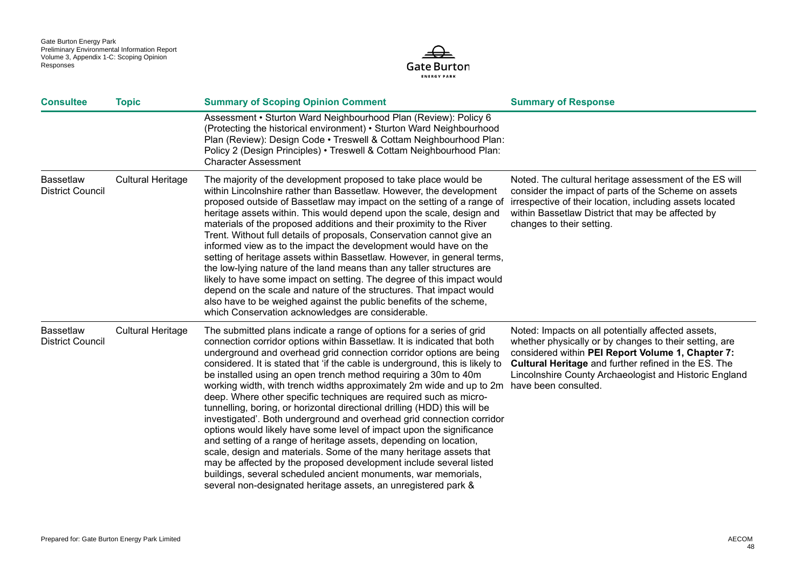

| <b>Consultee</b>                            | <b>Topic</b>             | <b>Summary of Scoping Opinion Comment</b>                                                                                                                                                                                                                                                                                                                                                                                                                                                                                                                                                                                                                                                                                                                                                                                                                                                                                                                                                                                                                                                                                       | <b>Summary of Response</b>                                                                                                                                                                                                                                                                 |
|---------------------------------------------|--------------------------|---------------------------------------------------------------------------------------------------------------------------------------------------------------------------------------------------------------------------------------------------------------------------------------------------------------------------------------------------------------------------------------------------------------------------------------------------------------------------------------------------------------------------------------------------------------------------------------------------------------------------------------------------------------------------------------------------------------------------------------------------------------------------------------------------------------------------------------------------------------------------------------------------------------------------------------------------------------------------------------------------------------------------------------------------------------------------------------------------------------------------------|--------------------------------------------------------------------------------------------------------------------------------------------------------------------------------------------------------------------------------------------------------------------------------------------|
|                                             |                          | Assessment • Sturton Ward Neighbourhood Plan (Review): Policy 6<br>(Protecting the historical environment) • Sturton Ward Neighbourhood<br>Plan (Review): Design Code • Treswell & Cottam Neighbourhood Plan:<br>Policy 2 (Design Principles) • Treswell & Cottam Neighbourhood Plan:<br><b>Character Assessment</b>                                                                                                                                                                                                                                                                                                                                                                                                                                                                                                                                                                                                                                                                                                                                                                                                            |                                                                                                                                                                                                                                                                                            |
| <b>Bassetlaw</b><br><b>District Council</b> | <b>Cultural Heritage</b> | The majority of the development proposed to take place would be<br>within Lincolnshire rather than Bassetlaw. However, the development<br>proposed outside of Bassetlaw may impact on the setting of a range of<br>heritage assets within. This would depend upon the scale, design and<br>materials of the proposed additions and their proximity to the River<br>Trent. Without full details of proposals, Conservation cannot give an<br>informed view as to the impact the development would have on the<br>setting of heritage assets within Bassetlaw. However, in general terms,<br>the low-lying nature of the land means than any taller structures are<br>likely to have some impact on setting. The degree of this impact would<br>depend on the scale and nature of the structures. That impact would<br>also have to be weighed against the public benefits of the scheme,<br>which Conservation acknowledges are considerable.                                                                                                                                                                                    | Noted. The cultural heritage assessment of the ES will<br>consider the impact of parts of the Scheme on assets<br>irrespective of their location, including assets located<br>within Bassetlaw District that may be affected by<br>changes to their setting.                               |
| <b>Bassetlaw</b><br><b>District Council</b> | <b>Cultural Heritage</b> | The submitted plans indicate a range of options for a series of grid<br>connection corridor options within Bassetlaw. It is indicated that both<br>underground and overhead grid connection corridor options are being<br>considered. It is stated that 'if the cable is underground, this is likely to<br>be installed using an open trench method requiring a 30m to 40m<br>working width, with trench widths approximately 2m wide and up to 2m have been consulted.<br>deep. Where other specific techniques are required such as micro-<br>tunnelling, boring, or horizontal directional drilling (HDD) this will be<br>investigated'. Both underground and overhead grid connection corridor<br>options would likely have some level of impact upon the significance<br>and setting of a range of heritage assets, depending on location,<br>scale, design and materials. Some of the many heritage assets that<br>may be affected by the proposed development include several listed<br>buildings, several scheduled ancient monuments, war memorials,<br>several non-designated heritage assets, an unregistered park & | Noted: Impacts on all potentially affected assets,<br>whether physically or by changes to their setting, are<br>considered within PEI Report Volume 1, Chapter 7:<br><b>Cultural Heritage</b> and further refined in the ES. The<br>Lincolnshire County Archaeologist and Historic England |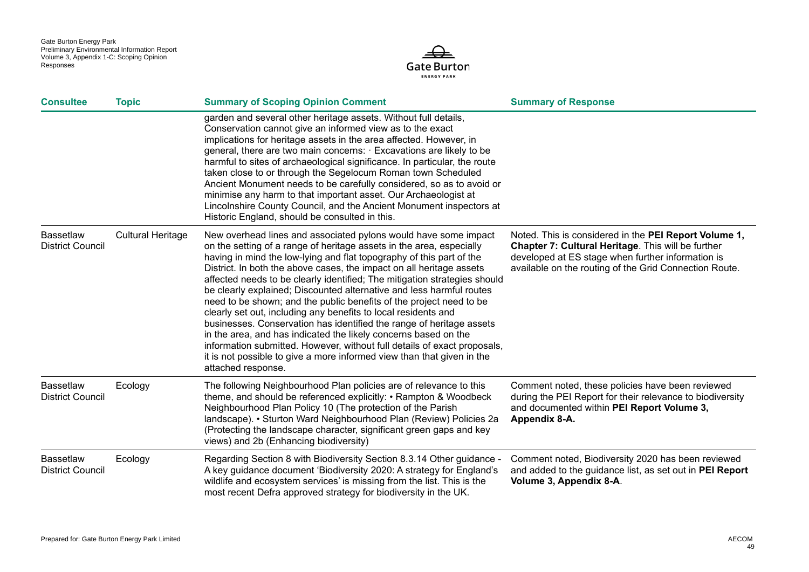

| <b>Consultee</b>                            | <b>Topic</b>             | <b>Summary of Scoping Opinion Comment</b>                                                                                                                                                                                                                                                                                                                                                                                                                                                                                                                                                                                                                                                                                                                                                                                                                                                                    | <b>Summary of Response</b>                                                                                                                                                                                                 |
|---------------------------------------------|--------------------------|--------------------------------------------------------------------------------------------------------------------------------------------------------------------------------------------------------------------------------------------------------------------------------------------------------------------------------------------------------------------------------------------------------------------------------------------------------------------------------------------------------------------------------------------------------------------------------------------------------------------------------------------------------------------------------------------------------------------------------------------------------------------------------------------------------------------------------------------------------------------------------------------------------------|----------------------------------------------------------------------------------------------------------------------------------------------------------------------------------------------------------------------------|
|                                             |                          | garden and several other heritage assets. Without full details,<br>Conservation cannot give an informed view as to the exact<br>implications for heritage assets in the area affected. However, in<br>general, there are two main concerns: Excavations are likely to be<br>harmful to sites of archaeological significance. In particular, the route<br>taken close to or through the Segelocum Roman town Scheduled<br>Ancient Monument needs to be carefully considered, so as to avoid or<br>minimise any harm to that important asset. Our Archaeologist at<br>Lincolnshire County Council, and the Ancient Monument inspectors at<br>Historic England, should be consulted in this.                                                                                                                                                                                                                    |                                                                                                                                                                                                                            |
| <b>Bassetlaw</b><br><b>District Council</b> | <b>Cultural Heritage</b> | New overhead lines and associated pylons would have some impact<br>on the setting of a range of heritage assets in the area, especially<br>having in mind the low-lying and flat topography of this part of the<br>District. In both the above cases, the impact on all heritage assets<br>affected needs to be clearly identified; The mitigation strategies should<br>be clearly explained; Discounted alternative and less harmful routes<br>need to be shown; and the public benefits of the project need to be<br>clearly set out, including any benefits to local residents and<br>businesses. Conservation has identified the range of heritage assets<br>in the area, and has indicated the likely concerns based on the<br>information submitted. However, without full details of exact proposals,<br>it is not possible to give a more informed view than that given in the<br>attached response. | Noted. This is considered in the PEI Report Volume 1,<br>Chapter 7: Cultural Heritage. This will be further<br>developed at ES stage when further information is<br>available on the routing of the Grid Connection Route. |
| <b>Bassetlaw</b><br><b>District Council</b> | Ecology                  | The following Neighbourhood Plan policies are of relevance to this<br>theme, and should be referenced explicitly: • Rampton & Woodbeck<br>Neighbourhood Plan Policy 10 (The protection of the Parish<br>landscape). • Sturton Ward Neighbourhood Plan (Review) Policies 2a<br>(Protecting the landscape character, significant green gaps and key<br>views) and 2b (Enhancing biodiversity)                                                                                                                                                                                                                                                                                                                                                                                                                                                                                                                  | Comment noted, these policies have been reviewed<br>during the PEI Report for their relevance to biodiversity<br>and documented within PEI Report Volume 3,<br>Appendix 8-A.                                               |
| <b>Bassetlaw</b><br><b>District Council</b> | Ecology                  | Regarding Section 8 with Biodiversity Section 8.3.14 Other guidance -<br>A key guidance document 'Biodiversity 2020: A strategy for England's<br>wildlife and ecosystem services' is missing from the list. This is the<br>most recent Defra approved strategy for biodiversity in the UK.                                                                                                                                                                                                                                                                                                                                                                                                                                                                                                                                                                                                                   | Comment noted, Biodiversity 2020 has been reviewed<br>and added to the guidance list, as set out in PEI Report<br>Volume 3, Appendix 8-A.                                                                                  |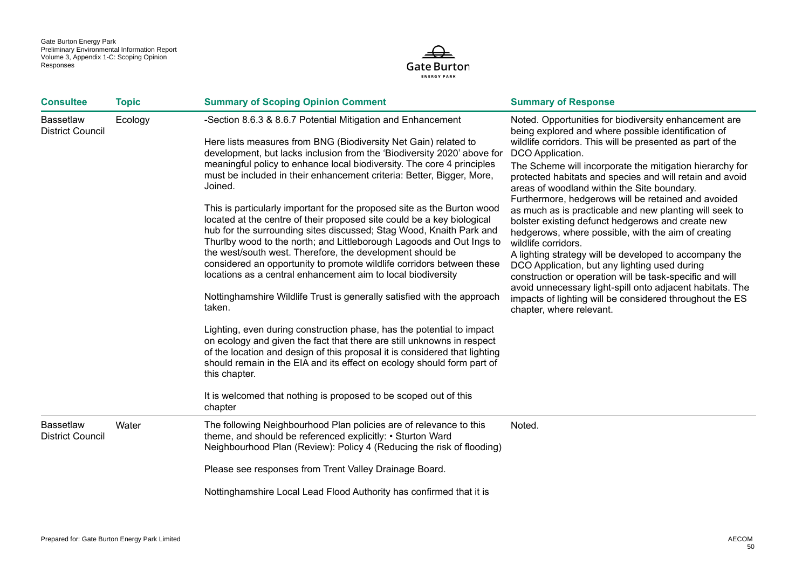

| <b>Consultee</b>                            | <b>Topic</b> | <b>Summary of Scoping Opinion Comment</b>                                                                                                                                                                                                                                                                                                                                                                                                                                                                                                                                                                                                                                                                                                                                                                                                                                                                                                                                                                                                                                                                                                                                                                                                                                                                                                                                         | <b>Summary of Response</b>                                                                                                                                                                                                                                                                                                                                                                                                                                                                                                                                                                                                                                                                                                                                                                                                                                                                                                                            |
|---------------------------------------------|--------------|-----------------------------------------------------------------------------------------------------------------------------------------------------------------------------------------------------------------------------------------------------------------------------------------------------------------------------------------------------------------------------------------------------------------------------------------------------------------------------------------------------------------------------------------------------------------------------------------------------------------------------------------------------------------------------------------------------------------------------------------------------------------------------------------------------------------------------------------------------------------------------------------------------------------------------------------------------------------------------------------------------------------------------------------------------------------------------------------------------------------------------------------------------------------------------------------------------------------------------------------------------------------------------------------------------------------------------------------------------------------------------------|-------------------------------------------------------------------------------------------------------------------------------------------------------------------------------------------------------------------------------------------------------------------------------------------------------------------------------------------------------------------------------------------------------------------------------------------------------------------------------------------------------------------------------------------------------------------------------------------------------------------------------------------------------------------------------------------------------------------------------------------------------------------------------------------------------------------------------------------------------------------------------------------------------------------------------------------------------|
| <b>Bassetlaw</b><br><b>District Council</b> | Ecology      | -Section 8.6.3 & 8.6.7 Potential Mitigation and Enhancement<br>Here lists measures from BNG (Biodiversity Net Gain) related to<br>development, but lacks inclusion from the 'Biodiversity 2020' above for<br>meaningful policy to enhance local biodiversity. The core 4 principles<br>must be included in their enhancement criteria: Better, Bigger, More,<br>Joined.<br>This is particularly important for the proposed site as the Burton wood<br>located at the centre of their proposed site could be a key biological<br>hub for the surrounding sites discussed; Stag Wood, Knaith Park and<br>Thurlby wood to the north; and Littleborough Lagoods and Out Ings to<br>the west/south west. Therefore, the development should be<br>considered an opportunity to promote wildlife corridors between these<br>locations as a central enhancement aim to local biodiversity<br>Nottinghamshire Wildlife Trust is generally satisfied with the approach<br>taken.<br>Lighting, even during construction phase, has the potential to impact<br>on ecology and given the fact that there are still unknowns in respect<br>of the location and design of this proposal it is considered that lighting<br>should remain in the EIA and its effect on ecology should form part of<br>this chapter.<br>It is welcomed that nothing is proposed to be scoped out of this<br>chapter | Noted. Opportunities for biodiversity enhancement are<br>being explored and where possible identification of<br>wildlife corridors. This will be presented as part of the<br>DCO Application.<br>The Scheme will incorporate the mitigation hierarchy for<br>protected habitats and species and will retain and avoid<br>areas of woodland within the Site boundary.<br>Furthermore, hedgerows will be retained and avoided<br>as much as is practicable and new planting will seek to<br>bolster existing defunct hedgerows and create new<br>hedgerows, where possible, with the aim of creating<br>wildlife corridors.<br>A lighting strategy will be developed to accompany the<br>DCO Application, but any lighting used during<br>construction or operation will be task-specific and will<br>avoid unnecessary light-spill onto adjacent habitats. The<br>impacts of lighting will be considered throughout the ES<br>chapter, where relevant. |
| <b>Bassetlaw</b><br><b>District Council</b> | Water        | The following Neighbourhood Plan policies are of relevance to this<br>theme, and should be referenced explicitly: • Sturton Ward<br>Neighbourhood Plan (Review): Policy 4 (Reducing the risk of flooding)                                                                                                                                                                                                                                                                                                                                                                                                                                                                                                                                                                                                                                                                                                                                                                                                                                                                                                                                                                                                                                                                                                                                                                         | Noted.                                                                                                                                                                                                                                                                                                                                                                                                                                                                                                                                                                                                                                                                                                                                                                                                                                                                                                                                                |
|                                             |              | Please see responses from Trent Valley Drainage Board.                                                                                                                                                                                                                                                                                                                                                                                                                                                                                                                                                                                                                                                                                                                                                                                                                                                                                                                                                                                                                                                                                                                                                                                                                                                                                                                            |                                                                                                                                                                                                                                                                                                                                                                                                                                                                                                                                                                                                                                                                                                                                                                                                                                                                                                                                                       |
|                                             |              | Nottinghamshire Local Lead Flood Authority has confirmed that it is                                                                                                                                                                                                                                                                                                                                                                                                                                                                                                                                                                                                                                                                                                                                                                                                                                                                                                                                                                                                                                                                                                                                                                                                                                                                                                               |                                                                                                                                                                                                                                                                                                                                                                                                                                                                                                                                                                                                                                                                                                                                                                                                                                                                                                                                                       |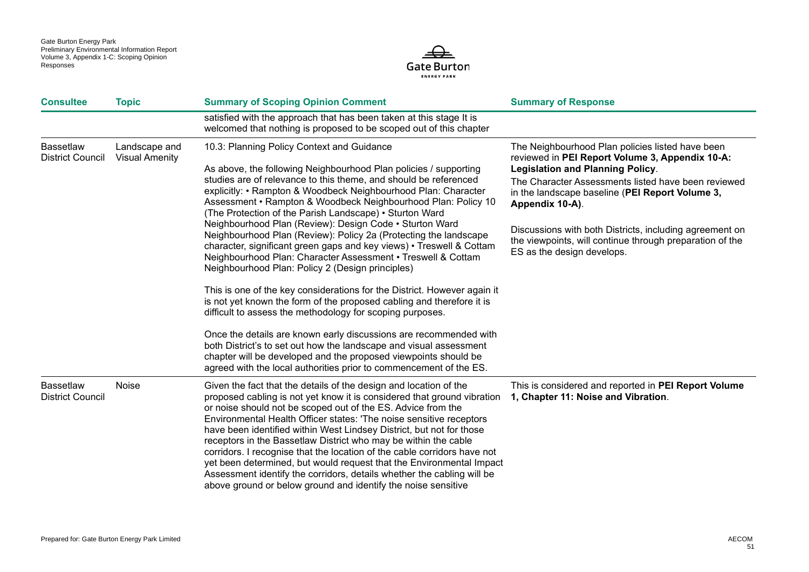

| <b>Consultee</b>                            | <b>Topic</b>                           | <b>Summary of Scoping Opinion Comment</b>                                                                                                                                                                                                                                                                                                                                                                                                                                                                                                                                                                                                                                                                                                                                                                                                                                                                                                                                                                                                                                                                                                                                                                         | <b>Summary of Response</b>                                                                                                                                                                                                                                                                                                                                                                                                       |
|---------------------------------------------|----------------------------------------|-------------------------------------------------------------------------------------------------------------------------------------------------------------------------------------------------------------------------------------------------------------------------------------------------------------------------------------------------------------------------------------------------------------------------------------------------------------------------------------------------------------------------------------------------------------------------------------------------------------------------------------------------------------------------------------------------------------------------------------------------------------------------------------------------------------------------------------------------------------------------------------------------------------------------------------------------------------------------------------------------------------------------------------------------------------------------------------------------------------------------------------------------------------------------------------------------------------------|----------------------------------------------------------------------------------------------------------------------------------------------------------------------------------------------------------------------------------------------------------------------------------------------------------------------------------------------------------------------------------------------------------------------------------|
|                                             |                                        | satisfied with the approach that has been taken at this stage It is<br>welcomed that nothing is proposed to be scoped out of this chapter                                                                                                                                                                                                                                                                                                                                                                                                                                                                                                                                                                                                                                                                                                                                                                                                                                                                                                                                                                                                                                                                         |                                                                                                                                                                                                                                                                                                                                                                                                                                  |
| <b>Bassetlaw</b><br><b>District Council</b> | Landscape and<br><b>Visual Amenity</b> | 10.3: Planning Policy Context and Guidance<br>As above, the following Neighbourhood Plan policies / supporting<br>studies are of relevance to this theme, and should be referenced<br>explicitly: • Rampton & Woodbeck Neighbourhood Plan: Character<br>Assessment • Rampton & Woodbeck Neighbourhood Plan: Policy 10<br>(The Protection of the Parish Landscape) • Sturton Ward<br>Neighbourhood Plan (Review): Design Code . Sturton Ward<br>Neighbourhood Plan (Review): Policy 2a (Protecting the landscape<br>character, significant green gaps and key views) • Treswell & Cottam<br>Neighbourhood Plan: Character Assessment • Treswell & Cottam<br>Neighbourhood Plan: Policy 2 (Design principles)<br>This is one of the key considerations for the District. However again it<br>is not yet known the form of the proposed cabling and therefore it is<br>difficult to assess the methodology for scoping purposes.<br>Once the details are known early discussions are recommended with<br>both District's to set out how the landscape and visual assessment<br>chapter will be developed and the proposed viewpoints should be<br>agreed with the local authorities prior to commencement of the ES. | The Neighbourhood Plan policies listed have been<br>reviewed in PEI Report Volume 3, Appendix 10-A:<br><b>Legislation and Planning Policy.</b><br>The Character Assessments listed have been reviewed<br>in the landscape baseline (PEI Report Volume 3,<br>Appendix 10-A).<br>Discussions with both Districts, including agreement on<br>the viewpoints, will continue through preparation of the<br>ES as the design develops. |
| <b>Bassetlaw</b><br><b>District Council</b> | Noise                                  | Given the fact that the details of the design and location of the<br>proposed cabling is not yet know it is considered that ground vibration<br>or noise should not be scoped out of the ES. Advice from the<br>Environmental Health Officer states: 'The noise sensitive receptors<br>have been identified within West Lindsey District, but not for those<br>receptors in the Bassetlaw District who may be within the cable<br>corridors. I recognise that the location of the cable corridors have not<br>yet been determined, but would request that the Environmental Impact<br>Assessment identify the corridors, details whether the cabling will be<br>above ground or below ground and identify the noise sensitive                                                                                                                                                                                                                                                                                                                                                                                                                                                                                     | This is considered and reported in PEI Report Volume<br>1, Chapter 11: Noise and Vibration.                                                                                                                                                                                                                                                                                                                                      |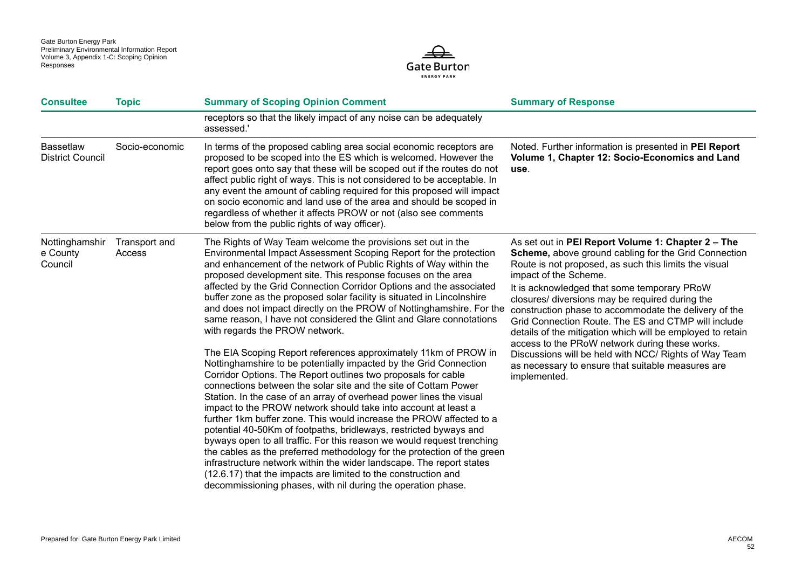

| <b>Consultee</b>                            | <b>Topic</b>            | <b>Summary of Scoping Opinion Comment</b>                                                                                                                                                                                                                                                                                                                                                                                                                                                                                                                                                                                                                                                                                                                                                                                                                                                                                                                                                                                                                                                                                                                                                                                                                                                                                                                                                                                                                                                                                                | <b>Summary of Response</b>                                                                                                                                                                                                                                                                                                                                                                                                                                                                                                                                                                                                                                          |
|---------------------------------------------|-------------------------|------------------------------------------------------------------------------------------------------------------------------------------------------------------------------------------------------------------------------------------------------------------------------------------------------------------------------------------------------------------------------------------------------------------------------------------------------------------------------------------------------------------------------------------------------------------------------------------------------------------------------------------------------------------------------------------------------------------------------------------------------------------------------------------------------------------------------------------------------------------------------------------------------------------------------------------------------------------------------------------------------------------------------------------------------------------------------------------------------------------------------------------------------------------------------------------------------------------------------------------------------------------------------------------------------------------------------------------------------------------------------------------------------------------------------------------------------------------------------------------------------------------------------------------|---------------------------------------------------------------------------------------------------------------------------------------------------------------------------------------------------------------------------------------------------------------------------------------------------------------------------------------------------------------------------------------------------------------------------------------------------------------------------------------------------------------------------------------------------------------------------------------------------------------------------------------------------------------------|
|                                             |                         | receptors so that the likely impact of any noise can be adequately<br>assessed.'                                                                                                                                                                                                                                                                                                                                                                                                                                                                                                                                                                                                                                                                                                                                                                                                                                                                                                                                                                                                                                                                                                                                                                                                                                                                                                                                                                                                                                                         |                                                                                                                                                                                                                                                                                                                                                                                                                                                                                                                                                                                                                                                                     |
| <b>Bassetlaw</b><br><b>District Council</b> | Socio-economic          | In terms of the proposed cabling area social economic receptors are<br>proposed to be scoped into the ES which is welcomed. However the<br>report goes onto say that these will be scoped out if the routes do not<br>affect public right of ways. This is not considered to be acceptable. In<br>any event the amount of cabling required for this proposed will impact<br>on socio economic and land use of the area and should be scoped in<br>regardless of whether it affects PROW or not (also see comments<br>below from the public rights of way officer).                                                                                                                                                                                                                                                                                                                                                                                                                                                                                                                                                                                                                                                                                                                                                                                                                                                                                                                                                                       | Noted. Further information is presented in PEI Report<br>Volume 1, Chapter 12: Socio-Economics and Land<br>use.                                                                                                                                                                                                                                                                                                                                                                                                                                                                                                                                                     |
| Nottinghamshir<br>e County<br>Council       | Transport and<br>Access | The Rights of Way Team welcome the provisions set out in the<br>Environmental Impact Assessment Scoping Report for the protection<br>and enhancement of the network of Public Rights of Way within the<br>proposed development site. This response focuses on the area<br>affected by the Grid Connection Corridor Options and the associated<br>buffer zone as the proposed solar facility is situated in Lincolnshire<br>and does not impact directly on the PROW of Nottinghamshire. For the<br>same reason, I have not considered the Glint and Glare connotations<br>with regards the PROW network.<br>The EIA Scoping Report references approximately 11km of PROW in<br>Nottinghamshire to be potentially impacted by the Grid Connection<br>Corridor Options. The Report outlines two proposals for cable<br>connections between the solar site and the site of Cottam Power<br>Station. In the case of an array of overhead power lines the visual<br>impact to the PROW network should take into account at least a<br>further 1km buffer zone. This would increase the PROW affected to a<br>potential 40-50Km of footpaths, bridleways, restricted byways and<br>byways open to all traffic. For this reason we would request trenching<br>the cables as the preferred methodology for the protection of the green<br>infrastructure network within the wider landscape. The report states<br>(12.6.17) that the impacts are limited to the construction and<br>decommissioning phases, with nil during the operation phase. | As set out in PEI Report Volume 1: Chapter 2 - The<br><b>Scheme, above ground cabling for the Grid Connection</b><br>Route is not proposed, as such this limits the visual<br>impact of the Scheme.<br>It is acknowledged that some temporary PRoW<br>closures/ diversions may be required during the<br>construction phase to accommodate the delivery of the<br>Grid Connection Route. The ES and CTMP will include<br>details of the mitigation which will be employed to retain<br>access to the PRoW network during these works.<br>Discussions will be held with NCC/ Rights of Way Team<br>as necessary to ensure that suitable measures are<br>implemented. |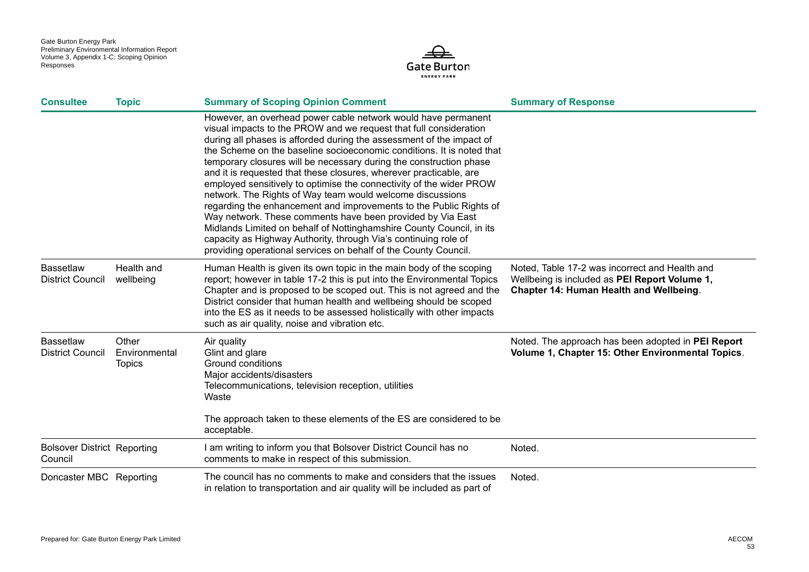

| <b>Consultee</b>                              | <b>Topic</b>                            | <b>Summary of Scoping Opinion Comment</b>                                                                                                                                                                                                                                                                                                                                                                                                                                                                                                                                                                                                                                                                                                                                                                                                                                                                             | <b>Summary of Response</b>                                                                                                                 |
|-----------------------------------------------|-----------------------------------------|-----------------------------------------------------------------------------------------------------------------------------------------------------------------------------------------------------------------------------------------------------------------------------------------------------------------------------------------------------------------------------------------------------------------------------------------------------------------------------------------------------------------------------------------------------------------------------------------------------------------------------------------------------------------------------------------------------------------------------------------------------------------------------------------------------------------------------------------------------------------------------------------------------------------------|--------------------------------------------------------------------------------------------------------------------------------------------|
|                                               |                                         | However, an overhead power cable network would have permanent<br>visual impacts to the PROW and we request that full consideration<br>during all phases is afforded during the assessment of the impact of<br>the Scheme on the baseline socioeconomic conditions. It is noted that<br>temporary closures will be necessary during the construction phase<br>and it is requested that these closures, wherever practicable, are<br>employed sensitively to optimise the connectivity of the wider PROW<br>network. The Rights of Way team would welcome discussions<br>regarding the enhancement and improvements to the Public Rights of<br>Way network. These comments have been provided by Via East<br>Midlands Limited on behalf of Nottinghamshire County Council, in its<br>capacity as Highway Authority, through Via's continuing role of<br>providing operational services on behalf of the County Council. |                                                                                                                                            |
| <b>Bassetlaw</b><br><b>District Council</b>   | Health and<br>wellbeing                 | Human Health is given its own topic in the main body of the scoping<br>report; however in table 17-2 this is put into the Environmental Topics<br>Chapter and is proposed to be scoped out. This is not agreed and the<br>District consider that human health and wellbeing should be scoped<br>into the ES as it needs to be assessed holistically with other impacts<br>such as air quality, noise and vibration etc.                                                                                                                                                                                                                                                                                                                                                                                                                                                                                               | Noted, Table 17-2 was incorrect and Health and<br>Wellbeing is included as PEI Report Volume 1,<br>Chapter 14: Human Health and Wellbeing. |
| <b>Bassetlaw</b><br><b>District Council</b>   | Other<br>Environmental<br><b>Topics</b> | Air quality<br>Glint and glare<br>Ground conditions<br>Major accidents/disasters<br>Telecommunications, television reception, utilities<br>Waste<br>The approach taken to these elements of the ES are considered to be<br>acceptable.                                                                                                                                                                                                                                                                                                                                                                                                                                                                                                                                                                                                                                                                                | Noted. The approach has been adopted in PEI Report<br>Volume 1, Chapter 15: Other Environmental Topics.                                    |
| <b>Bolsover District Reporting</b><br>Council |                                         | I am writing to inform you that Bolsover District Council has no<br>comments to make in respect of this submission.                                                                                                                                                                                                                                                                                                                                                                                                                                                                                                                                                                                                                                                                                                                                                                                                   | Noted.                                                                                                                                     |
| Doncaster MBC Reporting                       |                                         | The council has no comments to make and considers that the issues<br>in relation to transportation and air quality will be included as part of                                                                                                                                                                                                                                                                                                                                                                                                                                                                                                                                                                                                                                                                                                                                                                        | Noted.                                                                                                                                     |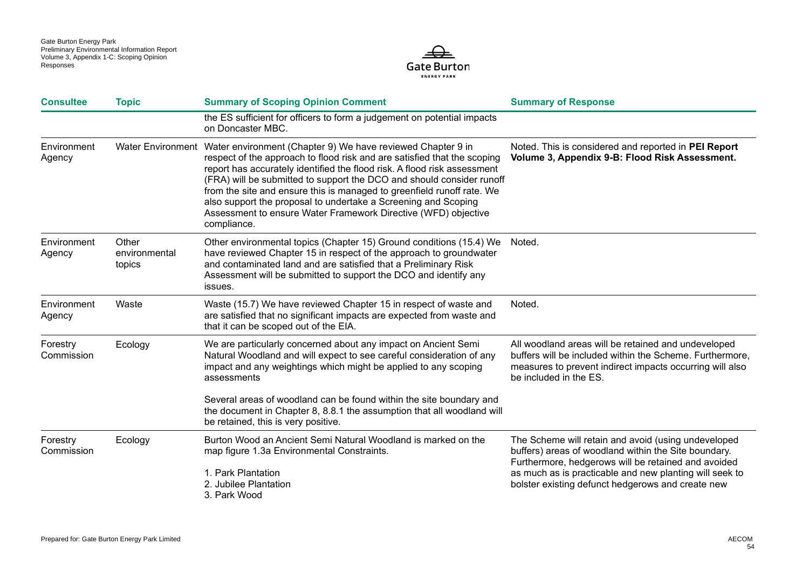

| <b>Consultee</b>       | <b>Topic</b>                     | <b>Summary of Scoping Opinion Comment</b>                                                                                                                                                                                                                                                                                                                                                                                                                                                                                                   | <b>Summary of Response</b>                                                                                                                                                                            |
|------------------------|----------------------------------|---------------------------------------------------------------------------------------------------------------------------------------------------------------------------------------------------------------------------------------------------------------------------------------------------------------------------------------------------------------------------------------------------------------------------------------------------------------------------------------------------------------------------------------------|-------------------------------------------------------------------------------------------------------------------------------------------------------------------------------------------------------|
|                        |                                  | the ES sufficient for officers to form a judgement on potential impacts<br>on Doncaster MBC.                                                                                                                                                                                                                                                                                                                                                                                                                                                |                                                                                                                                                                                                       |
| Environment<br>Agency  |                                  | Water Environment Water environment (Chapter 9) We have reviewed Chapter 9 in<br>respect of the approach to flood risk and are satisfied that the scoping<br>report has accurately identified the flood risk. A flood risk assessment<br>(FRA) will be submitted to support the DCO and should consider runoff<br>from the site and ensure this is managed to greenfield runoff rate. We<br>also support the proposal to undertake a Screening and Scoping<br>Assessment to ensure Water Framework Directive (WFD) objective<br>compliance. | Noted. This is considered and reported in PEI Report<br>Volume 3, Appendix 9-B: Flood Risk Assessment.                                                                                                |
| Environment<br>Agency  | Other<br>environmental<br>topics | Other environmental topics (Chapter 15) Ground conditions (15.4) We<br>have reviewed Chapter 15 in respect of the approach to groundwater<br>and contaminated land and are satisfied that a Preliminary Risk<br>Assessment will be submitted to support the DCO and identify any<br>issues.                                                                                                                                                                                                                                                 | Noted.                                                                                                                                                                                                |
| Environment<br>Agency  | Waste                            | Waste (15.7) We have reviewed Chapter 15 in respect of waste and<br>are satisfied that no significant impacts are expected from waste and<br>that it can be scoped out of the EIA.                                                                                                                                                                                                                                                                                                                                                          | Noted.                                                                                                                                                                                                |
| Forestry<br>Commission | Ecology                          | We are particularly concerned about any impact on Ancient Semi<br>Natural Woodland and will expect to see careful consideration of any<br>impact and any weightings which might be applied to any scoping<br>assessments                                                                                                                                                                                                                                                                                                                    | All woodland areas will be retained and undeveloped<br>buffers will be included within the Scheme. Furthermore,<br>measures to prevent indirect impacts occurring will also<br>be included in the ES. |
|                        |                                  | Several areas of woodland can be found within the site boundary and<br>the document in Chapter 8, 8.8.1 the assumption that all woodland will<br>be retained, this is very positive.                                                                                                                                                                                                                                                                                                                                                        |                                                                                                                                                                                                       |
| Forestry<br>Commission | Ecology                          | Burton Wood an Ancient Semi Natural Woodland is marked on the<br>map figure 1.3a Environmental Constraints.                                                                                                                                                                                                                                                                                                                                                                                                                                 | The Scheme will retain and avoid (using undeveloped<br>buffers) areas of woodland within the Site boundary.<br>Furthermore, hedgerows will be retained and avoided                                    |
|                        |                                  | 1. Park Plantation<br>2. Jubilee Plantation<br>3. Park Wood                                                                                                                                                                                                                                                                                                                                                                                                                                                                                 | as much as is practicable and new planting will seek to<br>bolster existing defunct hedgerows and create new                                                                                          |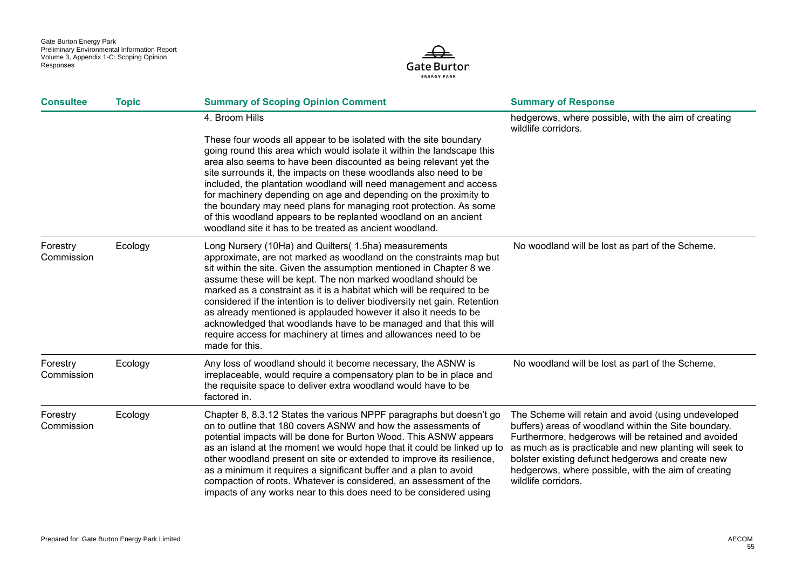

| <b>Consultee</b>       | <b>Topic</b> | <b>Summary of Scoping Opinion Comment</b>                                                                                                                                                                                                                                                                                                                                                                                                                                                                                                                                                                                                                | <b>Summary of Response</b>                                                                                                                                                                                                                                                                                                                                       |
|------------------------|--------------|----------------------------------------------------------------------------------------------------------------------------------------------------------------------------------------------------------------------------------------------------------------------------------------------------------------------------------------------------------------------------------------------------------------------------------------------------------------------------------------------------------------------------------------------------------------------------------------------------------------------------------------------------------|------------------------------------------------------------------------------------------------------------------------------------------------------------------------------------------------------------------------------------------------------------------------------------------------------------------------------------------------------------------|
|                        |              | 4. Broom Hills<br>These four woods all appear to be isolated with the site boundary                                                                                                                                                                                                                                                                                                                                                                                                                                                                                                                                                                      | hedgerows, where possible, with the aim of creating<br>wildlife corridors.                                                                                                                                                                                                                                                                                       |
|                        |              | going round this area which would isolate it within the landscape this<br>area also seems to have been discounted as being relevant yet the<br>site surrounds it, the impacts on these woodlands also need to be<br>included, the plantation woodland will need management and access<br>for machinery depending on age and depending on the proximity to<br>the boundary may need plans for managing root protection. As some<br>of this woodland appears to be replanted woodland on an ancient<br>woodland site it has to be treated as ancient woodland.                                                                                             |                                                                                                                                                                                                                                                                                                                                                                  |
| Forestry<br>Commission | Ecology      | Long Nursery (10Ha) and Quilters( 1.5ha) measurements<br>approximate, are not marked as woodland on the constraints map but<br>sit within the site. Given the assumption mentioned in Chapter 8 we<br>assume these will be kept. The non marked woodland should be<br>marked as a constraint as it is a habitat which will be required to be<br>considered if the intention is to deliver biodiversity net gain. Retention<br>as already mentioned is applauded however it also it needs to be<br>acknowledged that woodlands have to be managed and that this will<br>require access for machinery at times and allowances need to be<br>made for this. | No woodland will be lost as part of the Scheme.                                                                                                                                                                                                                                                                                                                  |
| Forestry<br>Commission | Ecology      | Any loss of woodland should it become necessary, the ASNW is<br>irreplaceable, would require a compensatory plan to be in place and<br>the requisite space to deliver extra woodland would have to be<br>factored in.                                                                                                                                                                                                                                                                                                                                                                                                                                    | No woodland will be lost as part of the Scheme.                                                                                                                                                                                                                                                                                                                  |
| Forestry<br>Commission | Ecology      | Chapter 8, 8.3.12 States the various NPPF paragraphs but doesn't go<br>on to outline that 180 covers ASNW and how the assessments of<br>potential impacts will be done for Burton Wood. This ASNW appears<br>as an island at the moment we would hope that it could be linked up to<br>other woodland present on site or extended to improve its resilience,<br>as a minimum it requires a significant buffer and a plan to avoid<br>compaction of roots. Whatever is considered, an assessment of the<br>impacts of any works near to this does need to be considered using                                                                             | The Scheme will retain and avoid (using undeveloped<br>buffers) areas of woodland within the Site boundary.<br>Furthermore, hedgerows will be retained and avoided<br>as much as is practicable and new planting will seek to<br>bolster existing defunct hedgerows and create new<br>hedgerows, where possible, with the aim of creating<br>wildlife corridors. |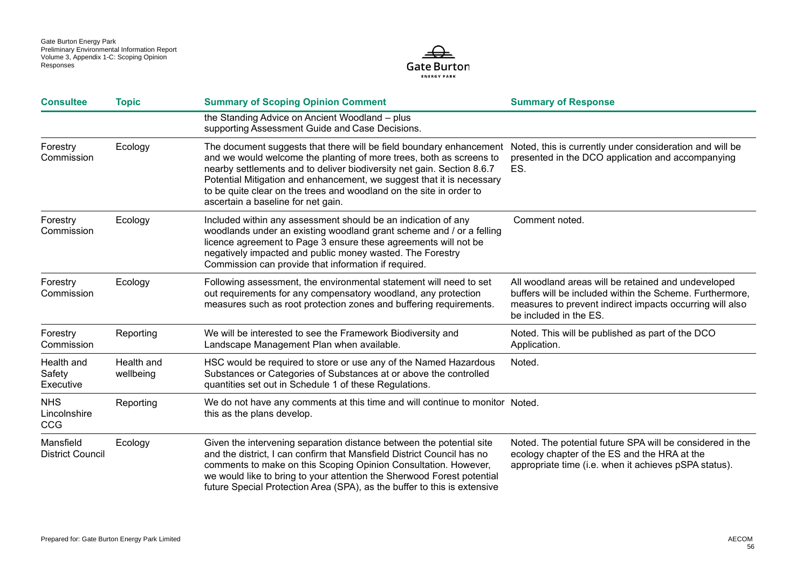

| <b>Consultee</b>                         | <b>Topic</b>            | <b>Summary of Scoping Opinion Comment</b>                                                                                                                                                                                                                                                                                                                                                                  | <b>Summary of Response</b>                                                                                                                                                                            |
|------------------------------------------|-------------------------|------------------------------------------------------------------------------------------------------------------------------------------------------------------------------------------------------------------------------------------------------------------------------------------------------------------------------------------------------------------------------------------------------------|-------------------------------------------------------------------------------------------------------------------------------------------------------------------------------------------------------|
|                                          |                         | the Standing Advice on Ancient Woodland - plus<br>supporting Assessment Guide and Case Decisions.                                                                                                                                                                                                                                                                                                          |                                                                                                                                                                                                       |
| Forestry<br>Commission                   | Ecology                 | The document suggests that there will be field boundary enhancement<br>and we would welcome the planting of more trees, both as screens to<br>nearby settlements and to deliver biodiversity net gain. Section 8.6.7<br>Potential Mitigation and enhancement, we suggest that it is necessary<br>to be quite clear on the trees and woodland on the site in order to<br>ascertain a baseline for net gain. | Noted, this is currently under consideration and will be<br>presented in the DCO application and accompanying<br>ES.                                                                                  |
| Forestry<br>Commission                   | Ecology                 | Included within any assessment should be an indication of any<br>woodlands under an existing woodland grant scheme and / or a felling<br>licence agreement to Page 3 ensure these agreements will not be<br>negatively impacted and public money wasted. The Forestry<br>Commission can provide that information if required.                                                                              | Comment noted.                                                                                                                                                                                        |
| Forestry<br>Commission                   | Ecology                 | Following assessment, the environmental statement will need to set<br>out requirements for any compensatory woodland, any protection<br>measures such as root protection zones and buffering requirements.                                                                                                                                                                                                 | All woodland areas will be retained and undeveloped<br>buffers will be included within the Scheme. Furthermore,<br>measures to prevent indirect impacts occurring will also<br>be included in the ES. |
| Forestry<br>Commission                   | Reporting               | We will be interested to see the Framework Biodiversity and<br>Landscape Management Plan when available.                                                                                                                                                                                                                                                                                                   | Noted. This will be published as part of the DCO<br>Application.                                                                                                                                      |
| Health and<br>Safety<br>Executive        | Health and<br>wellbeing | HSC would be required to store or use any of the Named Hazardous<br>Substances or Categories of Substances at or above the controlled<br>quantities set out in Schedule 1 of these Regulations.                                                                                                                                                                                                            | Noted.                                                                                                                                                                                                |
| <b>NHS</b><br>Lincolnshire<br><b>CCG</b> | Reporting               | We do not have any comments at this time and will continue to monitor Noted.<br>this as the plans develop.                                                                                                                                                                                                                                                                                                 |                                                                                                                                                                                                       |
| Mansfield<br><b>District Council</b>     | Ecology                 | Given the intervening separation distance between the potential site<br>and the district, I can confirm that Mansfield District Council has no<br>comments to make on this Scoping Opinion Consultation. However,<br>we would like to bring to your attention the Sherwood Forest potential<br>future Special Protection Area (SPA), as the buffer to this is extensive                                    | Noted. The potential future SPA will be considered in the<br>ecology chapter of the ES and the HRA at the<br>appropriate time (i.e. when it achieves pSPA status).                                    |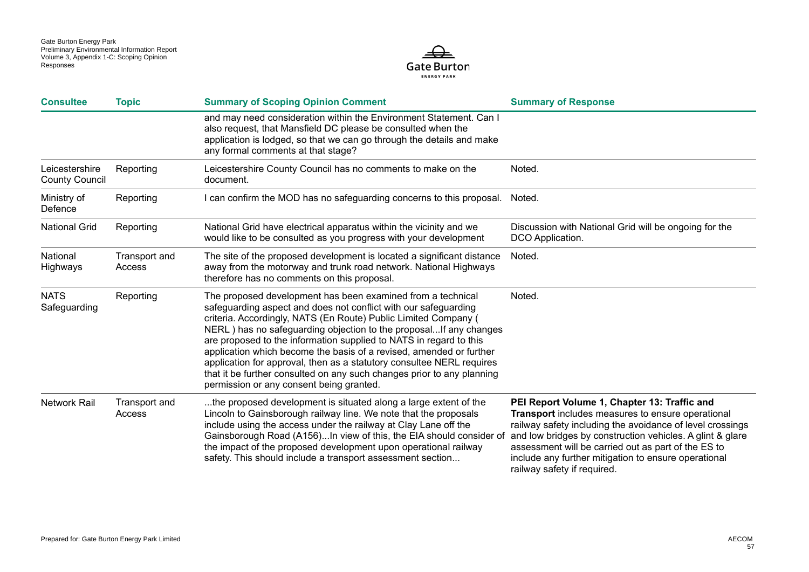

| <b>Consultee</b>                        | <b>Topic</b>            | <b>Summary of Scoping Opinion Comment</b>                                                                                                                                                                                                                                                                                                                                                                                                                                                                                                                                                                          | <b>Summary of Response</b>                                                                                                                                                                                                                                                                                                                                                |
|-----------------------------------------|-------------------------|--------------------------------------------------------------------------------------------------------------------------------------------------------------------------------------------------------------------------------------------------------------------------------------------------------------------------------------------------------------------------------------------------------------------------------------------------------------------------------------------------------------------------------------------------------------------------------------------------------------------|---------------------------------------------------------------------------------------------------------------------------------------------------------------------------------------------------------------------------------------------------------------------------------------------------------------------------------------------------------------------------|
|                                         |                         | and may need consideration within the Environment Statement. Can I<br>also request, that Mansfield DC please be consulted when the<br>application is lodged, so that we can go through the details and make<br>any formal comments at that stage?                                                                                                                                                                                                                                                                                                                                                                  |                                                                                                                                                                                                                                                                                                                                                                           |
| Leicestershire<br><b>County Council</b> | Reporting               | Leicestershire County Council has no comments to make on the<br>document.                                                                                                                                                                                                                                                                                                                                                                                                                                                                                                                                          | Noted.                                                                                                                                                                                                                                                                                                                                                                    |
| Ministry of<br>Defence                  | Reporting               | I can confirm the MOD has no safeguarding concerns to this proposal.                                                                                                                                                                                                                                                                                                                                                                                                                                                                                                                                               | Noted.                                                                                                                                                                                                                                                                                                                                                                    |
| <b>National Grid</b>                    | Reporting               | National Grid have electrical apparatus within the vicinity and we<br>would like to be consulted as you progress with your development                                                                                                                                                                                                                                                                                                                                                                                                                                                                             | Discussion with National Grid will be ongoing for the<br>DCO Application.                                                                                                                                                                                                                                                                                                 |
| National<br>Highways                    | Transport and<br>Access | The site of the proposed development is located a significant distance<br>away from the motorway and trunk road network. National Highways<br>therefore has no comments on this proposal.                                                                                                                                                                                                                                                                                                                                                                                                                          | Noted.                                                                                                                                                                                                                                                                                                                                                                    |
| <b>NATS</b><br>Safeguarding             | Reporting               | The proposed development has been examined from a technical<br>safeguarding aspect and does not conflict with our safeguarding<br>criteria. Accordingly, NATS (En Route) Public Limited Company (<br>NERL) has no safeguarding objection to the proposalIf any changes<br>are proposed to the information supplied to NATS in regard to this<br>application which become the basis of a revised, amended or further<br>application for approval, then as a statutory consultee NERL requires<br>that it be further consulted on any such changes prior to any planning<br>permission or any consent being granted. | Noted.                                                                                                                                                                                                                                                                                                                                                                    |
| <b>Network Rail</b>                     | Transport and<br>Access | the proposed development is situated along a large extent of the<br>Lincoln to Gainsborough railway line. We note that the proposals<br>include using the access under the railway at Clay Lane off the<br>Gainsborough Road (A156)In view of this, the EIA should consider of<br>the impact of the proposed development upon operational railway<br>safety. This should include a transport assessment section                                                                                                                                                                                                    | PEI Report Volume 1, Chapter 13: Traffic and<br>Transport includes measures to ensure operational<br>railway safety including the avoidance of level crossings<br>and low bridges by construction vehicles. A glint & glare<br>assessment will be carried out as part of the ES to<br>include any further mitigation to ensure operational<br>railway safety if required. |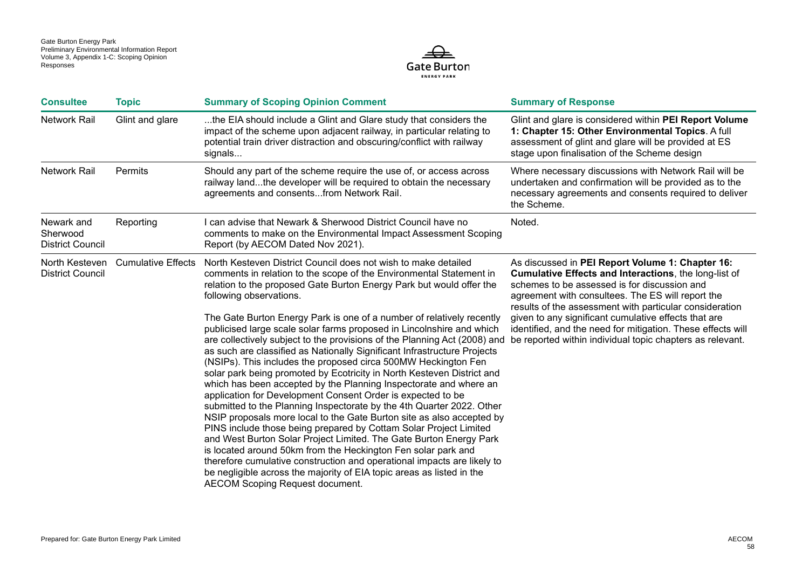

| <b>Consultee</b>                                  | <b>Topic</b>              | <b>Summary of Scoping Opinion Comment</b>                                                                                                                                                                                                                                                                                                                                                                                                                                                                                                                                                                                                                                                                                                                                                                                                                                                                                                                                                                                                                                                                                                                                                                                                                                                                                                                                                       | <b>Summary of Response</b>                                                                                                                                                                                                                                                                                                                                                                                                                                    |
|---------------------------------------------------|---------------------------|-------------------------------------------------------------------------------------------------------------------------------------------------------------------------------------------------------------------------------------------------------------------------------------------------------------------------------------------------------------------------------------------------------------------------------------------------------------------------------------------------------------------------------------------------------------------------------------------------------------------------------------------------------------------------------------------------------------------------------------------------------------------------------------------------------------------------------------------------------------------------------------------------------------------------------------------------------------------------------------------------------------------------------------------------------------------------------------------------------------------------------------------------------------------------------------------------------------------------------------------------------------------------------------------------------------------------------------------------------------------------------------------------|---------------------------------------------------------------------------------------------------------------------------------------------------------------------------------------------------------------------------------------------------------------------------------------------------------------------------------------------------------------------------------------------------------------------------------------------------------------|
| <b>Network Rail</b>                               | Glint and glare           | the EIA should include a Glint and Glare study that considers the<br>impact of the scheme upon adjacent railway, in particular relating to<br>potential train driver distraction and obscuring/conflict with railway<br>signals                                                                                                                                                                                                                                                                                                                                                                                                                                                                                                                                                                                                                                                                                                                                                                                                                                                                                                                                                                                                                                                                                                                                                                 | Glint and glare is considered within PEI Report Volume<br>1: Chapter 15: Other Environmental Topics. A full<br>assessment of glint and glare will be provided at ES<br>stage upon finalisation of the Scheme design                                                                                                                                                                                                                                           |
| <b>Network Rail</b>                               | Permits                   | Should any part of the scheme require the use of, or access across<br>railway landthe developer will be required to obtain the necessary<br>agreements and consentsfrom Network Rail.                                                                                                                                                                                                                                                                                                                                                                                                                                                                                                                                                                                                                                                                                                                                                                                                                                                                                                                                                                                                                                                                                                                                                                                                           | Where necessary discussions with Network Rail will be<br>undertaken and confirmation will be provided as to the<br>necessary agreements and consents required to deliver<br>the Scheme.                                                                                                                                                                                                                                                                       |
| Newark and<br>Sherwood<br><b>District Council</b> | Reporting                 | I can advise that Newark & Sherwood District Council have no<br>comments to make on the Environmental Impact Assessment Scoping<br>Report (by AECOM Dated Nov 2021).                                                                                                                                                                                                                                                                                                                                                                                                                                                                                                                                                                                                                                                                                                                                                                                                                                                                                                                                                                                                                                                                                                                                                                                                                            | Noted.                                                                                                                                                                                                                                                                                                                                                                                                                                                        |
| North Kesteven<br><b>District Council</b>         | <b>Cumulative Effects</b> | North Kesteven District Council does not wish to make detailed<br>comments in relation to the scope of the Environmental Statement in<br>relation to the proposed Gate Burton Energy Park but would offer the<br>following observations.<br>The Gate Burton Energy Park is one of a number of relatively recently<br>publicised large scale solar farms proposed in Lincolnshire and which<br>are collectively subject to the provisions of the Planning Act (2008) and<br>as such are classified as Nationally Significant Infrastructure Projects<br>(NSIPs). This includes the proposed circa 500MW Heckington Fen<br>solar park being promoted by Ecotricity in North Kesteven District and<br>which has been accepted by the Planning Inspectorate and where an<br>application for Development Consent Order is expected to be<br>submitted to the Planning Inspectorate by the 4th Quarter 2022. Other<br>NSIP proposals more local to the Gate Burton site as also accepted by<br>PINS include those being prepared by Cottam Solar Project Limited<br>and West Burton Solar Project Limited. The Gate Burton Energy Park<br>is located around 50km from the Heckington Fen solar park and<br>therefore cumulative construction and operational impacts are likely to<br>be negligible across the majority of EIA topic areas as listed in the<br><b>AECOM Scoping Request document.</b> | As discussed in PEI Report Volume 1: Chapter 16:<br>Cumulative Effects and Interactions, the long-list of<br>schemes to be assessed is for discussion and<br>agreement with consultees. The ES will report the<br>results of the assessment with particular consideration<br>given to any significant cumulative effects that are<br>identified, and the need for mitigation. These effects will<br>be reported within individual topic chapters as relevant. |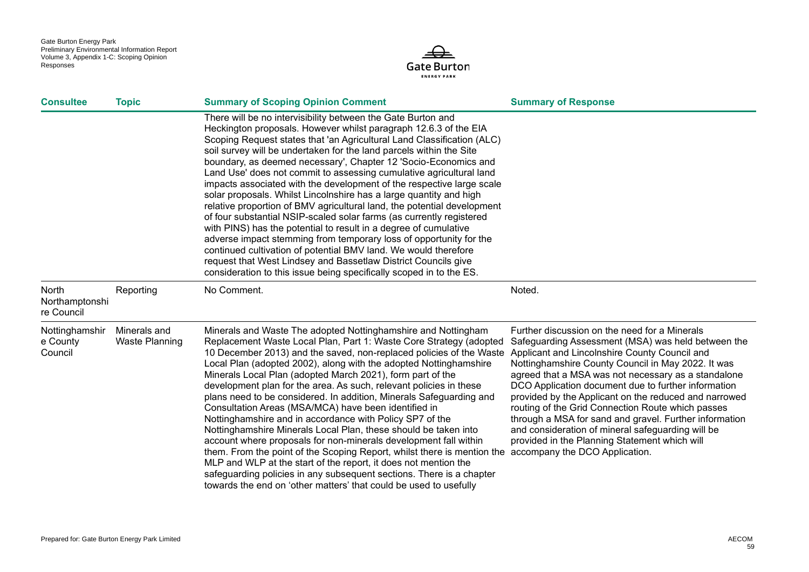

| <b>Consultee</b>                      | <b>Topic</b>                          | <b>Summary of Scoping Opinion Comment</b>                                                                                                                                                                                                                                                                                                                                                                                                                                                                                                                                                                                                                                                                                                                                                                                                                                                                                                                                                                                                                                                                                     | <b>Summary of Response</b>                                                                                                                                                                                                                                                                                                                                                                                                                                                                                                                            |
|---------------------------------------|---------------------------------------|-------------------------------------------------------------------------------------------------------------------------------------------------------------------------------------------------------------------------------------------------------------------------------------------------------------------------------------------------------------------------------------------------------------------------------------------------------------------------------------------------------------------------------------------------------------------------------------------------------------------------------------------------------------------------------------------------------------------------------------------------------------------------------------------------------------------------------------------------------------------------------------------------------------------------------------------------------------------------------------------------------------------------------------------------------------------------------------------------------------------------------|-------------------------------------------------------------------------------------------------------------------------------------------------------------------------------------------------------------------------------------------------------------------------------------------------------------------------------------------------------------------------------------------------------------------------------------------------------------------------------------------------------------------------------------------------------|
|                                       |                                       | There will be no intervisibility between the Gate Burton and<br>Heckington proposals. However whilst paragraph 12.6.3 of the EIA<br>Scoping Request states that 'an Agricultural Land Classification (ALC)<br>soil survey will be undertaken for the land parcels within the Site<br>boundary, as deemed necessary', Chapter 12 'Socio-Economics and<br>Land Use' does not commit to assessing cumulative agricultural land<br>impacts associated with the development of the respective large scale<br>solar proposals. Whilst Lincolnshire has a large quantity and high<br>relative proportion of BMV agricultural land, the potential development<br>of four substantial NSIP-scaled solar farms (as currently registered<br>with PINS) has the potential to result in a degree of cumulative<br>adverse impact stemming from temporary loss of opportunity for the<br>continued cultivation of potential BMV land. We would therefore<br>request that West Lindsey and Bassetlaw District Councils give<br>consideration to this issue being specifically scoped in to the ES.                                           |                                                                                                                                                                                                                                                                                                                                                                                                                                                                                                                                                       |
| North<br>Northamptonshi<br>re Council | Reporting                             | No Comment.                                                                                                                                                                                                                                                                                                                                                                                                                                                                                                                                                                                                                                                                                                                                                                                                                                                                                                                                                                                                                                                                                                                   | Noted.                                                                                                                                                                                                                                                                                                                                                                                                                                                                                                                                                |
| Nottinghamshir<br>e County<br>Council | Minerals and<br><b>Waste Planning</b> | Minerals and Waste The adopted Nottinghamshire and Nottingham<br>Replacement Waste Local Plan, Part 1: Waste Core Strategy (adopted<br>10 December 2013) and the saved, non-replaced policies of the Waste Applicant and Lincolnshire County Council and<br>Local Plan (adopted 2002), along with the adopted Nottinghamshire<br>Minerals Local Plan (adopted March 2021), form part of the<br>development plan for the area. As such, relevant policies in these<br>plans need to be considered. In addition, Minerals Safeguarding and<br>Consultation Areas (MSA/MCA) have been identified in<br>Nottinghamshire and in accordance with Policy SP7 of the<br>Nottinghamshire Minerals Local Plan, these should be taken into<br>account where proposals for non-minerals development fall within<br>them. From the point of the Scoping Report, whilst there is mention the accompany the DCO Application.<br>MLP and WLP at the start of the report, it does not mention the<br>safeguarding policies in any subsequent sections. There is a chapter<br>towards the end on 'other matters' that could be used to usefully | Further discussion on the need for a Minerals<br>Safeguarding Assessment (MSA) was held between the<br>Nottinghamshire County Council in May 2022. It was<br>agreed that a MSA was not necessary as a standalone<br>DCO Application document due to further information<br>provided by the Applicant on the reduced and narrowed<br>routing of the Grid Connection Route which passes<br>through a MSA for sand and gravel. Further information<br>and consideration of mineral safeguarding will be<br>provided in the Planning Statement which will |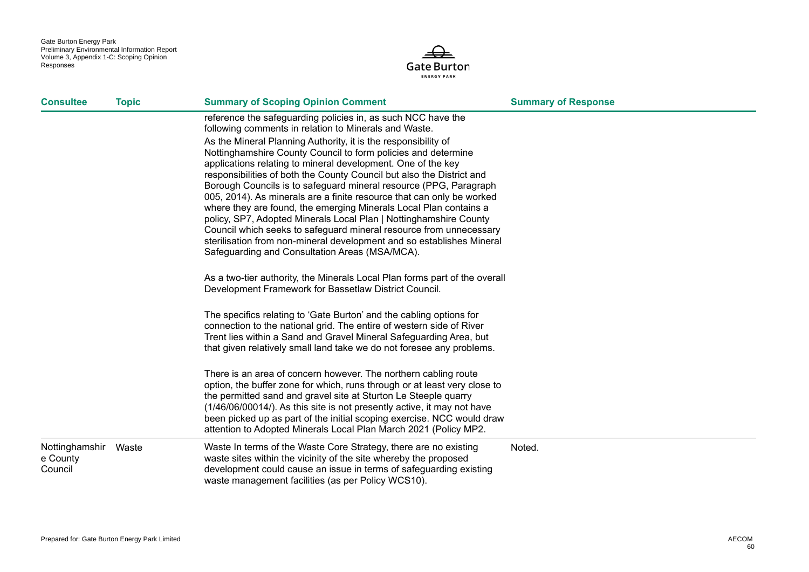

| <b>Consultee</b>                            | <b>Topic</b> | <b>Summary of Scoping Opinion Comment</b>                                                                                                                                                                                                                                                                                                                                                                                                                                                                                                                                                                                                                                                                                                                                                                                                                                                                                                                                                                                                                                                                                                                                                                                                                                                                                                                                                                                                                                                                                                                                                                                     | <b>Summary of Response</b> |
|---------------------------------------------|--------------|-------------------------------------------------------------------------------------------------------------------------------------------------------------------------------------------------------------------------------------------------------------------------------------------------------------------------------------------------------------------------------------------------------------------------------------------------------------------------------------------------------------------------------------------------------------------------------------------------------------------------------------------------------------------------------------------------------------------------------------------------------------------------------------------------------------------------------------------------------------------------------------------------------------------------------------------------------------------------------------------------------------------------------------------------------------------------------------------------------------------------------------------------------------------------------------------------------------------------------------------------------------------------------------------------------------------------------------------------------------------------------------------------------------------------------------------------------------------------------------------------------------------------------------------------------------------------------------------------------------------------------|----------------------------|
|                                             |              | reference the safeguarding policies in, as such NCC have the<br>following comments in relation to Minerals and Waste.<br>As the Mineral Planning Authority, it is the responsibility of<br>Nottinghamshire County Council to form policies and determine<br>applications relating to mineral development. One of the key<br>responsibilities of both the County Council but also the District and<br>Borough Councils is to safeguard mineral resource (PPG, Paragraph<br>005, 2014). As minerals are a finite resource that can only be worked<br>where they are found, the emerging Minerals Local Plan contains a<br>policy, SP7, Adopted Minerals Local Plan   Nottinghamshire County<br>Council which seeks to safeguard mineral resource from unnecessary<br>sterilisation from non-mineral development and so establishes Mineral<br>Safeguarding and Consultation Areas (MSA/MCA).<br>As a two-tier authority, the Minerals Local Plan forms part of the overall<br>Development Framework for Bassetlaw District Council.<br>The specifics relating to 'Gate Burton' and the cabling options for<br>connection to the national grid. The entire of western side of River<br>Trent lies within a Sand and Gravel Mineral Safeguarding Area, but<br>that given relatively small land take we do not foresee any problems.<br>There is an area of concern however. The northern cabling route<br>option, the buffer zone for which, runs through or at least very close to<br>the permitted sand and gravel site at Sturton Le Steeple quarry<br>(1/46/06/00014/). As this site is not presently active, it may not have |                            |
|                                             |              | been picked up as part of the initial scoping exercise. NCC would draw<br>attention to Adopted Minerals Local Plan March 2021 (Policy MP2.                                                                                                                                                                                                                                                                                                                                                                                                                                                                                                                                                                                                                                                                                                                                                                                                                                                                                                                                                                                                                                                                                                                                                                                                                                                                                                                                                                                                                                                                                    |                            |
| Nottinghamshir Waste<br>e County<br>Council |              | Waste In terms of the Waste Core Strategy, there are no existing<br>waste sites within the vicinity of the site whereby the proposed<br>development could cause an issue in terms of safeguarding existing<br>waste management facilities (as per Policy WCS10).                                                                                                                                                                                                                                                                                                                                                                                                                                                                                                                                                                                                                                                                                                                                                                                                                                                                                                                                                                                                                                                                                                                                                                                                                                                                                                                                                              | Noted.                     |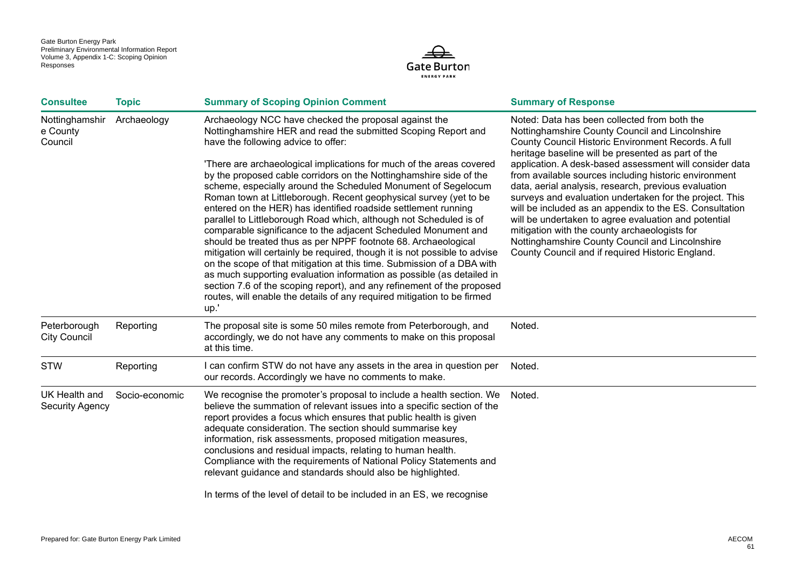

| <b>Consultee</b>                        | <b>Topic</b>   | <b>Summary of Scoping Opinion Comment</b>                                                                                                                                                                                                                                                                                                                                                                                                                                                                                                                                                                                                                                                                                                                                                                                                                                                                                                                                                                                                                                                                                   | <b>Summary of Response</b>                                                                                                                                                                                                                                                                                                                                                                                                                                                                                                                                                                                                                                                                                                     |
|-----------------------------------------|----------------|-----------------------------------------------------------------------------------------------------------------------------------------------------------------------------------------------------------------------------------------------------------------------------------------------------------------------------------------------------------------------------------------------------------------------------------------------------------------------------------------------------------------------------------------------------------------------------------------------------------------------------------------------------------------------------------------------------------------------------------------------------------------------------------------------------------------------------------------------------------------------------------------------------------------------------------------------------------------------------------------------------------------------------------------------------------------------------------------------------------------------------|--------------------------------------------------------------------------------------------------------------------------------------------------------------------------------------------------------------------------------------------------------------------------------------------------------------------------------------------------------------------------------------------------------------------------------------------------------------------------------------------------------------------------------------------------------------------------------------------------------------------------------------------------------------------------------------------------------------------------------|
| Nottinghamshir<br>e County<br>Council   | Archaeology    | Archaeology NCC have checked the proposal against the<br>Nottinghamshire HER and read the submitted Scoping Report and<br>have the following advice to offer:<br>'There are archaeological implications for much of the areas covered<br>by the proposed cable corridors on the Nottinghamshire side of the<br>scheme, especially around the Scheduled Monument of Segelocum<br>Roman town at Littleborough. Recent geophysical survey (yet to be<br>entered on the HER) has identified roadside settlement running<br>parallel to Littleborough Road which, although not Scheduled is of<br>comparable significance to the adjacent Scheduled Monument and<br>should be treated thus as per NPPF footnote 68. Archaeological<br>mitigation will certainly be required, though it is not possible to advise<br>on the scope of that mitigation at this time. Submission of a DBA with<br>as much supporting evaluation information as possible (as detailed in<br>section 7.6 of the scoping report), and any refinement of the proposed<br>routes, will enable the details of any required mitigation to be firmed<br>up.' | Noted: Data has been collected from both the<br>Nottinghamshire County Council and Lincolnshire<br>County Council Historic Environment Records. A full<br>heritage baseline will be presented as part of the<br>application. A desk-based assessment will consider data<br>from available sources including historic environment<br>data, aerial analysis, research, previous evaluation<br>surveys and evaluation undertaken for the project. This<br>will be included as an appendix to the ES. Consultation<br>will be undertaken to agree evaluation and potential<br>mitigation with the county archaeologists for<br>Nottinghamshire County Council and Lincolnshire<br>County Council and if required Historic England. |
| Peterborough<br><b>City Council</b>     | Reporting      | The proposal site is some 50 miles remote from Peterborough, and<br>accordingly, we do not have any comments to make on this proposal<br>at this time.                                                                                                                                                                                                                                                                                                                                                                                                                                                                                                                                                                                                                                                                                                                                                                                                                                                                                                                                                                      | Noted.                                                                                                                                                                                                                                                                                                                                                                                                                                                                                                                                                                                                                                                                                                                         |
| <b>STW</b>                              | Reporting      | I can confirm STW do not have any assets in the area in question per<br>our records. Accordingly we have no comments to make.                                                                                                                                                                                                                                                                                                                                                                                                                                                                                                                                                                                                                                                                                                                                                                                                                                                                                                                                                                                               | Noted.                                                                                                                                                                                                                                                                                                                                                                                                                                                                                                                                                                                                                                                                                                                         |
| UK Health and<br><b>Security Agency</b> | Socio-economic | We recognise the promoter's proposal to include a health section. We<br>believe the summation of relevant issues into a specific section of the<br>report provides a focus which ensures that public health is given<br>adequate consideration. The section should summarise key<br>information, risk assessments, proposed mitigation measures,<br>conclusions and residual impacts, relating to human health.<br>Compliance with the requirements of National Policy Statements and<br>relevant guidance and standards should also be highlighted.<br>In terms of the level of detail to be included in an ES, we recognise                                                                                                                                                                                                                                                                                                                                                                                                                                                                                               | Noted.                                                                                                                                                                                                                                                                                                                                                                                                                                                                                                                                                                                                                                                                                                                         |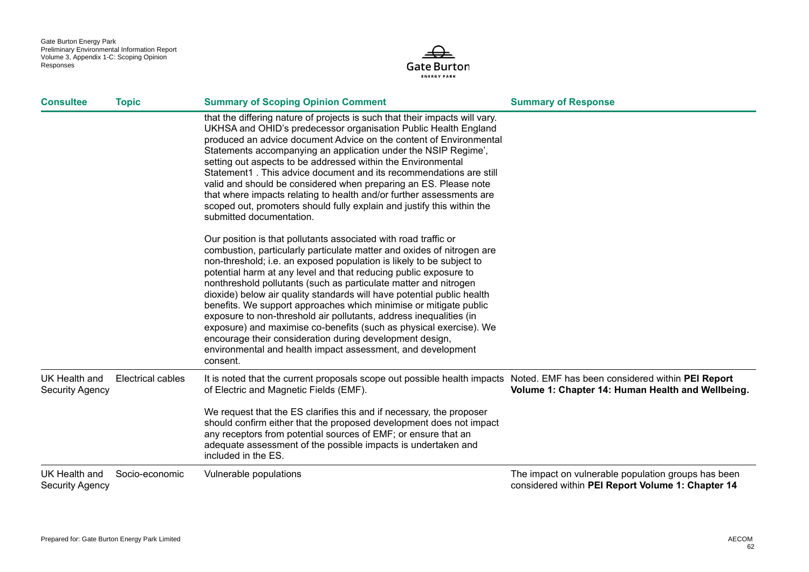

| <b>Consultee</b>                        | <b>Topic</b>      | <b>Summary of Scoping Opinion Comment</b>                                                                                                                                                                                                                                                                                                                                                                                                                                                                                                                                                                                                                                                                                                                                                   | <b>Summary of Response</b>                          |
|-----------------------------------------|-------------------|---------------------------------------------------------------------------------------------------------------------------------------------------------------------------------------------------------------------------------------------------------------------------------------------------------------------------------------------------------------------------------------------------------------------------------------------------------------------------------------------------------------------------------------------------------------------------------------------------------------------------------------------------------------------------------------------------------------------------------------------------------------------------------------------|-----------------------------------------------------|
|                                         |                   | that the differing nature of projects is such that their impacts will vary.<br>UKHSA and OHID's predecessor organisation Public Health England<br>produced an advice document Advice on the content of Environmental<br>Statements accompanying an application under the NSIP Regime',<br>setting out aspects to be addressed within the Environmental<br>Statement1. This advice document and its recommendations are still<br>valid and should be considered when preparing an ES. Please note<br>that where impacts relating to health and/or further assessments are<br>scoped out, promoters should fully explain and justify this within the<br>submitted documentation.                                                                                                              |                                                     |
|                                         |                   | Our position is that pollutants associated with road traffic or<br>combustion, particularly particulate matter and oxides of nitrogen are<br>non-threshold; i.e. an exposed population is likely to be subject to<br>potential harm at any level and that reducing public exposure to<br>nonthreshold pollutants (such as particulate matter and nitrogen<br>dioxide) below air quality standards will have potential public health<br>benefits. We support approaches which minimise or mitigate public<br>exposure to non-threshold air pollutants, address inequalities (in<br>exposure) and maximise co-benefits (such as physical exercise). We<br>encourage their consideration during development design,<br>environmental and health impact assessment, and development<br>consent. |                                                     |
| UK Health and<br><b>Security Agency</b> | Electrical cables | It is noted that the current proposals scope out possible health impacts Noted. EMF has been considered within PEI Report<br>of Electric and Magnetic Fields (EMF).<br>We request that the ES clarifies this and if necessary, the proposer<br>should confirm either that the proposed development does not impact<br>any receptors from potential sources of EMF; or ensure that an                                                                                                                                                                                                                                                                                                                                                                                                        | Volume 1: Chapter 14: Human Health and Wellbeing.   |
|                                         | Socio-economic    | adequate assessment of the possible impacts is undertaken and<br>included in the ES.<br>Vulnerable populations                                                                                                                                                                                                                                                                                                                                                                                                                                                                                                                                                                                                                                                                              | The impact on vulnerable population groups has been |
| UK Health and<br><b>Security Agency</b> |                   |                                                                                                                                                                                                                                                                                                                                                                                                                                                                                                                                                                                                                                                                                                                                                                                             | considered within PEI Report Volume 1: Chapter 14   |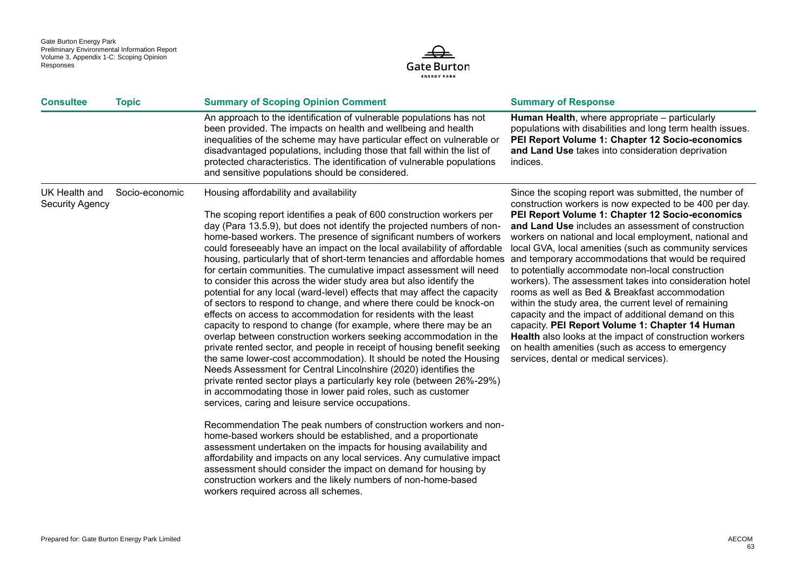

| <b>Consultee</b>                        | <b>Topic</b>   | <b>Summary of Scoping Opinion Comment</b>                                                                                                                                                                                                                                                                                                                                                                                                                                                                                                                                                                                                                                                                                                                                                                                                                                                                                                                                                                                                                                                                                                                                                                                                                                                                                                                                                                                                                                                                                                                                                                                                                                                                                                                                                                           | <b>Summary of Response</b>                                                                                                                                                                                                                                                                                                                                                                                                                                                                                                                                                                                                                                                                                                                                                                                                                                                                           |
|-----------------------------------------|----------------|---------------------------------------------------------------------------------------------------------------------------------------------------------------------------------------------------------------------------------------------------------------------------------------------------------------------------------------------------------------------------------------------------------------------------------------------------------------------------------------------------------------------------------------------------------------------------------------------------------------------------------------------------------------------------------------------------------------------------------------------------------------------------------------------------------------------------------------------------------------------------------------------------------------------------------------------------------------------------------------------------------------------------------------------------------------------------------------------------------------------------------------------------------------------------------------------------------------------------------------------------------------------------------------------------------------------------------------------------------------------------------------------------------------------------------------------------------------------------------------------------------------------------------------------------------------------------------------------------------------------------------------------------------------------------------------------------------------------------------------------------------------------------------------------------------------------|------------------------------------------------------------------------------------------------------------------------------------------------------------------------------------------------------------------------------------------------------------------------------------------------------------------------------------------------------------------------------------------------------------------------------------------------------------------------------------------------------------------------------------------------------------------------------------------------------------------------------------------------------------------------------------------------------------------------------------------------------------------------------------------------------------------------------------------------------------------------------------------------------|
|                                         |                | An approach to the identification of vulnerable populations has not<br>been provided. The impacts on health and wellbeing and health<br>inequalities of the scheme may have particular effect on vulnerable or<br>disadvantaged populations, including those that fall within the list of<br>protected characteristics. The identification of vulnerable populations<br>and sensitive populations should be considered.                                                                                                                                                                                                                                                                                                                                                                                                                                                                                                                                                                                                                                                                                                                                                                                                                                                                                                                                                                                                                                                                                                                                                                                                                                                                                                                                                                                             | Human Health, where appropriate – particularly<br>populations with disabilities and long term health issues.<br>PEI Report Volume 1: Chapter 12 Socio-economics<br>and Land Use takes into consideration deprivation<br>indices.                                                                                                                                                                                                                                                                                                                                                                                                                                                                                                                                                                                                                                                                     |
| UK Health and<br><b>Security Agency</b> | Socio-economic | Housing affordability and availability<br>The scoping report identifies a peak of 600 construction workers per<br>day (Para 13.5.9), but does not identify the projected numbers of non-<br>home-based workers. The presence of significant numbers of workers<br>could foreseeably have an impact on the local availability of affordable<br>housing, particularly that of short-term tenancies and affordable homes<br>for certain communities. The cumulative impact assessment will need<br>to consider this across the wider study area but also identify the<br>potential for any local (ward-level) effects that may affect the capacity<br>of sectors to respond to change, and where there could be knock-on<br>effects on access to accommodation for residents with the least<br>capacity to respond to change (for example, where there may be an<br>overlap between construction workers seeking accommodation in the<br>private rented sector, and people in receipt of housing benefit seeking<br>the same lower-cost accommodation). It should be noted the Housing<br>Needs Assessment for Central Lincolnshire (2020) identifies the<br>private rented sector plays a particularly key role (between 26%-29%)<br>in accommodating those in lower paid roles, such as customer<br>services, caring and leisure service occupations.<br>Recommendation The peak numbers of construction workers and non-<br>home-based workers should be established, and a proportionate<br>assessment undertaken on the impacts for housing availability and<br>affordability and impacts on any local services. Any cumulative impact<br>assessment should consider the impact on demand for housing by<br>construction workers and the likely numbers of non-home-based<br>workers required across all schemes. | Since the scoping report was submitted, the number of<br>construction workers is now expected to be 400 per day.<br>PEI Report Volume 1: Chapter 12 Socio-economics<br>and Land Use includes an assessment of construction<br>workers on national and local employment, national and<br>local GVA, local amenities (such as community services<br>and temporary accommodations that would be required<br>to potentially accommodate non-local construction<br>workers). The assessment takes into consideration hotel<br>rooms as well as Bed & Breakfast accommodation<br>within the study area, the current level of remaining<br>capacity and the impact of additional demand on this<br>capacity. PEI Report Volume 1: Chapter 14 Human<br>Health also looks at the impact of construction workers<br>on health amenities (such as access to emergency<br>services, dental or medical services). |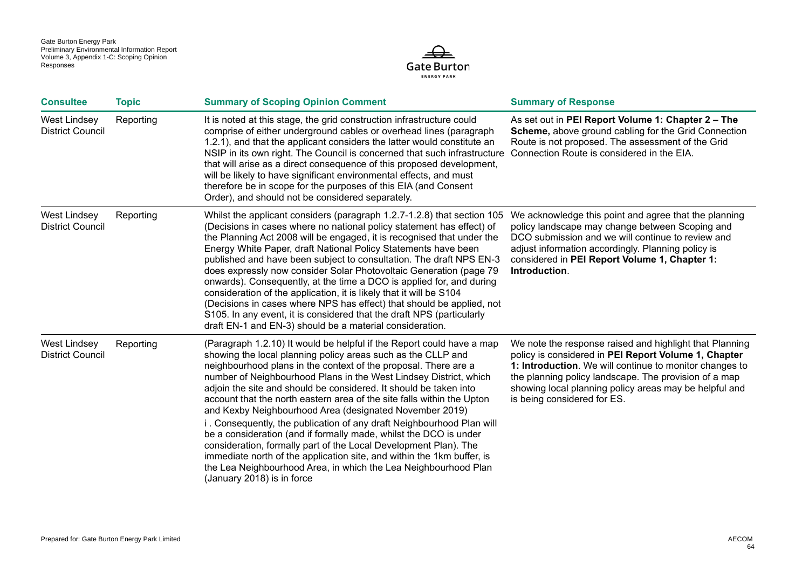

| <b>Consultee</b>                               | <b>Topic</b> | <b>Summary of Scoping Opinion Comment</b>                                                                                                                                                                                                                                                                                                                                                                                                                                                                                                                                                                                                                                                                                                                                                                                                                                            | <b>Summary of Response</b>                                                                                                                                                                                                                                                                                                   |
|------------------------------------------------|--------------|--------------------------------------------------------------------------------------------------------------------------------------------------------------------------------------------------------------------------------------------------------------------------------------------------------------------------------------------------------------------------------------------------------------------------------------------------------------------------------------------------------------------------------------------------------------------------------------------------------------------------------------------------------------------------------------------------------------------------------------------------------------------------------------------------------------------------------------------------------------------------------------|------------------------------------------------------------------------------------------------------------------------------------------------------------------------------------------------------------------------------------------------------------------------------------------------------------------------------|
| <b>West Lindsey</b><br><b>District Council</b> | Reporting    | It is noted at this stage, the grid construction infrastructure could<br>comprise of either underground cables or overhead lines (paragraph<br>1.2.1), and that the applicant considers the latter would constitute an<br>NSIP in its own right. The Council is concerned that such infrastructure<br>that will arise as a direct consequence of this proposed development,<br>will be likely to have significant environmental effects, and must<br>therefore be in scope for the purposes of this EIA (and Consent<br>Order), and should not be considered separately.                                                                                                                                                                                                                                                                                                             | As set out in PEI Report Volume 1: Chapter 2 - The<br>Scheme, above ground cabling for the Grid Connection<br>Route is not proposed. The assessment of the Grid<br>Connection Route is considered in the EIA.                                                                                                                |
| <b>West Lindsey</b><br><b>District Council</b> | Reporting    | Whilst the applicant considers (paragraph 1.2.7-1.2.8) that section 105<br>(Decisions in cases where no national policy statement has effect) of<br>the Planning Act 2008 will be engaged, it is recognised that under the<br>Energy White Paper, draft National Policy Statements have been<br>published and have been subject to consultation. The draft NPS EN-3<br>does expressly now consider Solar Photovoltaic Generation (page 79<br>onwards). Consequently, at the time a DCO is applied for, and during<br>consideration of the application, it is likely that it will be S104<br>(Decisions in cases where NPS has effect) that should be applied, not<br>S105. In any event, it is considered that the draft NPS (particularly<br>draft EN-1 and EN-3) should be a material consideration.                                                                               | We acknowledge this point and agree that the planning<br>policy landscape may change between Scoping and<br>DCO submission and we will continue to review and<br>adjust information accordingly. Planning policy is<br>considered in PEI Report Volume 1, Chapter 1:<br>Introduction.                                        |
| <b>West Lindsey</b><br><b>District Council</b> | Reporting    | (Paragraph 1.2.10) It would be helpful if the Report could have a map<br>showing the local planning policy areas such as the CLLP and<br>neighbourhood plans in the context of the proposal. There are a<br>number of Neighbourhood Plans in the West Lindsey District, which<br>adjoin the site and should be considered. It should be taken into<br>account that the north eastern area of the site falls within the Upton<br>and Kexby Neighbourhood Area (designated November 2019)<br>i. Consequently, the publication of any draft Neighbourhood Plan will<br>be a consideration (and if formally made, whilst the DCO is under<br>consideration, formally part of the Local Development Plan). The<br>immediate north of the application site, and within the 1km buffer, is<br>the Lea Neighbourhood Area, in which the Lea Neighbourhood Plan<br>(January 2018) is in force | We note the response raised and highlight that Planning<br>policy is considered in PEI Report Volume 1, Chapter<br>1: Introduction. We will continue to monitor changes to<br>the planning policy landscape. The provision of a map<br>showing local planning policy areas may be helpful and<br>is being considered for ES. |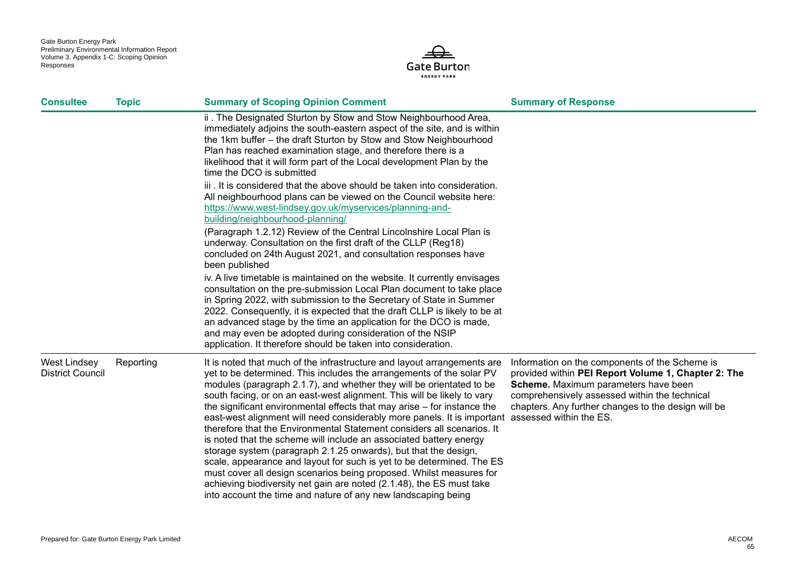

| <b>Consultee</b>                               | <b>Topic</b> | <b>Summary of Scoping Opinion Comment</b>                                                                                                                                                                                                                                                                                                                                                                                                                                                                                                                                                                                                                                                                                                                                                                                                                                                                                                                                                    | <b>Summary of Response</b>                                                                                                                                                                                                                            |
|------------------------------------------------|--------------|----------------------------------------------------------------------------------------------------------------------------------------------------------------------------------------------------------------------------------------------------------------------------------------------------------------------------------------------------------------------------------------------------------------------------------------------------------------------------------------------------------------------------------------------------------------------------------------------------------------------------------------------------------------------------------------------------------------------------------------------------------------------------------------------------------------------------------------------------------------------------------------------------------------------------------------------------------------------------------------------|-------------------------------------------------------------------------------------------------------------------------------------------------------------------------------------------------------------------------------------------------------|
|                                                |              | ii. The Designated Sturton by Stow and Stow Neighbourhood Area,<br>immediately adjoins the south-eastern aspect of the site, and is within<br>the 1km buffer - the draft Sturton by Stow and Stow Neighbourhood<br>Plan has reached examination stage, and therefore there is a<br>likelihood that it will form part of the Local development Plan by the<br>time the DCO is submitted                                                                                                                                                                                                                                                                                                                                                                                                                                                                                                                                                                                                       |                                                                                                                                                                                                                                                       |
|                                                |              | iii. It is considered that the above should be taken into consideration.<br>All neighbourhood plans can be viewed on the Council website here:<br>https://www.west-lindsey.gov.uk/myservices/planning-and-<br>building/neighbourhood-planning/                                                                                                                                                                                                                                                                                                                                                                                                                                                                                                                                                                                                                                                                                                                                               |                                                                                                                                                                                                                                                       |
|                                                |              | (Paragraph 1.2.12) Review of the Central Lincolnshire Local Plan is<br>underway. Consultation on the first draft of the CLLP (Reg18)<br>concluded on 24th August 2021, and consultation responses have<br>been published                                                                                                                                                                                                                                                                                                                                                                                                                                                                                                                                                                                                                                                                                                                                                                     |                                                                                                                                                                                                                                                       |
|                                                |              | iv. A live timetable is maintained on the website. It currently envisages<br>consultation on the pre-submission Local Plan document to take place<br>in Spring 2022, with submission to the Secretary of State in Summer<br>2022. Consequently, it is expected that the draft CLLP is likely to be at<br>an advanced stage by the time an application for the DCO is made,<br>and may even be adopted during consideration of the NSIP<br>application. It therefore should be taken into consideration.                                                                                                                                                                                                                                                                                                                                                                                                                                                                                      |                                                                                                                                                                                                                                                       |
| <b>West Lindsey</b><br><b>District Council</b> | Reporting    | It is noted that much of the infrastructure and layout arrangements are<br>yet to be determined. This includes the arrangements of the solar PV<br>modules (paragraph 2.1.7), and whether they will be orientated to be<br>south facing, or on an east-west alignment. This will be likely to vary<br>the significant environmental effects that may arise - for instance the<br>east-west alignment will need considerably more panels. It is important assessed within the ES.<br>therefore that the Environmental Statement considers all scenarios. It<br>is noted that the scheme will include an associated battery energy<br>storage system (paragraph 2.1.25 onwards), but that the design,<br>scale, appearance and layout for such is yet to be determined. The ES<br>must cover all design scenarios being proposed. Whilst measures for<br>achieving biodiversity net gain are noted (2.1.48), the ES must take<br>into account the time and nature of any new landscaping being | Information on the components of the Scheme is<br>provided within PEI Report Volume 1, Chapter 2: The<br>Scheme. Maximum parameters have been<br>comprehensively assessed within the technical<br>chapters. Any further changes to the design will be |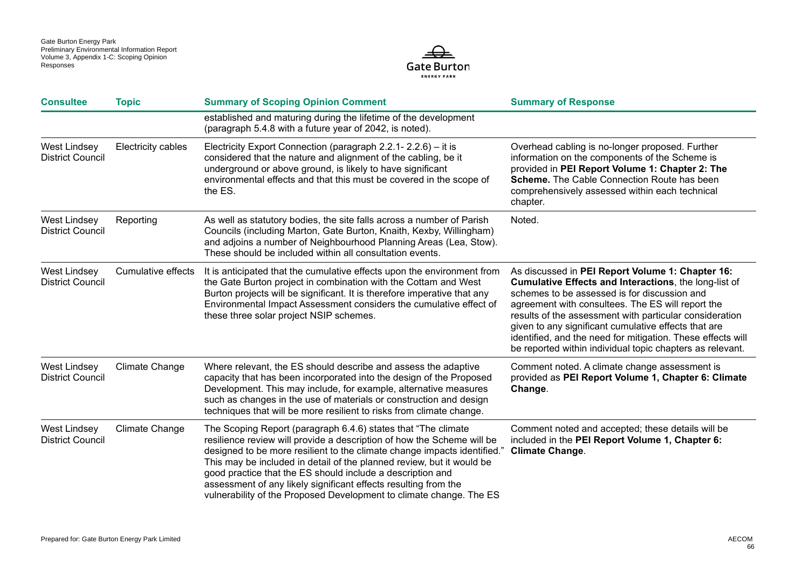

| <b>Consultee</b>                               | <b>Topic</b>              | <b>Summary of Scoping Opinion Comment</b>                                                                                                                                                                                                                                                                                                                                                                                                                                                            | <b>Summary of Response</b>                                                                                                                                                                                                                                                                                                                                                                                                                                    |
|------------------------------------------------|---------------------------|------------------------------------------------------------------------------------------------------------------------------------------------------------------------------------------------------------------------------------------------------------------------------------------------------------------------------------------------------------------------------------------------------------------------------------------------------------------------------------------------------|---------------------------------------------------------------------------------------------------------------------------------------------------------------------------------------------------------------------------------------------------------------------------------------------------------------------------------------------------------------------------------------------------------------------------------------------------------------|
|                                                |                           | established and maturing during the lifetime of the development<br>(paragraph 5.4.8 with a future year of 2042, is noted).                                                                                                                                                                                                                                                                                                                                                                           |                                                                                                                                                                                                                                                                                                                                                                                                                                                               |
| <b>West Lindsey</b><br><b>District Council</b> | Electricity cables        | Electricity Export Connection (paragraph 2.2.1- 2.2.6) - it is<br>considered that the nature and alignment of the cabling, be it<br>underground or above ground, is likely to have significant<br>environmental effects and that this must be covered in the scope of<br>the ES.                                                                                                                                                                                                                     | Overhead cabling is no-longer proposed. Further<br>information on the components of the Scheme is<br>provided in PEI Report Volume 1: Chapter 2: The<br><b>Scheme.</b> The Cable Connection Route has been<br>comprehensively assessed within each technical<br>chapter.                                                                                                                                                                                      |
| <b>West Lindsey</b><br><b>District Council</b> | Reporting                 | As well as statutory bodies, the site falls across a number of Parish<br>Councils (including Marton, Gate Burton, Knaith, Kexby, Willingham)<br>and adjoins a number of Neighbourhood Planning Areas (Lea, Stow).<br>These should be included within all consultation events.                                                                                                                                                                                                                        | Noted.                                                                                                                                                                                                                                                                                                                                                                                                                                                        |
| <b>West Lindsey</b><br><b>District Council</b> | <b>Cumulative effects</b> | It is anticipated that the cumulative effects upon the environment from<br>the Gate Burton project in combination with the Cottam and West<br>Burton projects will be significant. It is therefore imperative that any<br>Environmental Impact Assessment considers the cumulative effect of<br>these three solar project NSIP schemes.                                                                                                                                                              | As discussed in PEI Report Volume 1: Chapter 16:<br>Cumulative Effects and Interactions, the long-list of<br>schemes to be assessed is for discussion and<br>agreement with consultees. The ES will report the<br>results of the assessment with particular consideration<br>given to any significant cumulative effects that are<br>identified, and the need for mitigation. These effects will<br>be reported within individual topic chapters as relevant. |
| <b>West Lindsey</b><br><b>District Council</b> | Climate Change            | Where relevant, the ES should describe and assess the adaptive<br>capacity that has been incorporated into the design of the Proposed<br>Development. This may include, for example, alternative measures<br>such as changes in the use of materials or construction and design<br>techniques that will be more resilient to risks from climate change.                                                                                                                                              | Comment noted. A climate change assessment is<br>provided as PEI Report Volume 1, Chapter 6: Climate<br>Change.                                                                                                                                                                                                                                                                                                                                               |
| <b>West Lindsey</b><br><b>District Council</b> | <b>Climate Change</b>     | The Scoping Report (paragraph 6.4.6) states that "The climate<br>resilience review will provide a description of how the Scheme will be<br>designed to be more resilient to the climate change impacts identified."<br>This may be included in detail of the planned review, but it would be<br>good practice that the ES should include a description and<br>assessment of any likely significant effects resulting from the<br>vulnerability of the Proposed Development to climate change. The ES | Comment noted and accepted; these details will be<br>included in the PEI Report Volume 1, Chapter 6:<br><b>Climate Change.</b>                                                                                                                                                                                                                                                                                                                                |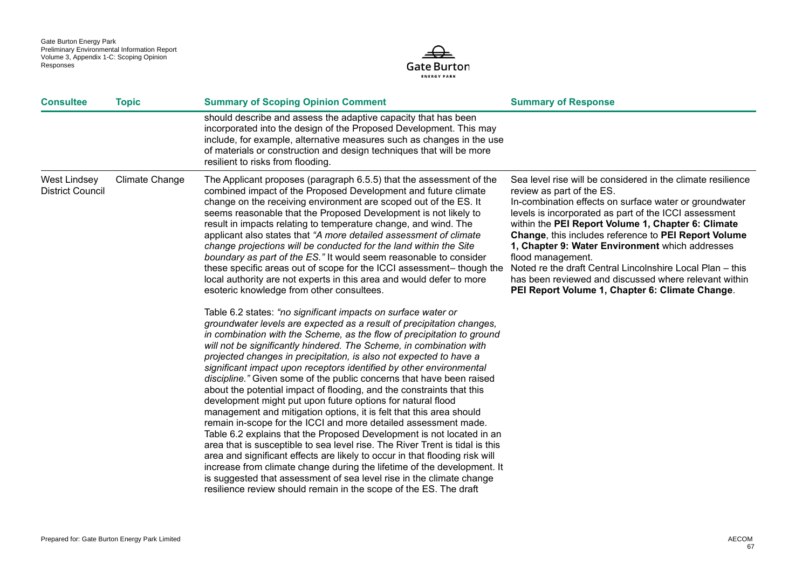

| <b>Consultee</b>                               | <b>Topic</b>   | <b>Summary of Scoping Opinion Comment</b>                                                                                                                                                                                                                                                                                                                                                                                                                                                                                                                                                                                                                                                                                                                                                                                                                                                                                                                                                                                                                                                                                                                                                                                                                                                                                                                                                                                                                                                                                                                                                                                                                                                                                                                                                                                                                                                                                                                                                                                      | <b>Summary of Response</b>                                                                                                                                                                                                                                                                                                                                                                                                                                                                                                                                                 |
|------------------------------------------------|----------------|--------------------------------------------------------------------------------------------------------------------------------------------------------------------------------------------------------------------------------------------------------------------------------------------------------------------------------------------------------------------------------------------------------------------------------------------------------------------------------------------------------------------------------------------------------------------------------------------------------------------------------------------------------------------------------------------------------------------------------------------------------------------------------------------------------------------------------------------------------------------------------------------------------------------------------------------------------------------------------------------------------------------------------------------------------------------------------------------------------------------------------------------------------------------------------------------------------------------------------------------------------------------------------------------------------------------------------------------------------------------------------------------------------------------------------------------------------------------------------------------------------------------------------------------------------------------------------------------------------------------------------------------------------------------------------------------------------------------------------------------------------------------------------------------------------------------------------------------------------------------------------------------------------------------------------------------------------------------------------------------------------------------------------|----------------------------------------------------------------------------------------------------------------------------------------------------------------------------------------------------------------------------------------------------------------------------------------------------------------------------------------------------------------------------------------------------------------------------------------------------------------------------------------------------------------------------------------------------------------------------|
|                                                |                | should describe and assess the adaptive capacity that has been<br>incorporated into the design of the Proposed Development. This may<br>include, for example, alternative measures such as changes in the use<br>of materials or construction and design techniques that will be more<br>resilient to risks from flooding.                                                                                                                                                                                                                                                                                                                                                                                                                                                                                                                                                                                                                                                                                                                                                                                                                                                                                                                                                                                                                                                                                                                                                                                                                                                                                                                                                                                                                                                                                                                                                                                                                                                                                                     |                                                                                                                                                                                                                                                                                                                                                                                                                                                                                                                                                                            |
| <b>West Lindsey</b><br><b>District Council</b> | Climate Change | The Applicant proposes (paragraph 6.5.5) that the assessment of the<br>combined impact of the Proposed Development and future climate<br>change on the receiving environment are scoped out of the ES. It<br>seems reasonable that the Proposed Development is not likely to<br>result in impacts relating to temperature change, and wind. The<br>applicant also states that "A more detailed assessment of climate<br>change projections will be conducted for the land within the Site<br>boundary as part of the ES." It would seem reasonable to consider<br>these specific areas out of scope for the ICCI assessment- though the<br>local authority are not experts in this area and would defer to more<br>esoteric knowledge from other consultees.<br>Table 6.2 states: "no significant impacts on surface water or<br>groundwater levels are expected as a result of precipitation changes,<br>in combination with the Scheme, as the flow of precipitation to ground<br>will not be significantly hindered. The Scheme, in combination with<br>projected changes in precipitation, is also not expected to have a<br>significant impact upon receptors identified by other environmental<br>discipline." Given some of the public concerns that have been raised<br>about the potential impact of flooding, and the constraints that this<br>development might put upon future options for natural flood<br>management and mitigation options, it is felt that this area should<br>remain in-scope for the ICCI and more detailed assessment made.<br>Table 6.2 explains that the Proposed Development is not located in an<br>area that is susceptible to sea level rise. The River Trent is tidal is this<br>area and significant effects are likely to occur in that flooding risk will<br>increase from climate change during the lifetime of the development. It<br>is suggested that assessment of sea level rise in the climate change<br>resilience review should remain in the scope of the ES. The draft | Sea level rise will be considered in the climate resilience<br>review as part of the ES.<br>In-combination effects on surface water or groundwater<br>levels is incorporated as part of the ICCI assessment<br>within the PEI Report Volume 1, Chapter 6: Climate<br>Change, this includes reference to PEI Report Volume<br>1, Chapter 9: Water Environment which addresses<br>flood management.<br>Noted re the draft Central Lincolnshire Local Plan - this<br>has been reviewed and discussed where relevant within<br>PEI Report Volume 1, Chapter 6: Climate Change. |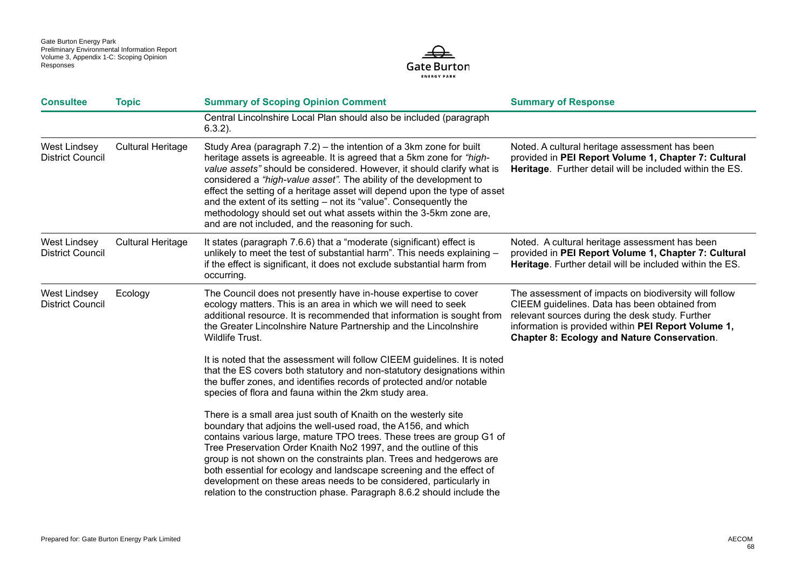

| <b>Consultee</b>                               | <b>Topic</b>             | <b>Summary of Scoping Opinion Comment</b>                                                                                                                                                                                                                                                                                                                                                                                                                                                                                                                                    | <b>Summary of Response</b>                                                                                                                                                                                                                                             |
|------------------------------------------------|--------------------------|------------------------------------------------------------------------------------------------------------------------------------------------------------------------------------------------------------------------------------------------------------------------------------------------------------------------------------------------------------------------------------------------------------------------------------------------------------------------------------------------------------------------------------------------------------------------------|------------------------------------------------------------------------------------------------------------------------------------------------------------------------------------------------------------------------------------------------------------------------|
|                                                |                          | Central Lincolnshire Local Plan should also be included (paragraph<br>$6.3.2$ ).                                                                                                                                                                                                                                                                                                                                                                                                                                                                                             |                                                                                                                                                                                                                                                                        |
| <b>West Lindsey</b><br><b>District Council</b> | <b>Cultural Heritage</b> | Study Area (paragraph 7.2) – the intention of a 3km zone for built<br>heritage assets is agreeable. It is agreed that a 5km zone for "high-<br>value assets" should be considered. However, it should clarify what is<br>considered a "high-value asset". The ability of the development to<br>effect the setting of a heritage asset will depend upon the type of asset<br>and the extent of its setting – not its "value". Consequently the<br>methodology should set out what assets within the 3-5km zone are,<br>and are not included, and the reasoning for such.      | Noted. A cultural heritage assessment has been<br>provided in PEI Report Volume 1, Chapter 7: Cultural<br>Heritage. Further detail will be included within the ES.                                                                                                     |
| <b>West Lindsey</b><br><b>District Council</b> | <b>Cultural Heritage</b> | It states (paragraph 7.6.6) that a "moderate (significant) effect is<br>unlikely to meet the test of substantial harm". This needs explaining -<br>if the effect is significant, it does not exclude substantial harm from<br>occurring.                                                                                                                                                                                                                                                                                                                                     | Noted. A cultural heritage assessment has been<br>provided in PEI Report Volume 1, Chapter 7: Cultural<br>Heritage. Further detail will be included within the ES.                                                                                                     |
| <b>West Lindsey</b><br><b>District Council</b> | Ecology                  | The Council does not presently have in-house expertise to cover<br>ecology matters. This is an area in which we will need to seek<br>additional resource. It is recommended that information is sought from<br>the Greater Lincolnshire Nature Partnership and the Lincolnshire<br>Wildlife Trust.                                                                                                                                                                                                                                                                           | The assessment of impacts on biodiversity will follow<br>CIEEM guidelines. Data has been obtained from<br>relevant sources during the desk study. Further<br>information is provided within PEI Report Volume 1,<br><b>Chapter 8: Ecology and Nature Conservation.</b> |
|                                                |                          | It is noted that the assessment will follow CIEEM guidelines. It is noted<br>that the ES covers both statutory and non-statutory designations within<br>the buffer zones, and identifies records of protected and/or notable<br>species of flora and fauna within the 2km study area.                                                                                                                                                                                                                                                                                        |                                                                                                                                                                                                                                                                        |
|                                                |                          | There is a small area just south of Knaith on the westerly site<br>boundary that adjoins the well-used road, the A156, and which<br>contains various large, mature TPO trees. These trees are group G1 of<br>Tree Preservation Order Knaith No2 1997, and the outline of this<br>group is not shown on the constraints plan. Trees and hedgerows are<br>both essential for ecology and landscape screening and the effect of<br>development on these areas needs to be considered, particularly in<br>relation to the construction phase. Paragraph 8.6.2 should include the |                                                                                                                                                                                                                                                                        |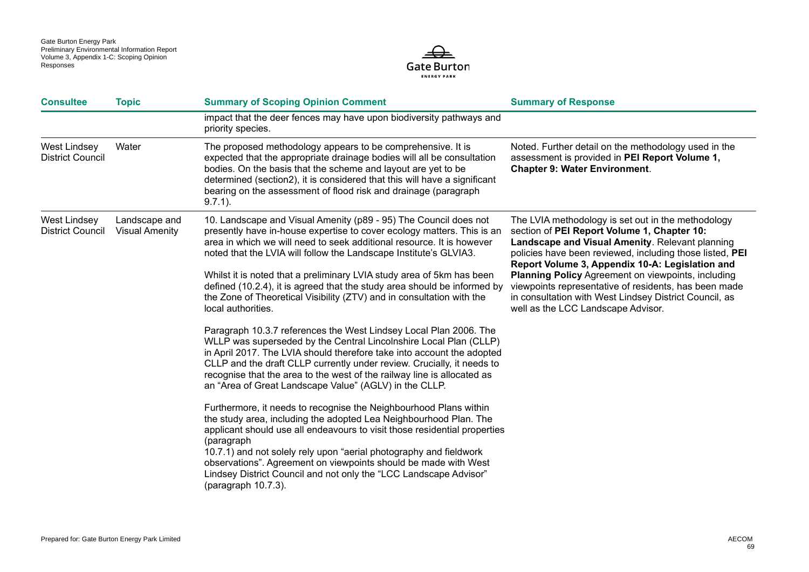

| <b>Consultee</b>                               | <b>Topic</b>                           | <b>Summary of Scoping Opinion Comment</b>                                                                                                                                                                                                                                                                                                                                                                                                                                                                                                                                                                                                                                                                                                                                                                                                                                                                                                                                                                                                                                                                                                                                                                            | <b>Summary of Response</b>                                                                                                                                                                                                                                                                                                                                                                                                                                                                |
|------------------------------------------------|----------------------------------------|----------------------------------------------------------------------------------------------------------------------------------------------------------------------------------------------------------------------------------------------------------------------------------------------------------------------------------------------------------------------------------------------------------------------------------------------------------------------------------------------------------------------------------------------------------------------------------------------------------------------------------------------------------------------------------------------------------------------------------------------------------------------------------------------------------------------------------------------------------------------------------------------------------------------------------------------------------------------------------------------------------------------------------------------------------------------------------------------------------------------------------------------------------------------------------------------------------------------|-------------------------------------------------------------------------------------------------------------------------------------------------------------------------------------------------------------------------------------------------------------------------------------------------------------------------------------------------------------------------------------------------------------------------------------------------------------------------------------------|
|                                                |                                        | impact that the deer fences may have upon biodiversity pathways and<br>priority species.                                                                                                                                                                                                                                                                                                                                                                                                                                                                                                                                                                                                                                                                                                                                                                                                                                                                                                                                                                                                                                                                                                                             |                                                                                                                                                                                                                                                                                                                                                                                                                                                                                           |
| <b>West Lindsey</b><br><b>District Council</b> | Water                                  | The proposed methodology appears to be comprehensive. It is<br>expected that the appropriate drainage bodies will all be consultation<br>bodies. On the basis that the scheme and layout are yet to be<br>determined (section2), it is considered that this will have a significant<br>bearing on the assessment of flood risk and drainage (paragraph<br>$9.7.1$ ).                                                                                                                                                                                                                                                                                                                                                                                                                                                                                                                                                                                                                                                                                                                                                                                                                                                 | Noted. Further detail on the methodology used in the<br>assessment is provided in PEI Report Volume 1,<br><b>Chapter 9: Water Environment.</b>                                                                                                                                                                                                                                                                                                                                            |
| <b>West Lindsey</b><br><b>District Council</b> | Landscape and<br><b>Visual Amenity</b> | 10. Landscape and Visual Amenity (p89 - 95) The Council does not<br>presently have in-house expertise to cover ecology matters. This is an<br>area in which we will need to seek additional resource. It is however<br>noted that the LVIA will follow the Landscape Institute's GLVIA3.<br>Whilst it is noted that a preliminary LVIA study area of 5km has been<br>defined (10.2.4), it is agreed that the study area should be informed by<br>the Zone of Theoretical Visibility (ZTV) and in consultation with the<br>local authorities.<br>Paragraph 10.3.7 references the West Lindsey Local Plan 2006. The<br>WLLP was superseded by the Central Lincolnshire Local Plan (CLLP)<br>in April 2017. The LVIA should therefore take into account the adopted<br>CLLP and the draft CLLP currently under review. Crucially, it needs to<br>recognise that the area to the west of the railway line is allocated as<br>an "Area of Great Landscape Value" (AGLV) in the CLLP.<br>Furthermore, it needs to recognise the Neighbourhood Plans within<br>the study area, including the adopted Lea Neighbourhood Plan. The<br>applicant should use all endeavours to visit those residential properties<br>(paragraph | The LVIA methodology is set out in the methodology<br>section of PEI Report Volume 1, Chapter 10:<br>Landscape and Visual Amenity. Relevant planning<br>policies have been reviewed, including those listed, PEI<br>Report Volume 3, Appendix 10-A: Legislation and<br><b>Planning Policy Agreement on viewpoints, including</b><br>viewpoints representative of residents, has been made<br>in consultation with West Lindsey District Council, as<br>well as the LCC Landscape Advisor. |
|                                                |                                        | 10.7.1) and not solely rely upon "aerial photography and fieldwork<br>observations". Agreement on viewpoints should be made with West<br>Lindsey District Council and not only the "LCC Landscape Advisor"<br>(paragraph 10.7.3).                                                                                                                                                                                                                                                                                                                                                                                                                                                                                                                                                                                                                                                                                                                                                                                                                                                                                                                                                                                    |                                                                                                                                                                                                                                                                                                                                                                                                                                                                                           |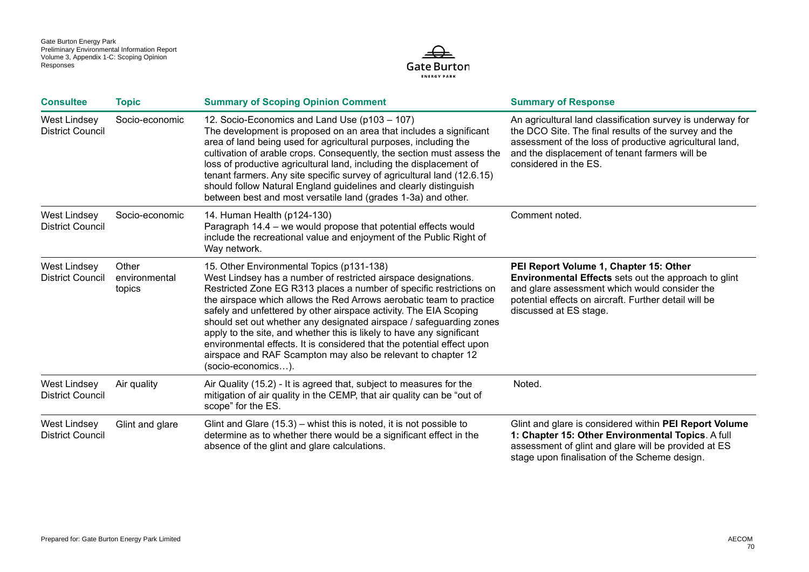

| <b>Consultee</b>                               | <b>Topic</b>                     | <b>Summary of Scoping Opinion Comment</b>                                                                                                                                                                                                                                                                                                                                                                                                                                                                                                                                                                                                      | <b>Summary of Response</b>                                                                                                                                                                                                                                |
|------------------------------------------------|----------------------------------|------------------------------------------------------------------------------------------------------------------------------------------------------------------------------------------------------------------------------------------------------------------------------------------------------------------------------------------------------------------------------------------------------------------------------------------------------------------------------------------------------------------------------------------------------------------------------------------------------------------------------------------------|-----------------------------------------------------------------------------------------------------------------------------------------------------------------------------------------------------------------------------------------------------------|
| <b>West Lindsey</b><br><b>District Council</b> | Socio-economic                   | 12. Socio-Economics and Land Use (p103 - 107)<br>The development is proposed on an area that includes a significant<br>area of land being used for agricultural purposes, including the<br>cultivation of arable crops. Consequently, the section must assess the<br>loss of productive agricultural land, including the displacement of<br>tenant farmers. Any site specific survey of agricultural land (12.6.15)<br>should follow Natural England guidelines and clearly distinguish<br>between best and most versatile land (grades 1-3a) and other.                                                                                       | An agricultural land classification survey is underway for<br>the DCO Site. The final results of the survey and the<br>assessment of the loss of productive agricultural land,<br>and the displacement of tenant farmers will be<br>considered in the ES. |
| <b>West Lindsey</b><br><b>District Council</b> | Socio-economic                   | 14. Human Health (p124-130)<br>Paragraph 14.4 - we would propose that potential effects would<br>include the recreational value and enjoyment of the Public Right of<br>Way network.                                                                                                                                                                                                                                                                                                                                                                                                                                                           | Comment noted.                                                                                                                                                                                                                                            |
| <b>West Lindsey</b><br><b>District Council</b> | Other<br>environmental<br>topics | 15. Other Environmental Topics (p131-138)<br>West Lindsey has a number of restricted airspace designations.<br>Restricted Zone EG R313 places a number of specific restrictions on<br>the airspace which allows the Red Arrows aerobatic team to practice<br>safely and unfettered by other airspace activity. The EIA Scoping<br>should set out whether any designated airspace / safeguarding zones<br>apply to the site, and whether this is likely to have any significant<br>environmental effects. It is considered that the potential effect upon<br>airspace and RAF Scampton may also be relevant to chapter 12<br>(socio-economics). | PEI Report Volume 1, Chapter 15: Other<br><b>Environmental Effects</b> sets out the approach to glint<br>and glare assessment which would consider the<br>potential effects on aircraft. Further detail will be<br>discussed at ES stage.                 |
| <b>West Lindsey</b><br><b>District Council</b> | Air quality                      | Air Quality (15.2) - It is agreed that, subject to measures for the<br>mitigation of air quality in the CEMP, that air quality can be "out of<br>scope" for the ES.                                                                                                                                                                                                                                                                                                                                                                                                                                                                            | Noted.                                                                                                                                                                                                                                                    |
| West Lindsey<br><b>District Council</b>        | Glint and glare                  | Glint and Glare $(15.3)$ – whist this is noted, it is not possible to<br>determine as to whether there would be a significant effect in the<br>absence of the glint and glare calculations.                                                                                                                                                                                                                                                                                                                                                                                                                                                    | Glint and glare is considered within PEI Report Volume<br>1: Chapter 15: Other Environmental Topics. A full<br>assessment of glint and glare will be provided at ES<br>stage upon finalisation of the Scheme design.                                      |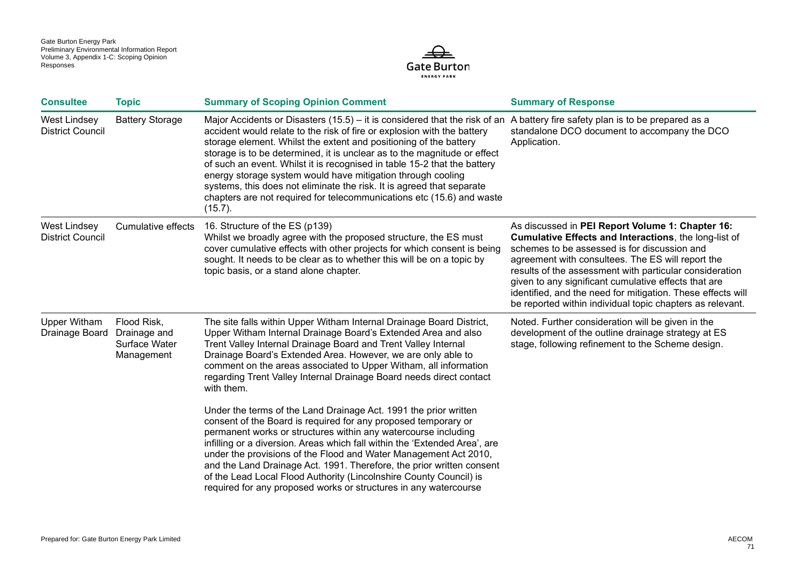

| <b>Consultee</b>                               | <b>Topic</b>                                               | <b>Summary of Scoping Opinion Comment</b>                                                                                                                                                                                                                                                                                                                                                                                                                                                                                                                                                                                                                          | <b>Summary of Response</b>                                                                                                                                                                                                                                                                                                                                                                                                                                    |
|------------------------------------------------|------------------------------------------------------------|--------------------------------------------------------------------------------------------------------------------------------------------------------------------------------------------------------------------------------------------------------------------------------------------------------------------------------------------------------------------------------------------------------------------------------------------------------------------------------------------------------------------------------------------------------------------------------------------------------------------------------------------------------------------|---------------------------------------------------------------------------------------------------------------------------------------------------------------------------------------------------------------------------------------------------------------------------------------------------------------------------------------------------------------------------------------------------------------------------------------------------------------|
| West Lindsey<br><b>District Council</b>        | <b>Battery Storage</b>                                     | Major Accidents or Disasters (15.5) – it is considered that the risk of an Abattery fire safety plan is to be prepared as a<br>accident would relate to the risk of fire or explosion with the battery<br>storage element. Whilst the extent and positioning of the battery<br>storage is to be determined, it is unclear as to the magnitude or effect<br>of such an event. Whilst it is recognised in table 15-2 that the battery<br>energy storage system would have mitigation through cooling<br>systems, this does not eliminate the risk. It is agreed that separate<br>chapters are not required for telecommunications etc (15.6) and waste<br>$(15.7)$ . | standalone DCO document to accompany the DCO<br>Application.                                                                                                                                                                                                                                                                                                                                                                                                  |
| <b>West Lindsey</b><br><b>District Council</b> | Cumulative effects                                         | 16. Structure of the ES (p139)<br>Whilst we broadly agree with the proposed structure, the ES must<br>cover cumulative effects with other projects for which consent is being<br>sought. It needs to be clear as to whether this will be on a topic by<br>topic basis, or a stand alone chapter.                                                                                                                                                                                                                                                                                                                                                                   | As discussed in PEI Report Volume 1: Chapter 16:<br>Cumulative Effects and Interactions, the long-list of<br>schemes to be assessed is for discussion and<br>agreement with consultees. The ES will report the<br>results of the assessment with particular consideration<br>given to any significant cumulative effects that are<br>identified, and the need for mitigation. These effects will<br>be reported within individual topic chapters as relevant. |
| <b>Upper Witham</b><br>Drainage Board          | Flood Risk,<br>Drainage and<br>Surface Water<br>Management | The site falls within Upper Witham Internal Drainage Board District,<br>Upper Witham Internal Drainage Board's Extended Area and also<br>Trent Valley Internal Drainage Board and Trent Valley Internal<br>Drainage Board's Extended Area. However, we are only able to<br>comment on the areas associated to Upper Witham, all information<br>regarding Trent Valley Internal Drainage Board needs direct contact<br>with them.                                                                                                                                                                                                                                   | Noted. Further consideration will be given in the<br>development of the outline drainage strategy at ES<br>stage, following refinement to the Scheme design.                                                                                                                                                                                                                                                                                                  |
|                                                |                                                            | Under the terms of the Land Drainage Act. 1991 the prior written<br>consent of the Board is required for any proposed temporary or<br>permanent works or structures within any watercourse including<br>infilling or a diversion. Areas which fall within the 'Extended Area', are<br>under the provisions of the Flood and Water Management Act 2010,<br>and the Land Drainage Act. 1991. Therefore, the prior written consent<br>of the Lead Local Flood Authority (Lincolnshire County Council) is<br>required for any proposed works or structures in any watercourse                                                                                          |                                                                                                                                                                                                                                                                                                                                                                                                                                                               |